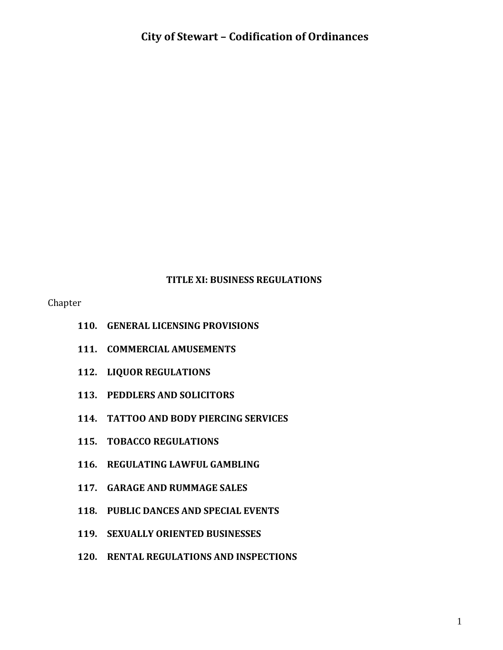#### **TITLE XI: BUSINESS REGULATIONS**

Chapter

- **110. GENERAL LICENSING PROVISIONS**
- **111. COMMERCIAL AMUSEMENTS**
- **112. LIQUOR REGULATIONS**
- **113. PEDDLERS AND SOLICITORS**
- **114. TATTOO AND BODY PIERCING SERVICES**
- **115. TOBACCO REGULATIONS**
- **116. REGULATING LAWFUL GAMBLING**
- **117. GARAGE AND RUMMAGE SALES**
- **118. PUBLIC DANCES AND SPECIAL EVENTS**
- **119. SEXUALLY ORIENTED BUSINESSES**
- **120. RENTAL REGULATIONS AND INSPECTIONS**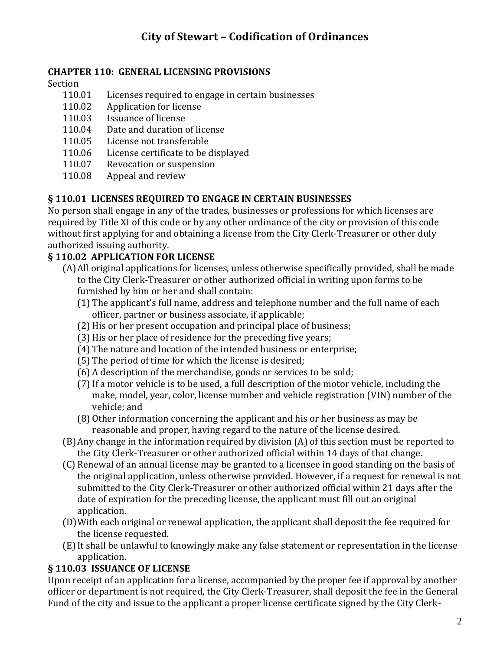#### **CHAPTER 110: GENERAL LICENSING PROVISIONS**

Section

- 110.01 Licenses required to engage in certain businesses
- 110.02 Application for license
- 110.03 Issuance of license
- 110.04 Date and duration of license
- 110.05 License not transferable
- 110.06 License certificate to be displayed
- 110.07 Revocation or suspension
- 110.08 Appeal and review

### **§ 110.01 LICENSES REQUIRED TO ENGAGE IN CERTAIN BUSINESSES**

No person shall engage in any of the trades, businesses or professions for which licenses are required by Title XI of this code or by any other ordinance of the city or provision of this code without first applying for and obtaining a license from the City Clerk-Treasurer or other duly authorized issuing authority.

### **§ 110.02 APPLICATION FOR LICENSE**

- (A)All original applications for licenses, unless otherwise specifically provided, shall be made to the City Clerk-Treasurer or other authorized official in writing upon forms to be furnished by him or her and shall contain:
	- (1) The applicant's full name, address and telephone number and the full name of each officer, partner or business associate, if applicable;
	- (2) His or her present occupation and principal place of business;
	- (3) His or her place of residence for the preceding five years;
	- (4) The nature and location of the intended business or enterprise;
	- (5) The period of time for which the license is desired;
	- (6) A description of the merchandise, goods or services to be sold;
	- (7)If a motor vehicle is to be used, a full description of the motor vehicle, including the make, model, year, color, license number and vehicle registration (VIN) number of the vehicle; and
	- (8) Other information concerning the applicant and his or her business as may be reasonable and proper, having regard to the nature of the license desired.
- (B)Any change in the information required by division (A) of this section must be reported to the City Clerk-Treasurer or other authorized official within 14 days of that change.
- (C) Renewal of an annual license may be granted to a licensee in good standing on the basis of the original application, unless otherwise provided. However, if a request for renewal is not submitted to the City Clerk-Treasurer or other authorized official within 21 days after the date of expiration for the preceding license, the applicant must fill out an original application.
- (D)With each original or renewal application, the applicant shall deposit the fee required for the license requested.
- (E)It shall be unlawful to knowingly make any false statement or representation in the license application.

### **§ 110.03 ISSUANCE OF LICENSE**

Upon receipt of an application for a license, accompanied by the proper fee if approval by another officer or department is not required, the City Clerk-Treasurer, shall deposit the fee in the General Fund of the city and issue to the applicant a proper license certificate signed by the City Clerk-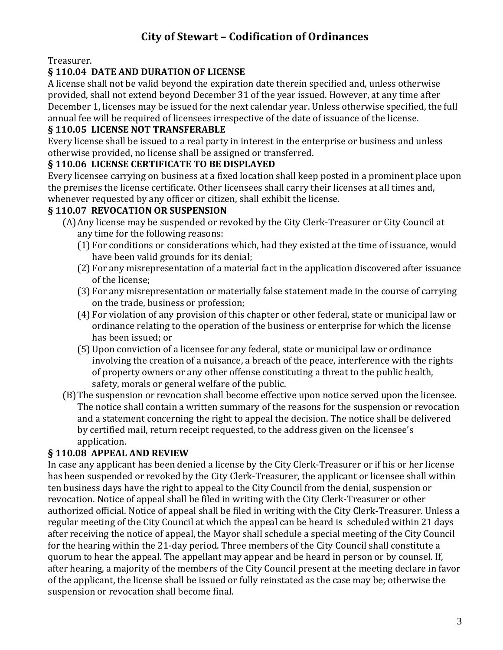Treasurer.

### **§ 110.04 DATE AND DURATION OF LICENSE**

A license shall not be valid beyond the expiration date therein specified and, unless otherwise provided, shall not extend beyond December 31 of the year issued. However, at any time after December 1, licenses may be issued for the next calendar year. Unless otherwise specified, the full annual fee will be required of licensees irrespective of the date of issuance of the license.

### **§ 110.05 LICENSE NOT TRANSFERABLE**

Every license shall be issued to a real party in interest in the enterprise or business and unless otherwise provided, no license shall be assigned or transferred.

#### **§ 110.06 LICENSE CERTIFICATE TO BE DISPLAYED**

Every licensee carrying on business at a fixed location shall keep posted in a prominent place upon the premises the license certificate. Other licensees shall carry their licenses at all times and, whenever requested by any officer or citizen, shall exhibit the license.

### **§ 110.07 REVOCATION OR SUSPENSION**

- (A)Any license may be suspended or revoked by the City Clerk-Treasurer or City Council at any time for the following reasons:
	- (1) For conditions or considerations which, had they existed at the time of issuance, would have been valid grounds for its denial;
	- (2) For any misrepresentation of a material fact in the application discovered after issuance of the license;
	- (3) For any misrepresentation or materially false statement made in the course of carrying on the trade, business or profession;
	- (4) For violation of any provision of this chapter or other federal, state or municipal law or ordinance relating to the operation of the business or enterprise for which the license has been issued; or
	- (5) Upon conviction of a licensee for any federal, state or municipal law or ordinance involving the creation of a nuisance, a breach of the peace, interference with the rights of property owners or any other offense constituting a threat to the public health, safety, morals or general welfare of the public.
- (B)The suspension or revocation shall become effective upon notice served upon the licensee. The notice shall contain a written summary of the reasons for the suspension or revocation and a statement concerning the right to appeal the decision. The notice shall be delivered by certified mail, return receipt requested, to the address given on the licensee's application.

### **§ 110.08 APPEAL AND REVIEW**

In case any applicant has been denied a license by the City Clerk-Treasurer or if his or her license has been suspended or revoked by the City Clerk-Treasurer, the applicant or licensee shall within ten business days have the right to appeal to the City Council from the denial, suspension or revocation. Notice of appeal shall be filed in writing with the City Clerk-Treasurer or other authorized official. Notice of appeal shall be filed in writing with the City Clerk-Treasurer. Unless a regular meeting of the City Council at which the appeal can be heard is scheduled within 21 days after receiving the notice of appeal, the Mayor shall schedule a special meeting of the City Council for the hearing within the 21-day period. Three members of the City Council shall constitute a quorum to hear the appeal. The appellant may appear and be heard in person or by counsel. If, after hearing, a majority of the members of the City Council present at the meeting declare in favor of the applicant, the license shall be issued or fully reinstated as the case may be; otherwise the suspension or revocation shall become final.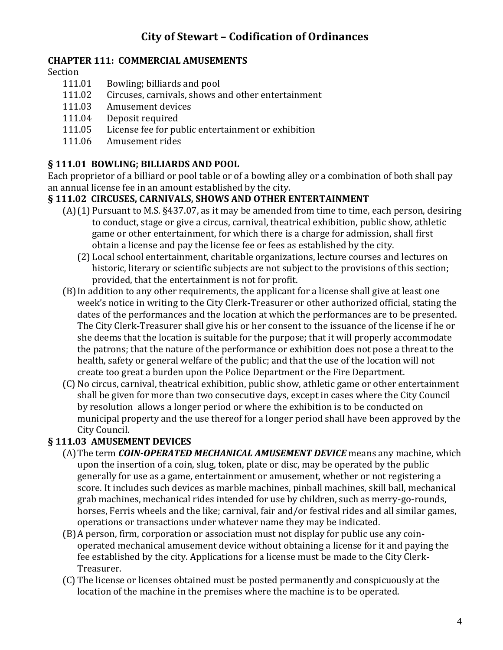#### **CHAPTER 111: COMMERCIAL AMUSEMENTS**

#### Section

- 111.01 Bowling; billiards and pool
- 111.02 Circuses, carnivals, shows and other entertainment
- 111.03 Amusement devices
- 111.04 Deposit required
- 111.05 License fee for public entertainment or exhibition
- 111.06 Amusement rides

### **§ 111.01 BOWLING; BILLIARDS AND POOL**

Each proprietor of a billiard or pool table or of a bowling alley or a combination of both shall pay an annual license fee in an amount established by the city.

#### **§ 111.02 CIRCUSES, CARNIVALS, SHOWS AND OTHER ENTERTAINMENT**

- (A)(1) Pursuant to M.S. §437.07, as it may be amended from time to time, each person, desiring to conduct, stage or give a circus, carnival, theatrical exhibition, public show, athletic game or other entertainment, for which there is a charge for admission, shall first obtain a license and pay the license fee or fees as established by the city.
	- (2) Local school entertainment, charitable organizations, lecture courses and lectures on historic, literary or scientific subjects are not subject to the provisions of this section; provided, that the entertainment is not for profit.
- (B)In addition to any other requirements, the applicant for a license shall give at least one week's notice in writing to the City Clerk-Treasurer or other authorized official, stating the dates of the performances and the location at which the performances are to be presented. The City Clerk-Treasurer shall give his or her consent to the issuance of the license if he or she deems that the location is suitable for the purpose; that it will properly accommodate the patrons; that the nature of the performance or exhibition does not pose a threat to the health, safety or general welfare of the public; and that the use of the location will not create too great a burden upon the Police Department or the Fire Department.
- (C) No circus, carnival, theatrical exhibition, public show, athletic game or other entertainment shall be given for more than two consecutive days, except in cases where the City Council by resolution allows a longer period or where the exhibition is to be conducted on municipal property and the use thereof for a longer period shall have been approved by the City Council.

### **§ 111.03 AMUSEMENT DEVICES**

- (A)The term *COIN-OPERATED MECHANICAL AMUSEMENT DEVICE* means any machine, which upon the insertion of a coin, slug, token, plate or disc, may be operated by the public generally for use as a game, entertainment or amusement, whether or not registering a score. It includes such devices as marble machines, pinball machines, skill ball, mechanical grab machines, mechanical rides intended for use by children, such as merry-go-rounds, horses, Ferris wheels and the like; carnival, fair and/or festival rides and all similar games, operations or transactions under whatever name they may be indicated.
- (B)A person, firm, corporation or association must not display for public use any coinoperated mechanical amusement device without obtaining a license for it and paying the fee established by the city. Applications for a license must be made to the City Clerk-Treasurer.
- (C) The license or licenses obtained must be posted permanently and conspicuously at the location of the machine in the premises where the machine is to be operated.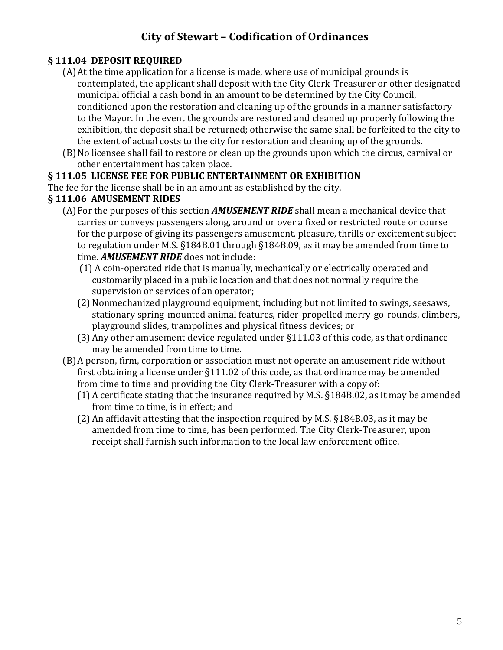### **§ 111.04 DEPOSIT REQUIRED**

- (A)At the time application for a license is made, where use of municipal grounds is contemplated, the applicant shall deposit with the City Clerk-Treasurer or other designated municipal official a cash bond in an amount to be determined by the City Council, conditioned upon the restoration and cleaning up of the grounds in a manner satisfactory to the Mayor. In the event the grounds are restored and cleaned up properly following the exhibition, the deposit shall be returned; otherwise the same shall be forfeited to the city to the extent of actual costs to the city for restoration and cleaning up of the grounds.
- (B)No licensee shall fail to restore or clean up the grounds upon which the circus, carnival or other entertainment has taken place.

#### **§ 111.05 LICENSE FEE FOR PUBLIC ENTERTAINMENT OR EXHIBITION**

The fee for the license shall be in an amount as established by the city.

#### **§ 111.06 AMUSEMENT RIDES**

- (A)For the purposes of this section *AMUSEMENT RIDE* shall mean a mechanical device that carries or conveys passengers along, around or over a fixed or restricted route or course for the purpose of giving its passengers amusement, pleasure, thrills or excitement subject to regulation under M.S. §184B.01 through §184B.09, as it may be amended from time to time. *AMUSEMENT RIDE* does not include:
	- (1) A coin-operated ride that is manually, mechanically or electrically operated and customarily placed in a public location and that does not normally require the supervision or services of an operator;
	- (2) Nonmechanized playground equipment, including but not limited to swings, seesaws, stationary spring-mounted animal features, rider-propelled merry-go-rounds, climbers, playground slides, trampolines and physical fitness devices; or
	- (3) Any other amusement device regulated under §111.03 of this code, as that ordinance may be amended from time to time.
- (B)A person, firm, corporation or association must not operate an amusement ride without first obtaining a license under §111.02 of this code, as that ordinance may be amended from time to time and providing the City Clerk-Treasurer with a copy of:
	- (1) A certificate stating that the insurance required by M.S. §184B.02, as it may be amended from time to time, is in effect; and
	- (2) An affidavit attesting that the inspection required by M.S. §184B.03, as it may be amended from time to time, has been performed. The City Clerk-Treasurer, upon receipt shall furnish such information to the local law enforcement office.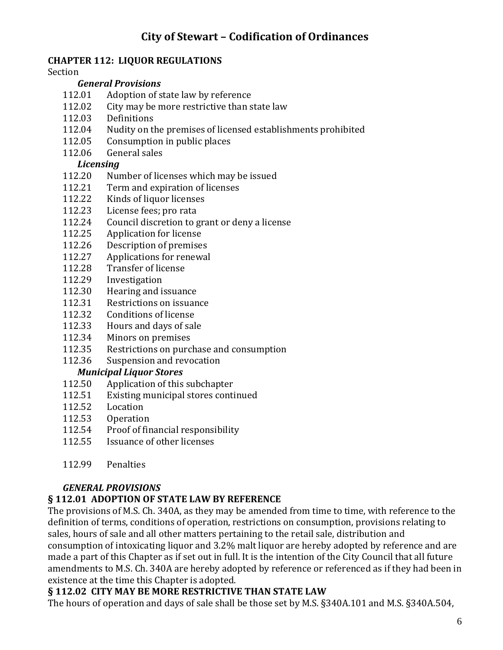#### **CHAPTER 112: LIQUOR REGULATIONS**

#### Section

#### *General Provisions*

- 112.01 Adoption of state law by reference
- 112.02 City may be more restrictive than state law
- 112.03 Definitions
- 112.04 Nudity on the premises of licensed establishments prohibited
- 112.05 Consumption in public places
- 112.06 General sales

#### *Licensing*

- 112.20 Number of licenses which may be issued
- 112.21 Term and expiration of licenses
- 112.22 Kinds of liquor licenses
- 112.23 License fees; pro rata
- 112.24 Council discretion to grant or deny a license
- 112.25 Application for license
- 112.26 Description of premises
- 112.27 Applications for renewal
- 112.28 Transfer of license
- 112.29 Investigation
- 112.30 Hearing and issuance
- 112.31 Restrictions on issuance
- 112.32 Conditions of license
- 112.33 Hours and days of sale
- 112.34 Minors on premises
- 112.35 Restrictions on purchase and consumption
- 112.36 Suspension and revocation

#### *Municipal Liquor Stores*

- 112.50 Application of this subchapter
- 112.51 Existing municipal stores continued
- 112.52 Location
- 112.53 Operation
- 112.54 Proof of financial responsibility
- 112.55 Issuance of other licenses
- 112.99 Penalties

#### *GENERAL PROVISIONS*

#### **§ 112.01 ADOPTION OF STATE LAW BY REFERENCE**

The provisions of M.S. Ch. 340A, as they may be amended from time to time, with reference to the definition of terms, conditions of operation, restrictions on consumption, provisions relating to sales, hours of sale and all other matters pertaining to the retail sale, distribution and consumption of intoxicating liquor and 3.2% malt liquor are hereby adopted by reference and are made a part of this Chapter as if set out in full. It is the intention of the City Council that all future amendments to M.S. Ch. 340A are hereby adopted by reference or referenced as if they had been in existence at the time this Chapter is adopted.

### **§ 112.02 CITY MAY BE MORE RESTRICTIVE THAN STATE LAW**

The hours of operation and days of sale shall be those set by M.S. §340A.101 and M.S. §340A.504,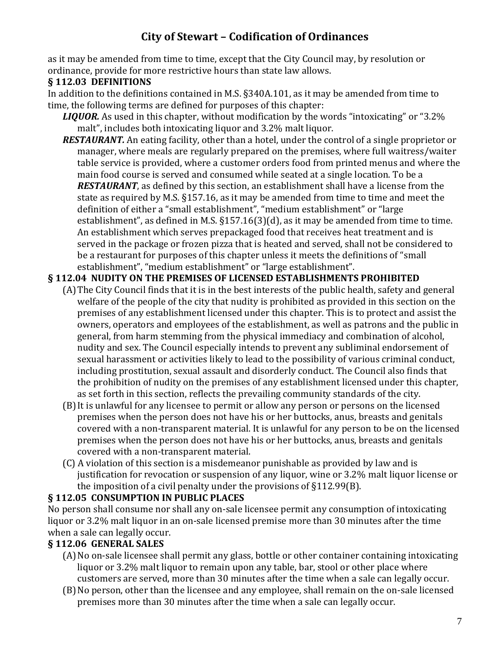as it may be amended from time to time, except that the City Council may, by resolution or ordinance, provide for more restrictive hours than state law allows.

### **§ 112.03 DEFINITIONS**

In addition to the definitions contained in M.S. §340A.101, as it may be amended from time to time, the following terms are defined for purposes of this chapter:

- *LIQUOR.* As used in this chapter, without modification by the words "intoxicating" or "3.2% malt", includes both intoxicating liquor and 3.2% malt liquor.
- *RESTAURANT.* An eating facility, other than a hotel, under the control of a single proprietor or manager, where meals are regularly prepared on the premises, where full waitress/waiter table service is provided, where a customer orders food from printed menus and where the main food course is served and consumed while seated at a single location. To be a *RESTAURANT*, as defined by this section, an establishment shall have a license from the state as required by M.S. §157.16, as it may be amended from time to time and meet the definition of either a "small establishment", "medium establishment" or "large establishment", as defined in M.S. §157.16(3)(d), as it may be amended from time to time. An establishment which serves prepackaged food that receives heat treatment and is served in the package or frozen pizza that is heated and served, shall not be considered to be a restaurant for purposes of this chapter unless it meets the definitions of "small establishment", "medium establishment" or "large establishment".

### **§ 112.04 NUDITY ON THE PREMISES OF LICENSED ESTABLISHMENTS PROHIBITED**

- (A)The City Council finds that it is in the best interests of the public health, safety and general welfare of the people of the city that nudity is prohibited as provided in this section on the premises of any establishment licensed under this chapter. This is to protect and assist the owners, operators and employees of the establishment, as well as patrons and the public in general, from harm stemming from the physical immediacy and combination of alcohol, nudity and sex. The Council especially intends to prevent any subliminal endorsement of sexual harassment or activities likely to lead to the possibility of various criminal conduct, including prostitution, sexual assault and disorderly conduct. The Council also finds that the prohibition of nudity on the premises of any establishment licensed under this chapter, as set forth in this section, reflects the prevailing community standards of the city.
- (B)It is unlawful for any licensee to permit or allow any person or persons on the licensed premises when the person does not have his or her buttocks, anus, breasts and genitals covered with a non-transparent material. It is unlawful for any person to be on the licensed premises when the person does not have his or her buttocks, anus, breasts and genitals covered with a non-transparent material.
- (C) A violation of this section is a misdemeanor punishable as provided by law and is justification for revocation or suspension of any liquor, wine or 3.2% malt liquor license or the imposition of a civil penalty under the provisions of §112.99(B).

### **§ 112.05 CONSUMPTION IN PUBLIC PLACES**

No person shall consume nor shall any on-sale licensee permit any consumption of intoxicating liquor or 3.2% malt liquor in an on-sale licensed premise more than 30 minutes after the time when a sale can legally occur.

### **§ 112.06 GENERAL SALES**

- (A)No on-sale licensee shall permit any glass, bottle or other container containing intoxicating liquor or 3.2% malt liquor to remain upon any table, bar, stool or other place where customers are served, more than 30 minutes after the time when a sale can legally occur.
- (B)No person, other than the licensee and any employee, shall remain on the on-sale licensed premises more than 30 minutes after the time when a sale can legally occur.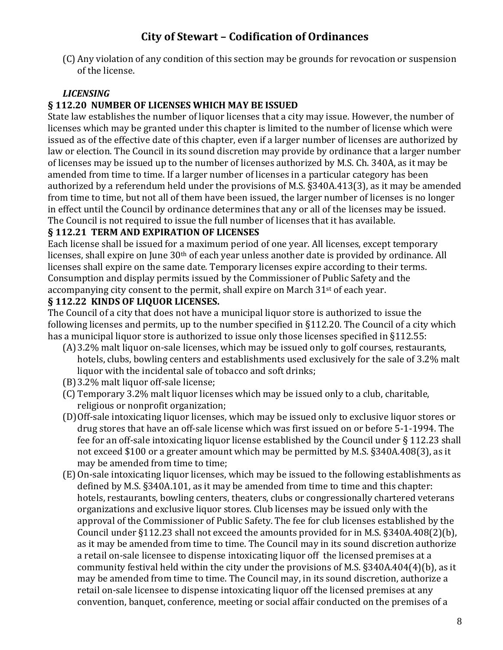(C) Any violation of any condition of this section may be grounds for revocation or suspension of the license.

### *LICENSING*

### **§ 112.20 NUMBER OF LICENSES WHICH MAY BE ISSUED**

State law establishes the number of liquor licenses that a city may issue. However, the number of licenses which may be granted under this chapter is limited to the number of license which were issued as of the effective date of this chapter, even if a larger number of licenses are authorized by law or election. The Council in its sound discretion may provide by ordinance that a larger number of licenses may be issued up to the number of licenses authorized by M.S. Ch. 340A, as it may be amended from time to time. If a larger number of licenses in a particular category has been authorized by a referendum held under the provisions of M.S. §340A.413(3), as it may be amended from time to time, but not all of them have been issued, the larger number of licenses is no longer in effect until the Council by ordinance determines that any or all of the licenses may be issued. The Council is not required to issue the full number of licenses that it has available.

#### **§ 112.21 TERM AND EXPIRATION OF LICENSES**

Each license shall be issued for a maximum period of one year. All licenses, except temporary licenses, shall expire on June 30<sup>th</sup> of each year unless another date is provided by ordinance. All licenses shall expire on the same date. Temporary licenses expire according to their terms. Consumption and display permits issued by the Commissioner of Public Safety and the accompanying city consent to the permit, shall expire on March 31<sup>st</sup> of each year.

#### **§ 112.22 KINDS OF LIQUOR LICENSES.**

The Council of a city that does not have a municipal liquor store is authorized to issue the following licenses and permits, up to the number specified in §112.20. The Council of a city which has a municipal liquor store is authorized to issue only those licenses specified in §112.55:

- (A)3.2% malt liquor on-sale licenses, which may be issued only to golf courses, restaurants, hotels, clubs, bowling centers and establishments used exclusively for the sale of 3.2% malt liquor with the incidental sale of tobacco and soft drinks;
- (B)3.2% malt liquor off-sale license;
- (C) Temporary 3.2% malt liquor licenses which may be issued only to a club, charitable, religious or nonprofit organization;
- (D)Off-sale intoxicating liquor licenses, which may be issued only to exclusive liquor stores or drug stores that have an off-sale license which was first issued on or before 5-1-1994. The fee for an off-sale intoxicating liquor license established by the Council under § 112.23 shall not exceed \$100 or a greater amount which may be permitted by M.S. §340A.408(3), as it may be amended from time to time;
- (E)On-sale intoxicating liquor licenses, which may be issued to the following establishments as defined by M.S. §340A.101, as it may be amended from time to time and this chapter: hotels, restaurants, bowling centers, theaters, clubs or congressionally chartered veterans organizations and exclusive liquor stores. Club licenses may be issued only with the approval of the Commissioner of Public Safety. The fee for club licenses established by the Council under §112.23 shall not exceed the amounts provided for in M.S. §340A.408(2)(b), as it may be amended from time to time. The Council may in its sound discretion authorize a retail on-sale licensee to dispense intoxicating liquor off the licensed premises at a community festival held within the city under the provisions of M.S. §340A.404(4)(b), as it may be amended from time to time. The Council may, in its sound discretion, authorize a retail on-sale licensee to dispense intoxicating liquor off the licensed premises at any convention, banquet, conference, meeting or social affair conducted on the premises of a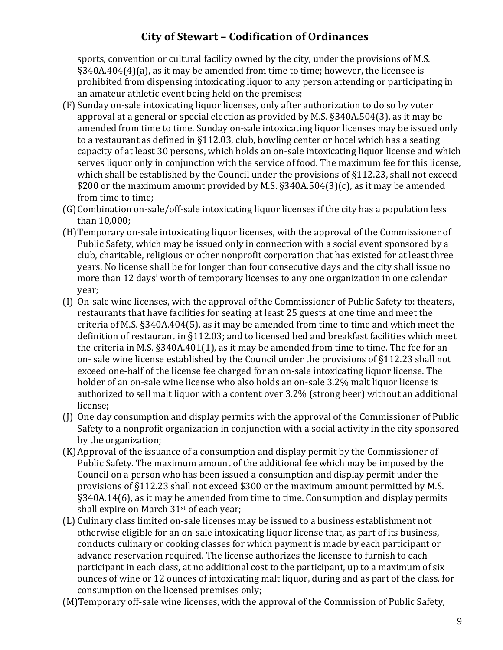sports, convention or cultural facility owned by the city, under the provisions of M.S. §340A.404(4)(a), as it may be amended from time to time; however, the licensee is prohibited from dispensing intoxicating liquor to any person attending or participating in an amateur athletic event being held on the premises;

- (F) Sunday on-sale intoxicating liquor licenses, only after authorization to do so by voter approval at a general or special election as provided by M.S. §340A.504(3), as it may be amended from time to time. Sunday on-sale intoxicating liquor licenses may be issued only to a restaurant as defined in §112.03, club, bowling center or hotel which has a seating capacity of at least 30 persons, which holds an on-sale intoxicating liquor license and which serves liquor only in conjunction with the service of food. The maximum fee for this license, which shall be established by the Council under the provisions of §112.23, shall not exceed \$200 or the maximum amount provided by M.S. §340A.504(3)(c), as it may be amended from time to time;
- (G)Combination on-sale/off-sale intoxicating liquor licenses if the city has a population less than 10,000;
- (H)Temporary on-sale intoxicating liquor licenses, with the approval of the Commissioner of Public Safety, which may be issued only in connection with a social event sponsored by a club, charitable, religious or other nonprofit corporation that has existed for at least three years. No license shall be for longer than four consecutive days and the city shall issue no more than 12 days' worth of temporary licenses to any one organization in one calendar year;
- (I) On-sale wine licenses, with the approval of the Commissioner of Public Safety to: theaters, restaurants that have facilities for seating at least 25 guests at one time and meet the criteria of M.S. §340A.404(5), as it may be amended from time to time and which meet the definition of restaurant in §112.03; and to licensed bed and breakfast facilities which meet the criteria in M.S. §340A.401(1), as it may be amended from time to time. The fee for an on- sale wine license established by the Council under the provisions of §112.23 shall not exceed one-half of the license fee charged for an on-sale intoxicating liquor license. The holder of an on-sale wine license who also holds an on-sale 3.2% malt liquor license is authorized to sell malt liquor with a content over 3.2% (strong beer) without an additional license;
- (J) One day consumption and display permits with the approval of the Commissioner of Public Safety to a nonprofit organization in conjunction with a social activity in the city sponsored by the organization;
- (K)Approval of the issuance of a consumption and display permit by the Commissioner of Public Safety. The maximum amount of the additional fee which may be imposed by the Council on a person who has been issued a consumption and display permit under the provisions of §112.23 shall not exceed \$300 or the maximum amount permitted by M.S. §340A.14(6), as it may be amended from time to time. Consumption and display permits shall expire on March 31st of each year;
- (L) Culinary class limited on-sale licenses may be issued to a business establishment not otherwise eligible for an on-sale intoxicating liquor license that, as part of its business, conducts culinary or cooking classes for which payment is made by each participant or advance reservation required. The license authorizes the licensee to furnish to each participant in each class, at no additional cost to the participant, up to a maximum of six ounces of wine or 12 ounces of intoxicating malt liquor, during and as part of the class, for consumption on the licensed premises only;
- (M)Temporary off-sale wine licenses, with the approval of the Commission of Public Safety,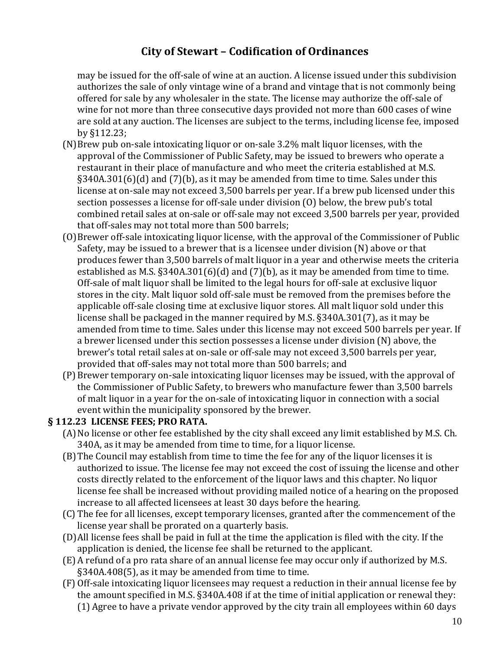may be issued for the off-sale of wine at an auction. A license issued under this subdivision authorizes the sale of only vintage wine of a brand and vintage that is not commonly being offered for sale by any wholesaler in the state. The license may authorize the off-sale of wine for not more than three consecutive days provided not more than 600 cases of wine are sold at any auction. The licenses are subject to the terms, including license fee, imposed by §112.23;

- (N)Brew pub on-sale intoxicating liquor or on-sale 3.2% malt liquor licenses, with the approval of the Commissioner of Public Safety, may be issued to brewers who operate a restaurant in their place of manufacture and who meet the criteria established at M.S. §340A.301(6)(d) and (7)(b), as it may be amended from time to time. Sales under this license at on-sale may not exceed 3,500 barrels per year. If a brew pub licensed under this section possesses a license for off-sale under division (O) below, the brew pub's total combined retail sales at on-sale or off-sale may not exceed 3,500 barrels per year, provided that off-sales may not total more than 500 barrels;
- (O)Brewer off-sale intoxicating liquor license, with the approval of the Commissioner of Public Safety, may be issued to a brewer that is a licensee under division (N) above or that produces fewer than 3,500 barrels of malt liquor in a year and otherwise meets the criteria established as M.S. §340A.301(6)(d) and (7)(b), as it may be amended from time to time. Off-sale of malt liquor shall be limited to the legal hours for off-sale at exclusive liquor stores in the city. Malt liquor sold off-sale must be removed from the premises before the applicable off-sale closing time at exclusive liquor stores. All malt liquor sold under this license shall be packaged in the manner required by M.S. §340A.301(7), as it may be amended from time to time. Sales under this license may not exceed 500 barrels per year. If a brewer licensed under this section possesses a license under division (N) above, the brewer's total retail sales at on-sale or off-sale may not exceed 3,500 barrels per year, provided that off-sales may not total more than 500 barrels; and
- (P) Brewer temporary on-sale intoxicating liquor licenses may be issued, with the approval of the Commissioner of Public Safety, to brewers who manufacture fewer than 3,500 barrels of malt liquor in a year for the on-sale of intoxicating liquor in connection with a social event within the municipality sponsored by the brewer.

#### **§ 112.23 LICENSE FEES; PRO RATA.**

- (A)No license or other fee established by the city shall exceed any limit established by M.S. Ch. 340A, as it may be amended from time to time, for a liquor license.
- (B)The Council may establish from time to time the fee for any of the liquor licenses it is authorized to issue. The license fee may not exceed the cost of issuing the license and other costs directly related to the enforcement of the liquor laws and this chapter. No liquor license fee shall be increased without providing mailed notice of a hearing on the proposed increase to all affected licensees at least 30 days before the hearing.
- (C) The fee for all licenses, except temporary licenses, granted after the commencement of the license year shall be prorated on a quarterly basis.
- (D)All license fees shall be paid in full at the time the application is filed with the city. If the application is denied, the license fee shall be returned to the applicant.
- (E) A refund of a pro rata share of an annual license fee may occur only if authorized by M.S. §340A.408(5), as it may be amended from time to time.
- (F) Off-sale intoxicating liquor licensees may request a reduction in their annual license fee by the amount specified in M.S. §340A.408 if at the time of initial application or renewal they: (1) Agree to have a private vendor approved by the city train all employees within 60 days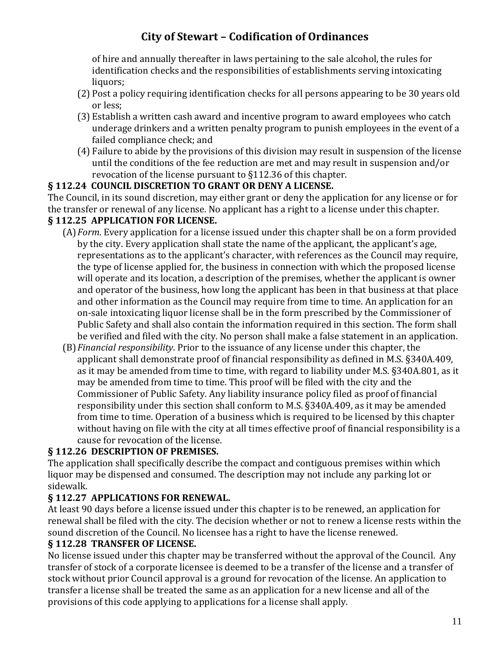of hire and annually thereafter in laws pertaining to the sale alcohol, the rules for identification checks and the responsibilities of establishments serving intoxicating liquors;

- (2) Post a policy requiring identification checks for all persons appearing to be 30 years old or less;
- (3) Establish a written cash award and incentive program to award employees who catch underage drinkers and a written penalty program to punish employees in the event of a failed compliance check; and
- (4) Failure to abide by the provisions of this division may result in suspension of the license until the conditions of the fee reduction are met and may result in suspension and/or revocation of the license pursuant to §112.36 of this chapter.

### **§ 112.24 COUNCIL DISCRETION TO GRANT OR DENY A LICENSE.**

The Council, in its sound discretion, may either grant or deny the application for any license or for the transfer or renewal of any license. No applicant has a right to a license under this chapter.

### **§ 112.25 APPLICATION FOR LICENSE.**

- (A)*Form*. Every application for a license issued under this chapter shall be on a form provided by the city. Every application shall state the name of the applicant, the applicant's age, representations as to the applicant's character, with references as the Council may require, the type of license applied for, the business in connection with which the proposed license will operate and its location, a description of the premises, whether the applicant is owner and operator of the business, how long the applicant has been in that business at that place and other information as the Council may require from time to time. An application for an on-sale intoxicating liquor license shall be in the form prescribed by the Commissioner of Public Safety and shall also contain the information required in this section. The form shall be verified and filed with the city. No person shall make a false statement in an application.
- (B)*Financial responsibility*. Prior to the issuance of any license under this chapter, the applicant shall demonstrate proof of financial responsibility as defined in M.S. §340A.409, as it may be amended from time to time, with regard to liability under M.S. §340A.801, as it may be amended from time to time. This proof will be filed with the city and the Commissioner of Public Safety. Any liability insurance policy filed as proof of financial responsibility under this section shall conform to M.S. §340A.409, as it may be amended from time to time. Operation of a business which is required to be licensed by this chapter without having on file with the city at all times effective proof of financial responsibility is a cause for revocation of the license.

### **§ 112.26 DESCRIPTION OF PREMISES.**

The application shall specifically describe the compact and contiguous premises within which liquor may be dispensed and consumed. The description may not include any parking lot or sidewalk.

#### **§ 112.27 APPLICATIONS FOR RENEWAL.**

At least 90 days before a license issued under this chapter is to be renewed, an application for renewal shall be filed with the city. The decision whether or not to renew a license rests within the sound discretion of the Council. No licensee has a right to have the license renewed.

#### **§ 112.28 TRANSFER OF LICENSE.**

No license issued under this chapter may be transferred without the approval of the Council. Any transfer of stock of a corporate licensee is deemed to be a transfer of the license and a transfer of stock without prior Council approval is a ground for revocation of the license. An application to transfer a license shall be treated the same as an application for a new license and all of the provisions of this code applying to applications for a license shall apply.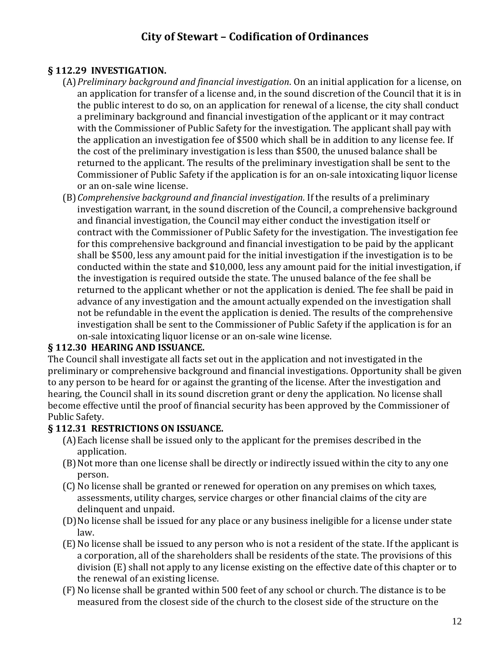#### **§ 112.29 INVESTIGATION.**

- (A)*Preliminary background and financial investigation*. On an initial application for a license, on an application for transfer of a license and, in the sound discretion of the Council that it is in the public interest to do so, on an application for renewal of a license, the city shall conduct a preliminary background and financial investigation of the applicant or it may contract with the Commissioner of Public Safety for the investigation. The applicant shall pay with the application an investigation fee of \$500 which shall be in addition to any license fee. If the cost of the preliminary investigation is less than \$500, the unused balance shall be returned to the applicant. The results of the preliminary investigation shall be sent to the Commissioner of Public Safety if the application is for an on-sale intoxicating liquor license or an on-sale wine license.
- (B)*Comprehensive background and financial investigation*. If the results of a preliminary investigation warrant, in the sound discretion of the Council, a comprehensive background and financial investigation, the Council may either conduct the investigation itself or contract with the Commissioner of Public Safety for the investigation. The investigation fee for this comprehensive background and financial investigation to be paid by the applicant shall be \$500, less any amount paid for the initial investigation if the investigation is to be conducted within the state and \$10,000, less any amount paid for the initial investigation, if the investigation is required outside the state. The unused balance of the fee shall be returned to the applicant whether or not the application is denied. The fee shall be paid in advance of any investigation and the amount actually expended on the investigation shall not be refundable in the event the application is denied. The results of the comprehensive investigation shall be sent to the Commissioner of Public Safety if the application is for an on-sale intoxicating liquor license or an on-sale wine license.

#### **§ 112.30 HEARING AND ISSUANCE.**

The Council shall investigate all facts set out in the application and not investigated in the preliminary or comprehensive background and financial investigations. Opportunity shall be given to any person to be heard for or against the granting of the license. After the investigation and hearing, the Council shall in its sound discretion grant or deny the application. No license shall become effective until the proof of financial security has been approved by the Commissioner of Public Safety.

#### **§ 112.31 RESTRICTIONS ON ISSUANCE.**

- (A)Each license shall be issued only to the applicant for the premises described in the application.
- (B)Not more than one license shall be directly or indirectly issued within the city to any one person.
- (C) No license shall be granted or renewed for operation on any premises on which taxes, assessments, utility charges, service charges or other financial claims of the city are delinquent and unpaid.
- (D)No license shall be issued for any place or any business ineligible for a license under state law.
- (E)No license shall be issued to any person who is not a resident of the state. If the applicant is a corporation, all of the shareholders shall be residents of the state. The provisions of this division (E) shall not apply to any license existing on the effective date of this chapter or to the renewal of an existing license.
- (F) No license shall be granted within 500 feet of any school or church. The distance is to be measured from the closest side of the church to the closest side of the structure on the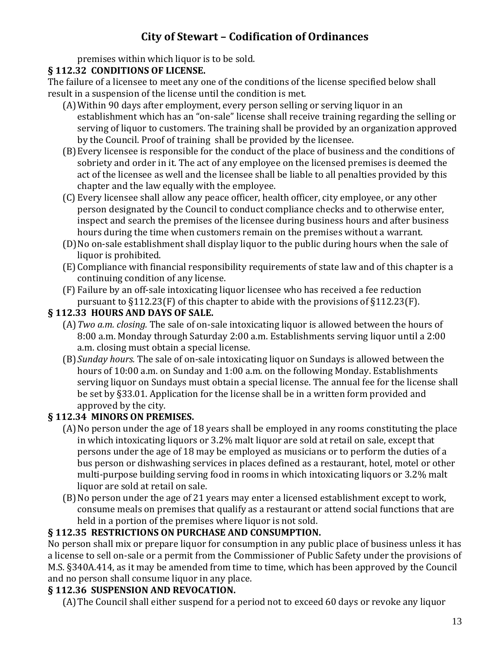premises within which liquor is to be sold.

#### **§ 112.32 CONDITIONS OF LICENSE.**

The failure of a licensee to meet any one of the conditions of the license specified below shall result in a suspension of the license until the condition is met.

- (A)Within 90 days after employment, every person selling or serving liquor in an establishment which has an "on-sale" license shall receive training regarding the selling or serving of liquor to customers. The training shall be provided by an organization approved by the Council. Proof of training shall be provided by the licensee.
- (B)Every licensee is responsible for the conduct of the place of business and the conditions of sobriety and order in it. The act of any employee on the licensed premises is deemed the act of the licensee as well and the licensee shall be liable to all penalties provided by this chapter and the law equally with the employee.
- (C) Every licensee shall allow any peace officer, health officer, city employee, or any other person designated by the Council to conduct compliance checks and to otherwise enter, inspect and search the premises of the licensee during business hours and after business hours during the time when customers remain on the premises without a warrant.
- (D)No on-sale establishment shall display liquor to the public during hours when the sale of liquor is prohibited.
- (E) Compliance with financial responsibility requirements of state law and of this chapter is a continuing condition of any license.
- (F) Failure by an off-sale intoxicating liquor licensee who has received a fee reduction pursuant to §112.23(F) of this chapter to abide with the provisions of §112.23(F).

### **§ 112.33 HOURS AND DAYS OF SALE.**

- (A)*Two a.m. closing.* The sale of on-sale intoxicating liquor is allowed between the hours of 8:00 a.m. Monday through Saturday 2:00 a.m. Establishments serving liquor until a 2:00 a.m. closing must obtain a special license.
- (B) *Sunday hours.* The sale of on-sale intoxicating liquor on Sundays is allowed between the hours of 10:00 a.m. on Sunday and 1:00 a.m. on the following Monday. Establishments serving liquor on Sundays must obtain a special license. The annual fee for the license shall be set by §33.01. Application for the license shall be in a written form provided and approved by the city.

### **§ 112.34 MINORS ON PREMISES.**

- (A)No person under the age of 18 years shall be employed in any rooms constituting the place in which intoxicating liquors or 3.2% malt liquor are sold at retail on sale, except that persons under the age of 18 may be employed as musicians or to perform the duties of a bus person or dishwashing services in places defined as a restaurant, hotel, motel or other multi-purpose building serving food in rooms in which intoxicating liquors or 3.2% malt liquor are sold at retail on sale.
- (B)No person under the age of 21 years may enter a licensed establishment except to work, consume meals on premises that qualify as a restaurant or attend social functions that are held in a portion of the premises where liquor is not sold.

### **§ 112.35 RESTRICTIONS ON PURCHASE AND CONSUMPTION.**

No person shall mix or prepare liquor for consumption in any public place of business unless it has a license to sell on-sale or a permit from the Commissioner of Public Safety under the provisions of M.S. §340A.414, as it may be amended from time to time, which has been approved by the Council and no person shall consume liquor in any place.

### **§ 112.36 SUSPENSION AND REVOCATION.**

(A)The Council shall either suspend for a period not to exceed 60 days or revoke any liquor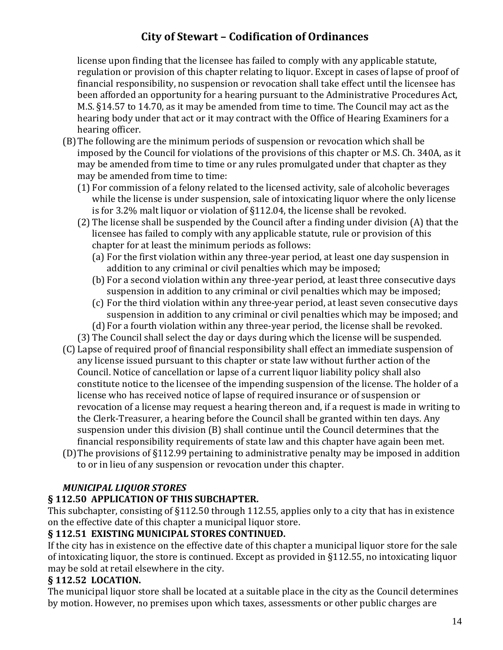license upon finding that the licensee has failed to comply with any applicable statute, regulation or provision of this chapter relating to liquor. Except in cases of lapse of proof of financial responsibility, no suspension or revocation shall take effect until the licensee has been afforded an opportunity for a hearing pursuant to the Administrative Procedures Act, M.S. §14.57 to 14.70, as it may be amended from time to time. The Council may act as the hearing body under that act or it may contract with the Office of Hearing Examiners for a hearing officer.

- (B)The following are the minimum periods of suspension or revocation which shall be imposed by the Council for violations of the provisions of this chapter or M.S. Ch. 340A, as it may be amended from time to time or any rules promulgated under that chapter as they may be amended from time to time:
	- (1) For commission of a felony related to the licensed activity, sale of alcoholic beverages while the license is under suspension, sale of intoxicating liquor where the only license is for 3.2% malt liquor or violation of §112.04, the license shall be revoked.
	- (2) The license shall be suspended by the Council after a finding under division (A) that the licensee has failed to comply with any applicable statute, rule or provision of this chapter for at least the minimum periods as follows:
		- (a) For the first violation within any three-year period, at least one day suspension in addition to any criminal or civil penalties which may be imposed;
		- (b) For a second violation within any three-year period, at least three consecutive days suspension in addition to any criminal or civil penalties which may be imposed;
		- (c) For the third violation within any three-year period, at least seven consecutive days suspension in addition to any criminal or civil penalties which may be imposed; and
		- (d) For a fourth violation within any three-year period, the license shall be revoked.
	- (3) The Council shall select the day or days during which the license will be suspended.
- (C) Lapse of required proof of financial responsibility shall effect an immediate suspension of any license issued pursuant to this chapter or state law without further action of the Council. Notice of cancellation or lapse of a current liquor liability policy shall also constitute notice to the licensee of the impending suspension of the license. The holder of a license who has received notice of lapse of required insurance or of suspension or revocation of a license may request a hearing thereon and, if a request is made in writing to the Clerk-Treasurer, a hearing before the Council shall be granted within ten days. Any suspension under this division (B) shall continue until the Council determines that the financial responsibility requirements of state law and this chapter have again been met.
- (D)The provisions of §112.99 pertaining to administrative penalty may be imposed in addition to or in lieu of any suspension or revocation under this chapter.

### *MUNICIPAL LIQUOR STORES*

### **§ 112.50 APPLICATION OF THIS SUBCHAPTER.**

This subchapter, consisting of §112.50 through 112.55, applies only to a city that has in existence on the effective date of this chapter a municipal liquor store.

#### **§ 112.51 EXISTING MUNICIPAL STORES CONTINUED.**

If the city has in existence on the effective date of this chapter a municipal liquor store for the sale of intoxicating liquor, the store is continued. Except as provided in §112.55, no intoxicating liquor may be sold at retail elsewhere in the city.

### **§ 112.52 LOCATION.**

The municipal liquor store shall be located at a suitable place in the city as the Council determines by motion. However, no premises upon which taxes, assessments or other public charges are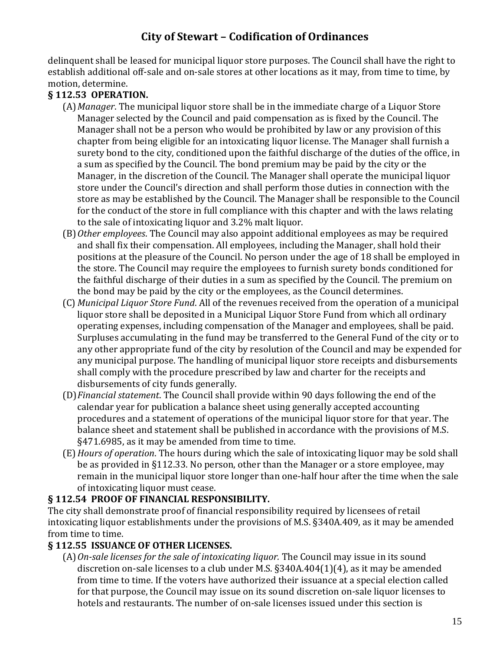delinquent shall be leased for municipal liquor store purposes. The Council shall have the right to establish additional off-sale and on-sale stores at other locations as it may, from time to time, by motion, determine.

#### **§ 112.53 OPERATION.**

- (A)*Manager*. The municipal liquor store shall be in the immediate charge of a Liquor Store Manager selected by the Council and paid compensation as is fixed by the Council. The Manager shall not be a person who would be prohibited by law or any provision of this chapter from being eligible for an intoxicating liquor license. The Manager shall furnish a surety bond to the city, conditioned upon the faithful discharge of the duties of the office, in a sum as specified by the Council. The bond premium may be paid by the city or the Manager, in the discretion of the Council. The Manager shall operate the municipal liquor store under the Council's direction and shall perform those duties in connection with the store as may be established by the Council. The Manager shall be responsible to the Council for the conduct of the store in full compliance with this chapter and with the laws relating to the sale of intoxicating liquor and 3.2% malt liquor.
- (B)*Other employees*. The Council may also appoint additional employees as may be required and shall fix their compensation. All employees, including the Manager, shall hold their positions at the pleasure of the Council. No person under the age of 18 shall be employed in the store. The Council may require the employees to furnish surety bonds conditioned for the faithful discharge of their duties in a sum as specified by the Council. The premium on the bond may be paid by the city or the employees, as the Council determines.
- (C) *Municipal Liquor Store Fund*. All of the revenues received from the operation of a municipal liquor store shall be deposited in a Municipal Liquor Store Fund from which all ordinary operating expenses, including compensation of the Manager and employees, shall be paid. Surpluses accumulating in the fund may be transferred to the General Fund of the city or to any other appropriate fund of the city by resolution of the Council and may be expended for any municipal purpose. The handling of municipal liquor store receipts and disbursements shall comply with the procedure prescribed by law and charter for the receipts and disbursements of city funds generally.
- (D)*Financial statement*. The Council shall provide within 90 days following the end of the calendar year for publication a balance sheet using generally accepted accounting procedures and a statement of operations of the municipal liquor store for that year. The balance sheet and statement shall be published in accordance with the provisions of M.S. §471.6985, as it may be amended from time to time.
- (E)*Hours of operation*. The hours during which the sale of intoxicating liquor may be sold shall be as provided in §112.33. No person, other than the Manager or a store employee, may remain in the municipal liquor store longer than one-half hour after the time when the sale of intoxicating liquor must cease.

#### **§ 112.54 PROOF OF FINANCIAL RESPONSIBILITY.**

The city shall demonstrate proof of financial responsibility required by licensees of retail intoxicating liquor establishments under the provisions of M.S. §340A.409, as it may be amended from time to time.

### **§ 112.55 ISSUANCE OF OTHER LICENSES.**

(A)*On-sale licenses for the sale of intoxicating liquor.* The Council may issue in its sound discretion on-sale licenses to a club under M.S. §340A.404(1)(4), as it may be amended from time to time. If the voters have authorized their issuance at a special election called for that purpose, the Council may issue on its sound discretion on-sale liquor licenses to hotels and restaurants. The number of on-sale licenses issued under this section is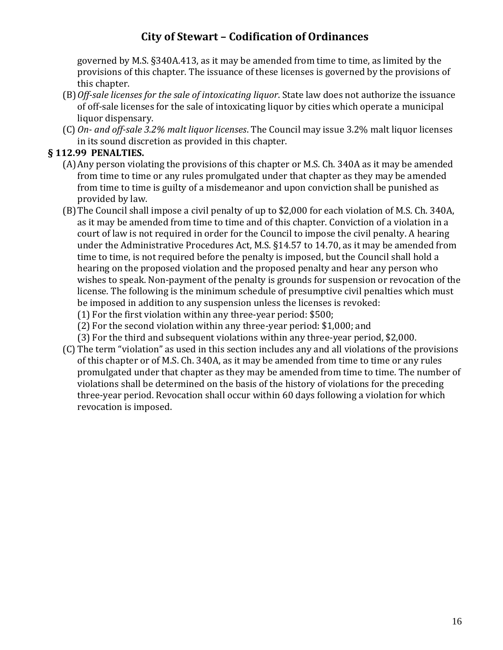governed by M.S. §340A.413, as it may be amended from time to time, as limited by the provisions of this chapter. The issuance of these licenses is governed by the provisions of this chapter.

- (B)*Off-sale licenses for the sale of intoxicating liquor*. State law does not authorize the issuance of off-sale licenses for the sale of intoxicating liquor by cities which operate a municipal liquor dispensary.
- (C) *On- and off-sale 3.2% malt liquor licenses*. The Council may issue 3.2% malt liquor licenses in its sound discretion as provided in this chapter.

#### **§ 112.99 PENALTIES.**

- (A)Any person violating the provisions of this chapter or M.S. Ch. 340A as it may be amended from time to time or any rules promulgated under that chapter as they may be amended from time to time is guilty of a misdemeanor and upon conviction shall be punished as provided by law.
- (B)The Council shall impose a civil penalty of up to \$2,000 for each violation of M.S. Ch. 340A, as it may be amended from time to time and of this chapter. Conviction of a violation in a court of law is not required in order for the Council to impose the civil penalty. A hearing under the Administrative Procedures Act, M.S. §14.57 to 14.70, as it may be amended from time to time, is not required before the penalty is imposed, but the Council shall hold a hearing on the proposed violation and the proposed penalty and hear any person who wishes to speak. Non-payment of the penalty is grounds for suspension or revocation of the license. The following is the minimum schedule of presumptive civil penalties which must be imposed in addition to any suspension unless the licenses is revoked:
	- (1) For the first violation within any three-year period: \$500;
	- (2) For the second violation within any three-year period: \$1,000; and
	- (3) For the third and subsequent violations within any three-year period, \$2,000.
- (C) The term "violation" as used in this section includes any and all violations of the provisions of this chapter or of M.S. Ch. 340A, as it may be amended from time to time or any rules promulgated under that chapter as they may be amended from time to time. The number of violations shall be determined on the basis of the history of violations for the preceding three-year period. Revocation shall occur within 60 days following a violation for which revocation is imposed.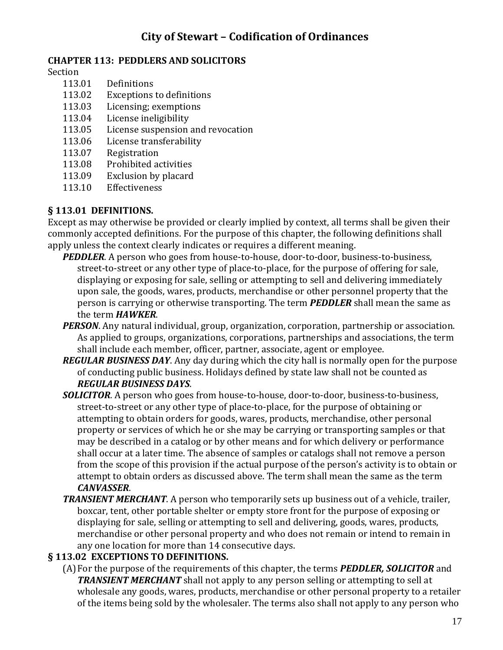#### **CHAPTER 113: PEDDLERS AND SOLICITORS**

Section

- 113.01 Definitions
- 113.02 Exceptions to definitions
- 113.03 Licensing; exemptions
- 113.04 License ineligibility
- 113.05 License suspension and revocation
- 113.06 License transferability
- 113.07 Registration
- 113.08 Prohibited activities
- 113.09 Exclusion by placard
- 113.10 Effectiveness

#### **§ 113.01 DEFINITIONS.**

Except as may otherwise be provided or clearly implied by context, all terms shall be given their commonly accepted definitions. For the purpose of this chapter, the following definitions shall apply unless the context clearly indicates or requires a different meaning.

- *PEDDLER*. A person who goes from house-to-house, door-to-door, business-to-business, street-to-street or any other type of place-to-place, for the purpose of offering for sale, displaying or exposing for sale, selling or attempting to sell and delivering immediately upon sale, the goods, wares, products, merchandise or other personnel property that the person is carrying or otherwise transporting. The term *PEDDLER* shall mean the same as the term *HAWKER*.
- *PERSON*. Any natural individual, group, organization, corporation, partnership or association. As applied to groups, organizations, corporations, partnerships and associations, the term shall include each member, officer, partner, associate, agent or employee.
- *REGULAR BUSINESS DAY*. Any day during which the city hall is normally open for the purpose of conducting public business. Holidays defined by state law shall not be counted as *REGULAR BUSINESS DAYS*.
- *SOLICITOR*. A person who goes from house-to-house, door-to-door, business-to-business, street-to-street or any other type of place-to-place, for the purpose of obtaining or attempting to obtain orders for goods, wares, products, merchandise, other personal property or services of which he or she may be carrying or transporting samples or that may be described in a catalog or by other means and for which delivery or performance shall occur at a later time. The absence of samples or catalogs shall not remove a person from the scope of this provision if the actual purpose of the person's activity is to obtain or attempt to obtain orders as discussed above. The term shall mean the same as the term *CANVASSER*.
- *TRANSIENT MERCHANT*. A person who temporarily sets up business out of a vehicle, trailer, boxcar, tent, other portable shelter or empty store front for the purpose of exposing or displaying for sale, selling or attempting to sell and delivering, goods, wares, products, merchandise or other personal property and who does not remain or intend to remain in any one location for more than 14 consecutive days.

### **§ 113.02 EXCEPTIONS TO DEFINITIONS.**

(A)For the purpose of the requirements of this chapter, the terms *PEDDLER, SOLICITOR* and *TRANSIENT MERCHANT* shall not apply to any person selling or attempting to sell at wholesale any goods, wares, products, merchandise or other personal property to a retailer of the items being sold by the wholesaler. The terms also shall not apply to any person who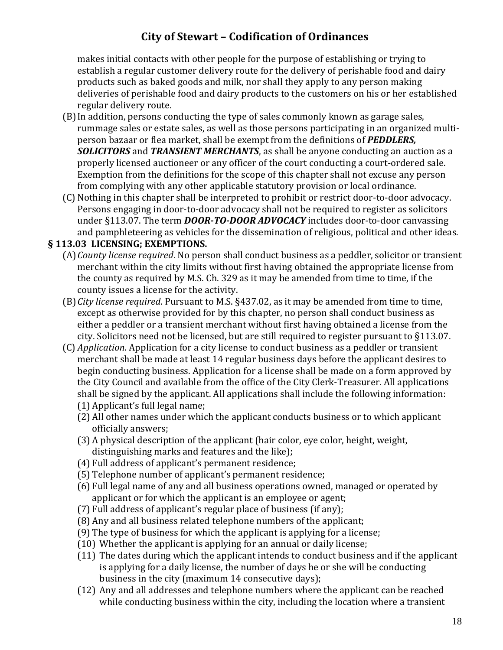makes initial contacts with other people for the purpose of establishing or trying to establish a regular customer delivery route for the delivery of perishable food and dairy products such as baked goods and milk, nor shall they apply to any person making deliveries of perishable food and dairy products to the customers on his or her established regular delivery route.

- (B)In addition, persons conducting the type of sales commonly known as garage sales, rummage sales or estate sales, as well as those persons participating in an organized multiperson bazaar or flea market, shall be exempt from the definitions of *PEDDLERS, SOLICITORS* and *TRANSIENT MERCHANTS*, as shall be anyone conducting an auction as a properly licensed auctioneer or any officer of the court conducting a court-ordered sale. Exemption from the definitions for the scope of this chapter shall not excuse any person from complying with any other applicable statutory provision or local ordinance.
- (C) Nothing in this chapter shall be interpreted to prohibit or restrict door-to-door advocacy. Persons engaging in door-to-door advocacy shall not be required to register as solicitors under §113.07. The term *DOOR-TO-DOOR ADVOCACY* includes door-to-door canvassing and pamphleteering as vehicles for the dissemination of religious, political and other ideas.

#### **§ 113.03 LICENSING; EXEMPTIONS.**

- (A)*County license required*. No person shall conduct business as a peddler, solicitor or transient merchant within the city limits without first having obtained the appropriate license from the county as required by M.S. Ch. 329 as it may be amended from time to time, if the county issues a license for the activity.
- (B)*City license required*. Pursuant to M.S. §437.02, as it may be amended from time to time, except as otherwise provided for by this chapter, no person shall conduct business as either a peddler or a transient merchant without first having obtained a license from the city. Solicitors need not be licensed, but are still required to register pursuant to §113.07.
- (C) *Application*. Application for a city license to conduct business as a peddler or transient merchant shall be made at least 14 regular business days before the applicant desires to begin conducting business. Application for a license shall be made on a form approved by the City Council and available from the office of the City Clerk-Treasurer. All applications shall be signed by the applicant. All applications shall include the following information: (1) Applicant's full legal name;
	- (2) All other names under which the applicant conducts business or to which applicant officially answers;
	- (3) A physical description of the applicant (hair color, eye color, height, weight, distinguishing marks and features and the like);
	- (4) Full address of applicant's permanent residence;
	- (5) Telephone number of applicant's permanent residence;
	- (6) Full legal name of any and all business operations owned, managed or operated by applicant or for which the applicant is an employee or agent;
	- (7) Full address of applicant's regular place of business (if any);
	- (8) Any and all business related telephone numbers of the applicant;
	- (9) The type of business for which the applicant is applying for a license;
	- (10) Whether the applicant is applying for an annual or daily license;
	- (11) The dates during which the applicant intends to conduct business and if the applicant is applying for a daily license, the number of days he or she will be conducting business in the city (maximum 14 consecutive days);
	- (12) Any and all addresses and telephone numbers where the applicant can be reached while conducting business within the city, including the location where a transient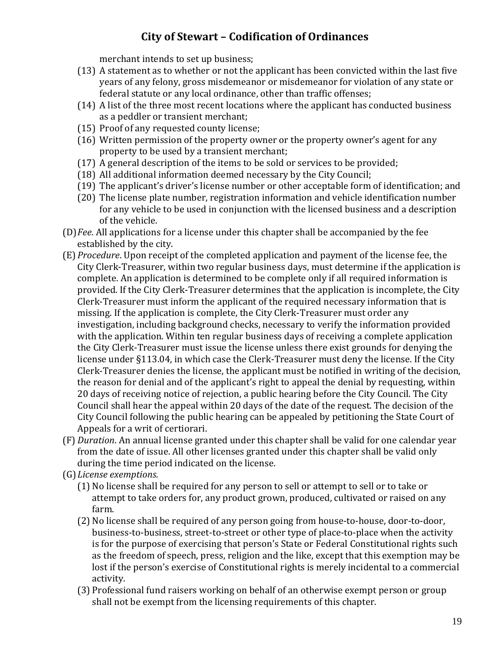merchant intends to set up business;

- (13) A statement as to whether or not the applicant has been convicted within the last five years of any felony, gross misdemeanor or misdemeanor for violation of any state or federal statute or any local ordinance, other than traffic offenses;
- (14) A list of the three most recent locations where the applicant has conducted business as a peddler or transient merchant;
- (15) Proof of any requested county license;
- (16) Written permission of the property owner or the property owner's agent for any property to be used by a transient merchant;
- (17) A general description of the items to be sold or services to be provided;
- (18) All additional information deemed necessary by the City Council;
- (19) The applicant's driver's license number or other acceptable form of identification; and
- (20) The license plate number, registration information and vehicle identification number for any vehicle to be used in conjunction with the licensed business and a description of the vehicle.
- (D)*Fee*. All applications for a license under this chapter shall be accompanied by the fee established by the city.
- (E) *Procedure*. Upon receipt of the completed application and payment of the license fee, the City Clerk-Treasurer, within two regular business days, must determine if the application is complete. An application is determined to be complete only if all required information is provided. If the City Clerk-Treasurer determines that the application is incomplete, the City Clerk-Treasurer must inform the applicant of the required necessary information that is missing. If the application is complete, the City Clerk-Treasurer must order any investigation, including background checks, necessary to verify the information provided with the application. Within ten regular business days of receiving a complete application the City Clerk-Treasurer must issue the license unless there exist grounds for denying the license under §113.04, in which case the Clerk-Treasurer must deny the license. If the City Clerk-Treasurer denies the license, the applicant must be notified in writing of the decision, the reason for denial and of the applicant's right to appeal the denial by requesting, within 20 days of receiving notice of rejection, a public hearing before the City Council. The City Council shall hear the appeal within 20 days of the date of the request. The decision of the City Council following the public hearing can be appealed by petitioning the State Court of Appeals for a writ of certiorari.
- (F) *Duration*. An annual license granted under this chapter shall be valid for one calendar year from the date of issue. All other licenses granted under this chapter shall be valid only during the time period indicated on the license.
- (G)*License exemptions.*
	- (1) No license shall be required for any person to sell or attempt to sell or to take or attempt to take orders for, any product grown, produced, cultivated or raised on any farm.
	- (2) No license shall be required of any person going from house-to-house, door-to-door, business-to-business, street-to-street or other type of place-to-place when the activity is for the purpose of exercising that person's State or Federal Constitutional rights such as the freedom of speech, press, religion and the like, except that this exemption may be lost if the person's exercise of Constitutional rights is merely incidental to a commercial activity.
	- (3) Professional fund raisers working on behalf of an otherwise exempt person or group shall not be exempt from the licensing requirements of this chapter.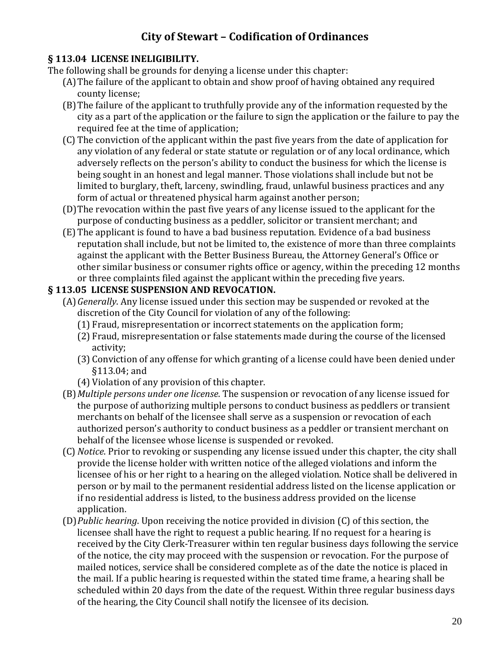### **§ 113.04 LICENSE INELIGIBILITY.**

The following shall be grounds for denying a license under this chapter:

- (A)The failure of the applicant to obtain and show proof of having obtained any required county license;
- (B)The failure of the applicant to truthfully provide any of the information requested by the city as a part of the application or the failure to sign the application or the failure to pay the required fee at the time of application;
- (C) The conviction of the applicant within the past five years from the date of application for any violation of any federal or state statute or regulation or of any local ordinance, which adversely reflects on the person's ability to conduct the business for which the license is being sought in an honest and legal manner. Those violations shall include but not be limited to burglary, theft, larceny, swindling, fraud, unlawful business practices and any form of actual or threatened physical harm against another person;
- (D)The revocation within the past five years of any license issued to the applicant for the purpose of conducting business as a peddler, solicitor or transient merchant; and
- (E) The applicant is found to have a bad business reputation. Evidence of a bad business reputation shall include, but not be limited to, the existence of more than three complaints against the applicant with the Better Business Bureau, the Attorney General's Office or other similar business or consumer rights office or agency, within the preceding 12 months or three complaints filed against the applicant within the preceding five years.

#### **§ 113.05 LICENSE SUSPENSION AND REVOCATION.**

- (A)*Generally*. Any license issued under this section may be suspended or revoked at the discretion of the City Council for violation of any of the following:
	- (1) Fraud, misrepresentation or incorrect statements on the application form;
	- (2) Fraud, misrepresentation or false statements made during the course of the licensed activity;
	- (3) Conviction of any offense for which granting of a license could have been denied under §113.04; and
	- (4) Violation of any provision of this chapter.
- (B)*Multiple persons under one license*. The suspension or revocation of any license issued for the purpose of authorizing multiple persons to conduct business as peddlers or transient merchants on behalf of the licensee shall serve as a suspension or revocation of each authorized person's authority to conduct business as a peddler or transient merchant on behalf of the licensee whose license is suspended or revoked.
- (C) *Notice*. Prior to revoking or suspending any license issued under this chapter, the city shall provide the license holder with written notice of the alleged violations and inform the licensee of his or her right to a hearing on the alleged violation. Notice shall be delivered in person or by mail to the permanent residential address listed on the license application or if no residential address is listed, to the business address provided on the license application.
- (D)*Public hearing*. Upon receiving the notice provided in division (C) of this section, the licensee shall have the right to request a public hearing. If no request for a hearing is received by the City Clerk-Treasurer within ten regular business days following the service of the notice, the city may proceed with the suspension or revocation. For the purpose of mailed notices, service shall be considered complete as of the date the notice is placed in the mail. If a public hearing is requested within the stated time frame, a hearing shall be scheduled within 20 days from the date of the request. Within three regular business days of the hearing, the City Council shall notify the licensee of its decision.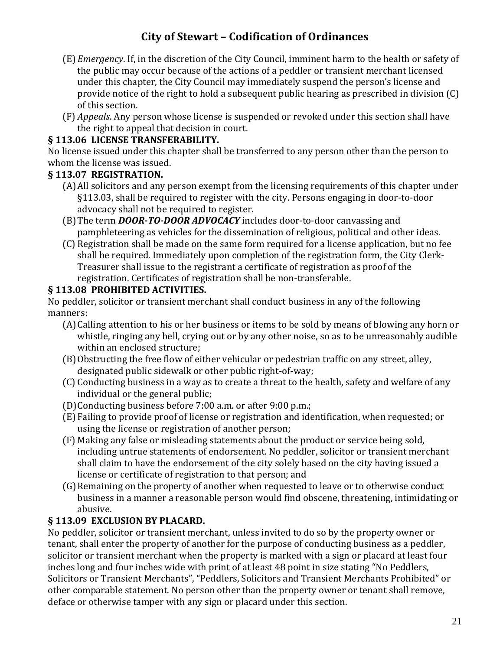- (E) *Emergency*. If, in the discretion of the City Council, imminent harm to the health or safety of the public may occur because of the actions of a peddler or transient merchant licensed under this chapter, the City Council may immediately suspend the person's license and provide notice of the right to hold a subsequent public hearing as prescribed in division (C) of this section.
- (F) *Appeals*. Any person whose license is suspended or revoked under this section shall have the right to appeal that decision in court.

### **§ 113.06 LICENSE TRANSFERABILITY.**

No license issued under this chapter shall be transferred to any person other than the person to whom the license was issued.

### **§ 113.07 REGISTRATION.**

- (A)All solicitors and any person exempt from the licensing requirements of this chapter under §113.03, shall be required to register with the city. Persons engaging in door-to-door advocacy shall not be required to register.
- (B)The term *DOOR-TO-DOOR ADVOCACY* includes door-to-door canvassing and pamphleteering as vehicles for the dissemination of religious, political and other ideas.
- (C) Registration shall be made on the same form required for a license application, but no fee shall be required. Immediately upon completion of the registration form, the City Clerk-Treasurer shall issue to the registrant a certificate of registration as proof of the registration. Certificates of registration shall be non-transferable.

#### **§ 113.08 PROHIBITED ACTIVITIES.**

No peddler, solicitor or transient merchant shall conduct business in any of the following manners:

- (A)Calling attention to his or her business or items to be sold by means of blowing any horn or whistle, ringing any bell, crying out or by any other noise, so as to be unreasonably audible within an enclosed structure;
- (B)Obstructing the free flow of either vehicular or pedestrian traffic on any street, alley, designated public sidewalk or other public right-of-way;
- (C) Conducting business in a way as to create a threat to the health, safety and welfare of any individual or the general public;
- (D)Conducting business before 7:00 a.m. or after 9:00 p.m.;
- (E) Failing to provide proof of license or registration and identification, when requested; or using the license or registration of another person;
- (F) Making any false or misleading statements about the product or service being sold, including untrue statements of endorsement. No peddler, solicitor or transient merchant shall claim to have the endorsement of the city solely based on the city having issued a license or certificate of registration to that person; and
- (G)Remaining on the property of another when requested to leave or to otherwise conduct business in a manner a reasonable person would find obscene, threatening, intimidating or abusive.

### **§ 113.09 EXCLUSION BY PLACARD.**

No peddler, solicitor or transient merchant, unless invited to do so by the property owner or tenant, shall enter the property of another for the purpose of conducting business as a peddler, solicitor or transient merchant when the property is marked with a sign or placard at least four inches long and four inches wide with print of at least 48 point in size stating "No Peddlers, Solicitors or Transient Merchants", "Peddlers, Solicitors and Transient Merchants Prohibited" or other comparable statement. No person other than the property owner or tenant shall remove, deface or otherwise tamper with any sign or placard under this section.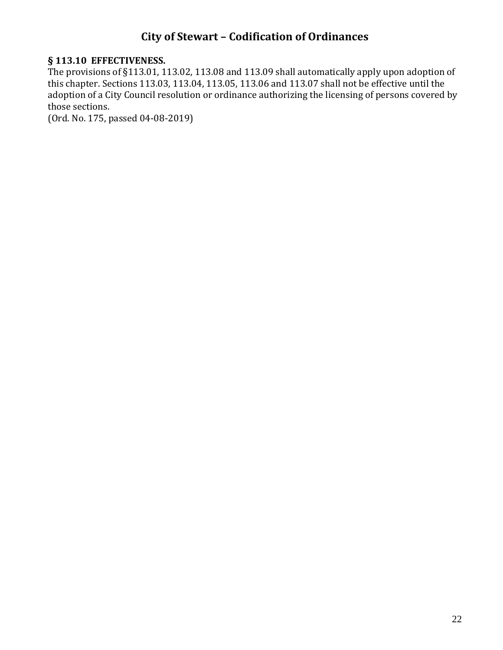#### **§ 113.10 EFFECTIVENESS.**

The provisions of §113.01, 113.02, 113.08 and 113.09 shall automatically apply upon adoption of this chapter. Sections 113.03, 113.04, 113.05, 113.06 and 113.07 shall not be effective until the adoption of a City Council resolution or ordinance authorizing the licensing of persons covered by those sections.

(Ord. No. 175, passed 04-08-2019)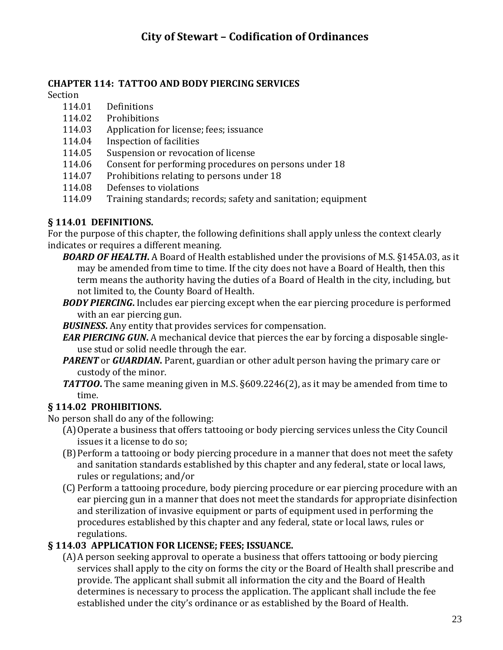### **CHAPTER 114: TATTOO AND BODY PIERCING SERVICES**

Section

- 114.01 Definitions
- 114.02 Prohibitions
- 114.03 Application for license; fees; issuance
- 114.04 Inspection of facilities
- 114.05 Suspension or revocation of license
- 114.06 Consent for performing procedures on persons under 18
- 114.07 Prohibitions relating to persons under 18
- 114.08 Defenses to violations
- 114.09 Training standards; records; safety and sanitation; equipment

### **§ 114.01 DEFINITIONS.**

For the purpose of this chapter, the following definitions shall apply unless the context clearly indicates or requires a different meaning.

- *BOARD OF HEALTH***.** A Board of Health established under the provisions of M.S. §145A.03, as it may be amended from time to time. If the city does not have a Board of Health, then this term means the authority having the duties of a Board of Health in the city, including, but not limited to, the County Board of Health.
- *BODY PIERCING***.** Includes ear piercing except when the ear piercing procedure is performed with an ear piercing gun.
- *BUSINESS***.** Any entity that provides services for compensation.
- *EAR PIERCING GUN***.** A mechanical device that pierces the ear by forcing a disposable singleuse stud or solid needle through the ear.
- *PARENT* or *GUARDIAN*. Parent, guardian or other adult person having the primary care or custody of the minor.
- *TATTOO***.** The same meaning given in M.S. §609.2246(2), as it may be amended from time to time.

### **§ 114.02 PROHIBITIONS.**

No person shall do any of the following:

- (A)Operate a business that offers tattooing or body piercing services unless the City Council issues it a license to do so;
- (B)Perform a tattooing or body piercing procedure in a manner that does not meet the safety and sanitation standards established by this chapter and any federal, state or local laws, rules or regulations; and/or
- (C) Perform a tattooing procedure, body piercing procedure or ear piercing procedure with an ear piercing gun in a manner that does not meet the standards for appropriate disinfection and sterilization of invasive equipment or parts of equipment used in performing the procedures established by this chapter and any federal, state or local laws, rules or regulations.

### **§ 114.03 APPLICATION FOR LICENSE; FEES; ISSUANCE.**

(A)A person seeking approval to operate a business that offers tattooing or body piercing services shall apply to the city on forms the city or the Board of Health shall prescribe and provide. The applicant shall submit all information the city and the Board of Health determines is necessary to process the application. The applicant shall include the fee established under the city's ordinance or as established by the Board of Health.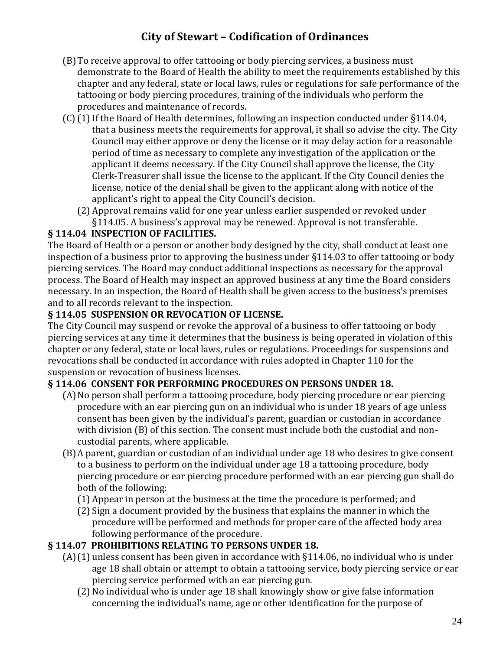- (B)To receive approval to offer tattooing or body piercing services, a business must demonstrate to the Board of Health the ability to meet the requirements established by this chapter and any federal, state or local laws, rules or regulations for safe performance of the tattooing or body piercing procedures, training of the individuals who perform the procedures and maintenance of records.
- (C)(1)If the Board of Health determines, following an inspection conducted under §114.04, that a business meets the requirements for approval, it shall so advise the city. The City Council may either approve or deny the license or it may delay action for a reasonable period of time as necessary to complete any investigation of the application or the applicant it deems necessary. If the City Council shall approve the license, the City Clerk-Treasurer shall issue the license to the applicant. If the City Council denies the license, notice of the denial shall be given to the applicant along with notice of the applicant's right to appeal the City Council's decision.
	- (2) Approval remains valid for one year unless earlier suspended or revoked under §114.05. A business's approval may be renewed. Approval is not transferable.

### **§ 114.04 INSPECTION OF FACILITIES.**

The Board of Health or a person or another body designed by the city, shall conduct at least one inspection of a business prior to approving the business under §114.03 to offer tattooing or body piercing services. The Board may conduct additional inspections as necessary for the approval process. The Board of Health may inspect an approved business at any time the Board considers necessary. In an inspection, the Board of Health shall be given access to the business's premises and to all records relevant to the inspection.

### **§ 114.05 SUSPENSION OR REVOCATION OF LICENSE.**

The City Council may suspend or revoke the approval of a business to offer tattooing or body piercing services at any time it determines that the business is being operated in violation of this chapter or any federal, state or local laws, rules or regulations. Proceedings for suspensions and revocations shall be conducted in accordance with rules adopted in Chapter 110 for the suspension or revocation of business licenses.

### **§ 114.06 CONSENT FOR PERFORMING PROCEDURES ON PERSONS UNDER 18.**

- (A)No person shall perform a tattooing procedure, body piercing procedure or ear piercing procedure with an ear piercing gun on an individual who is under 18 years of age unless consent has been given by the individual's parent, guardian or custodian in accordance with division (B) of this section. The consent must include both the custodial and noncustodial parents, where applicable.
- (B)A parent, guardian or custodian of an individual under age 18 who desires to give consent to a business to perform on the individual under age 18 a tattooing procedure, body piercing procedure or ear piercing procedure performed with an ear piercing gun shall do both of the following:
	- (1) Appear in person at the business at the time the procedure is performed; and
	- (2) Sign a document provided by the business that explains the manner in which the procedure will be performed and methods for proper care of the affected body area following performance of the procedure.

### **§ 114.07 PROHIBITIONS RELATING TO PERSONS UNDER 18.**

- (A)(1) unless consent has been given in accordance with §114.06, no individual who is under age 18 shall obtain or attempt to obtain a tattooing service, body piercing service or ear piercing service performed with an ear piercing gun.
	- (2) No individual who is under age 18 shall knowingly show or give false information concerning the individual's name, age or other identification for the purpose of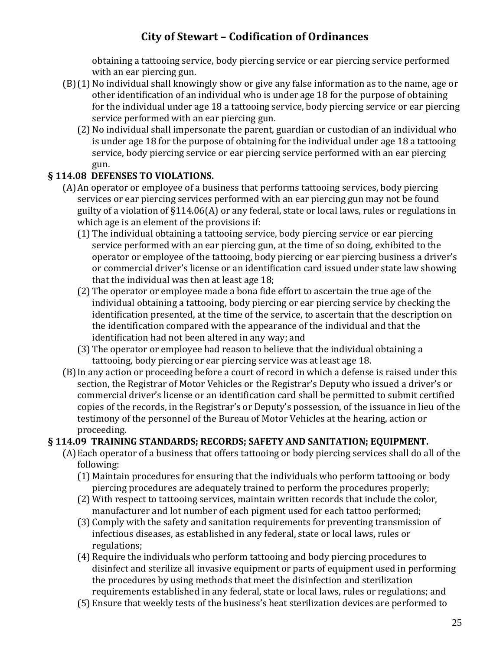obtaining a tattooing service, body piercing service or ear piercing service performed with an ear piercing gun.

- (B)(1) No individual shall knowingly show or give any false information as to the name, age or other identification of an individual who is under age 18 for the purpose of obtaining for the individual under age 18 a tattooing service, body piercing service or ear piercing service performed with an ear piercing gun.
	- (2) No individual shall impersonate the parent, guardian or custodian of an individual who is under age 18 for the purpose of obtaining for the individual under age 18 a tattooing service, body piercing service or ear piercing service performed with an ear piercing gun.

### **§ 114.08 DEFENSES TO VIOLATIONS.**

- (A)An operator or employee of a business that performs tattooing services, body piercing services or ear piercing services performed with an ear piercing gun may not be found guilty of a violation of §114.06(A) or any federal, state or local laws, rules or regulations in which age is an element of the provisions if:
	- (1) The individual obtaining a tattooing service, body piercing service or ear piercing service performed with an ear piercing gun, at the time of so doing, exhibited to the operator or employee of the tattooing, body piercing or ear piercing business a driver's or commercial driver's license or an identification card issued under state law showing that the individual was then at least age 18;
	- (2) The operator or employee made a bona fide effort to ascertain the true age of the individual obtaining a tattooing, body piercing or ear piercing service by checking the identification presented, at the time of the service, to ascertain that the description on the identification compared with the appearance of the individual and that the identification had not been altered in any way; and
	- (3) The operator or employee had reason to believe that the individual obtaining a tattooing, body piercing or ear piercing service was at least age 18.
- (B)In any action or proceeding before a court of record in which a defense is raised under this section, the Registrar of Motor Vehicles or the Registrar's Deputy who issued a driver's or commercial driver's license or an identification card shall be permitted to submit certified copies of the records, in the Registrar's or Deputy's possession, of the issuance in lieu of the testimony of the personnel of the Bureau of Motor Vehicles at the hearing, action or proceeding.

### **§ 114.09 TRAINING STANDARDS; RECORDS; SAFETY AND SANITATION; EQUIPMENT.**

- (A)Each operator of a business that offers tattooing or body piercing services shall do all of the following:
	- (1) Maintain procedures for ensuring that the individuals who perform tattooing or body piercing procedures are adequately trained to perform the procedures properly;
	- (2) With respect to tattooing services, maintain written records that include the color, manufacturer and lot number of each pigment used for each tattoo performed;
	- (3) Comply with the safety and sanitation requirements for preventing transmission of infectious diseases, as established in any federal, state or local laws, rules or regulations;
	- (4) Require the individuals who perform tattooing and body piercing procedures to disinfect and sterilize all invasive equipment or parts of equipment used in performing the procedures by using methods that meet the disinfection and sterilization requirements established in any federal, state or local laws, rules or regulations; and
	- (5) Ensure that weekly tests of the business's heat sterilization devices are performed to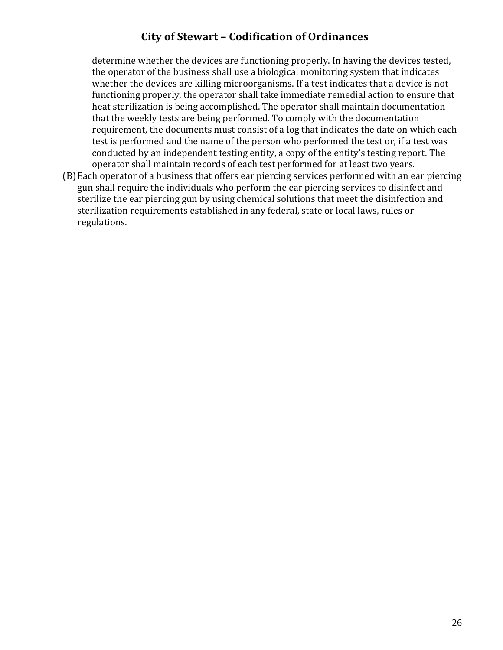determine whether the devices are functioning properly. In having the devices tested, the operator of the business shall use a biological monitoring system that indicates whether the devices are killing microorganisms. If a test indicates that a device is not functioning properly, the operator shall take immediate remedial action to ensure that heat sterilization is being accomplished. The operator shall maintain documentation that the weekly tests are being performed. To comply with the documentation requirement, the documents must consist of a log that indicates the date on which each test is performed and the name of the person who performed the test or, if a test was conducted by an independent testing entity, a copy of the entity's testing report. The operator shall maintain records of each test performed for at least two years.

(B)Each operator of a business that offers ear piercing services performed with an ear piercing gun shall require the individuals who perform the ear piercing services to disinfect and sterilize the ear piercing gun by using chemical solutions that meet the disinfection and sterilization requirements established in any federal, state or local laws, rules or regulations.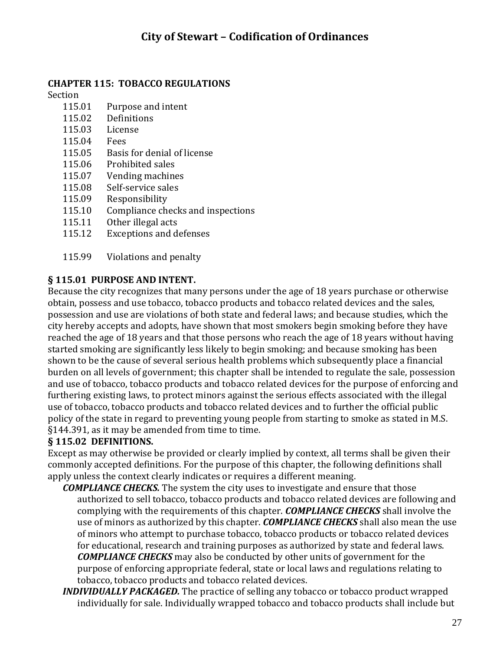#### **CHAPTER 115: TOBACCO REGULATIONS**

#### Section

- 115.01 Purpose and intent
- 115.02 Definitions
- 115.03 License
- 115.04 Fees
- 115.05 Basis for denial of license
- 115.06 Prohibited sales
- 115.07 Vending machines
- 115.08 Self-service sales
- 115.09 Responsibility
- 115.10 Compliance checks and inspections
- 115.11 Other illegal acts
- 115.12 Exceptions and defenses
- 115.99 Violations and penalty

#### **§ 115.01 PURPOSE AND INTENT.**

Because the city recognizes that many persons under the age of 18 years purchase or otherwise obtain, possess and use tobacco, tobacco products and tobacco related devices and the sales, possession and use are violations of both state and federal laws; and because studies, which the city hereby accepts and adopts, have shown that most smokers begin smoking before they have reached the age of 18 years and that those persons who reach the age of 18 years without having started smoking are significantly less likely to begin smoking; and because smoking has been shown to be the cause of several serious health problems which subsequently place a financial burden on all levels of government; this chapter shall be intended to regulate the sale, possession and use of tobacco, tobacco products and tobacco related devices for the purpose of enforcing and furthering existing laws, to protect minors against the serious effects associated with the illegal use of tobacco, tobacco products and tobacco related devices and to further the official public policy of the state in regard to preventing young people from starting to smoke as stated in M.S. §144.391, as it may be amended from time to time.

#### **§ 115.02 DEFINITIONS.**

Except as may otherwise be provided or clearly implied by context, all terms shall be given their commonly accepted definitions. For the purpose of this chapter, the following definitions shall apply unless the context clearly indicates or requires a different meaning.

- *COMPLIANCE CHECKS.* The system the city uses to investigate and ensure that those authorized to sell tobacco, tobacco products and tobacco related devices are following and complying with the requirements of this chapter. *COMPLIANCE CHECKS* shall involve the use of minors as authorized by this chapter. *COMPLIANCE CHECKS* shall also mean the use of minors who attempt to purchase tobacco, tobacco products or tobacco related devices for educational, research and training purposes as authorized by state and federal laws. *COMPLIANCE CHECKS* may also be conducted by other units of government for the purpose of enforcing appropriate federal, state or local laws and regulations relating to tobacco, tobacco products and tobacco related devices.
- *INDIVIDUALLY PACKAGED.* The practice of selling any tobacco or tobacco product wrapped individually for sale. Individually wrapped tobacco and tobacco products shall include but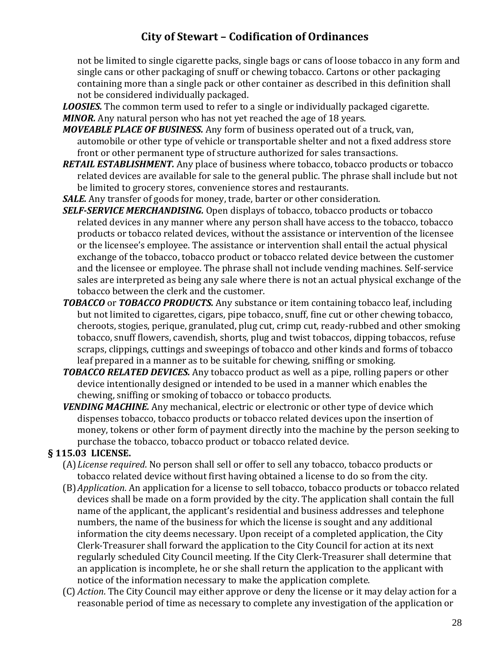not be limited to single cigarette packs, single bags or cans of loose tobacco in any form and single cans or other packaging of snuff or chewing tobacco. Cartons or other packaging containing more than a single pack or other container as described in this definition shall not be considered individually packaged.

*LOOSIES.* The common term used to refer to a single or individually packaged cigarette. *MINOR.* Any natural person who has not yet reached the age of 18 years.

*MOVEABLE PLACE OF BUSINESS.* Any form of business operated out of a truck, van, automobile or other type of vehicle or transportable shelter and not a fixed address store front or other permanent type of structure authorized for sales transactions.

- *RETAIL ESTABLISHMENT.* Any place of business where tobacco, tobacco products or tobacco related devices are available for sale to the general public. The phrase shall include but not be limited to grocery stores, convenience stores and restaurants.
- *SALE.* Any transfer of goods for money, trade, barter or other consideration.
- *SELF-SERVICE MERCHANDISING.* Open displays of tobacco, tobacco products or tobacco related devices in any manner where any person shall have access to the tobacco, tobacco products or tobacco related devices, without the assistance or intervention of the licensee or the licensee's employee. The assistance or intervention shall entail the actual physical exchange of the tobacco, tobacco product or tobacco related device between the customer and the licensee or employee. The phrase shall not include vending machines. Self-service sales are interpreted as being any sale where there is not an actual physical exchange of the tobacco between the clerk and the customer.
- *TOBACCO* or *TOBACCO PRODUCTS.* Any substance or item containing tobacco leaf, including but not limited to cigarettes, cigars, pipe tobacco, snuff, fine cut or other chewing tobacco, cheroots, stogies, perique, granulated, plug cut, crimp cut, ready-rubbed and other smoking tobacco, snuff flowers, cavendish, shorts, plug and twist tobaccos, dipping tobaccos, refuse scraps, clippings, cuttings and sweepings of tobacco and other kinds and forms of tobacco leaf prepared in a manner as to be suitable for chewing, sniffing or smoking.
- *TOBACCO RELATED DEVICES.* Any tobacco product as well as a pipe, rolling papers or other device intentionally designed or intended to be used in a manner which enables the chewing, sniffing or smoking of tobacco or tobacco products.
- *VENDING MACHINE.* Any mechanical, electric or electronic or other type of device which dispenses tobacco, tobacco products or tobacco related devices upon the insertion of money, tokens or other form of payment directly into the machine by the person seeking to purchase the tobacco, tobacco product or tobacco related device.

#### **§ 115.03 LICENSE.**

- (A)*License required*. No person shall sell or offer to sell any tobacco, tobacco products or tobacco related device without first having obtained a license to do so from the city.
- (B)*Application*. An application for a license to sell tobacco, tobacco products or tobacco related devices shall be made on a form provided by the city. The application shall contain the full name of the applicant, the applicant's residential and business addresses and telephone numbers, the name of the business for which the license is sought and any additional information the city deems necessary. Upon receipt of a completed application, the City Clerk-Treasurer shall forward the application to the City Council for action at its next regularly scheduled City Council meeting. If the City Clerk-Treasurer shall determine that an application is incomplete, he or she shall return the application to the applicant with notice of the information necessary to make the application complete.
- (C) *Action*. The City Council may either approve or deny the license or it may delay action for a reasonable period of time as necessary to complete any investigation of the application or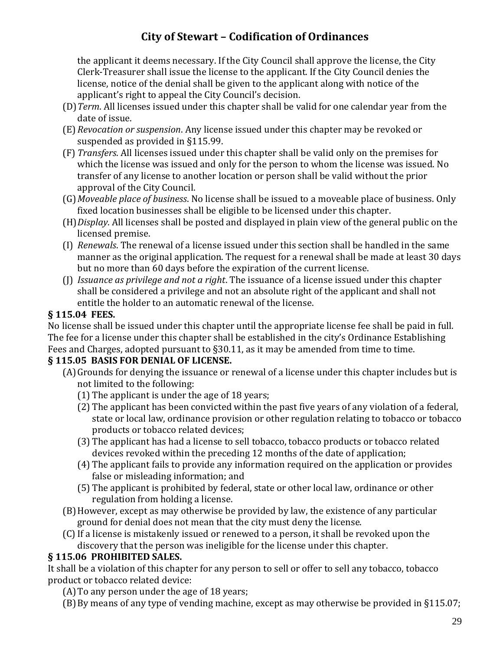the applicant it deems necessary. If the City Council shall approve the license, the City Clerk-Treasurer shall issue the license to the applicant. If the City Council denies the license, notice of the denial shall be given to the applicant along with notice of the applicant's right to appeal the City Council's decision.

- (D)*Term*. All licenses issued under this chapter shall be valid for one calendar year from the date of issue.
- (E) *Revocation or suspension*. Any license issued under this chapter may be revoked or suspended as provided in §115.99.
- (F) *Transfers*. All licenses issued under this chapter shall be valid only on the premises for which the license was issued and only for the person to whom the license was issued. No transfer of any license to another location or person shall be valid without the prior approval of the City Council.
- (G)*Moveable place of business*. No license shall be issued to a moveable place of business. Only fixed location businesses shall be eligible to be licensed under this chapter.
- (H)*Display*. All licenses shall be posted and displayed in plain view of the general public on the licensed premise.
- (I) *Renewals*. The renewal of a license issued under this section shall be handled in the same manner as the original application. The request for a renewal shall be made at least 30 days but no more than 60 days before the expiration of the current license.
- (J) *Issuance as privilege and not a right*. The issuance of a license issued under this chapter shall be considered a privilege and not an absolute right of the applicant and shall not entitle the holder to an automatic renewal of the license.

#### **§ 115.04 FEES.**

No license shall be issued under this chapter until the appropriate license fee shall be paid in full. The fee for a license under this chapter shall be established in the city's Ordinance Establishing Fees and Charges, adopted pursuant to §30.11, as it may be amended from time to time.

#### **§ 115.05 BASIS FOR DENIAL OF LICENSE.**

- (A)Grounds for denying the issuance or renewal of a license under this chapter includes but is not limited to the following:
	- (1) The applicant is under the age of 18 years;
	- (2) The applicant has been convicted within the past five years of any violation of a federal, state or local law, ordinance provision or other regulation relating to tobacco or tobacco products or tobacco related devices;
	- (3) The applicant has had a license to sell tobacco, tobacco products or tobacco related devices revoked within the preceding 12 months of the date of application;
	- (4) The applicant fails to provide any information required on the application or provides false or misleading information; and
	- (5) The applicant is prohibited by federal, state or other local law, ordinance or other regulation from holding a license.
- (B)However, except as may otherwise be provided by law, the existence of any particular ground for denial does not mean that the city must deny the license.
- (C)If a license is mistakenly issued or renewed to a person, it shall be revoked upon the discovery that the person was ineligible for the license under this chapter.

### **§ 115.06 PROHIBITED SALES.**

It shall be a violation of this chapter for any person to sell or offer to sell any tobacco, tobacco product or tobacco related device:

- (A)To any person under the age of 18 years;
- (B)By means of any type of vending machine, except as may otherwise be provided in §115.07;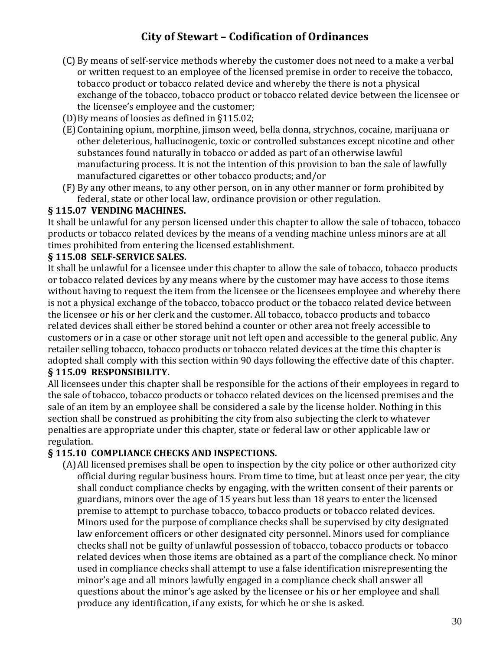- (C) By means of self-service methods whereby the customer does not need to a make a verbal or written request to an employee of the licensed premise in order to receive the tobacco, tobacco product or tobacco related device and whereby the there is not a physical exchange of the tobacco, tobacco product or tobacco related device between the licensee or the licensee's employee and the customer;
- (D)By means of loosies as defined in §115.02;
- (E) Containing opium, morphine, jimson weed, bella donna, strychnos, cocaine, marijuana or other deleterious, hallucinogenic, toxic or controlled substances except nicotine and other substances found naturally in tobacco or added as part of an otherwise lawful manufacturing process. It is not the intention of this provision to ban the sale of lawfully manufactured cigarettes or other tobacco products; and/or
- (F) By any other means, to any other person, on in any other manner or form prohibited by federal, state or other local law, ordinance provision or other regulation.

#### **§ 115.07 VENDING MACHINES.**

It shall be unlawful for any person licensed under this chapter to allow the sale of tobacco, tobacco products or tobacco related devices by the means of a vending machine unless minors are at all times prohibited from entering the licensed establishment.

#### **§ 115.08 SELF-SERVICE SALES.**

It shall be unlawful for a licensee under this chapter to allow the sale of tobacco, tobacco products or tobacco related devices by any means where by the customer may have access to those items without having to request the item from the licensee or the licensees employee and whereby there is not a physical exchange of the tobacco, tobacco product or the tobacco related device between the licensee or his or her clerk and the customer. All tobacco, tobacco products and tobacco related devices shall either be stored behind a counter or other area not freely accessible to customers or in a case or other storage unit not left open and accessible to the general public. Any retailer selling tobacco, tobacco products or tobacco related devices at the time this chapter is adopted shall comply with this section within 90 days following the effective date of this chapter.

#### **§ 115.09 RESPONSIBILITY.**

All licensees under this chapter shall be responsible for the actions of their employees in regard to the sale of tobacco, tobacco products or tobacco related devices on the licensed premises and the sale of an item by an employee shall be considered a sale by the license holder. Nothing in this section shall be construed as prohibiting the city from also subjecting the clerk to whatever penalties are appropriate under this chapter, state or federal law or other applicable law or regulation.

#### **§ 115.10 COMPLIANCE CHECKS AND INSPECTIONS.**

(A)All licensed premises shall be open to inspection by the city police or other authorized city official during regular business hours. From time to time, but at least once per year, the city shall conduct compliance checks by engaging, with the written consent of their parents or guardians, minors over the age of 15 years but less than 18 years to enter the licensed premise to attempt to purchase tobacco, tobacco products or tobacco related devices. Minors used for the purpose of compliance checks shall be supervised by city designated law enforcement officers or other designated city personnel. Minors used for compliance checks shall not be guilty of unlawful possession of tobacco, tobacco products or tobacco related devices when those items are obtained as a part of the compliance check. No minor used in compliance checks shall attempt to use a false identification misrepresenting the minor's age and all minors lawfully engaged in a compliance check shall answer all questions about the minor's age asked by the licensee or his or her employee and shall produce any identification, if any exists, for which he or she is asked.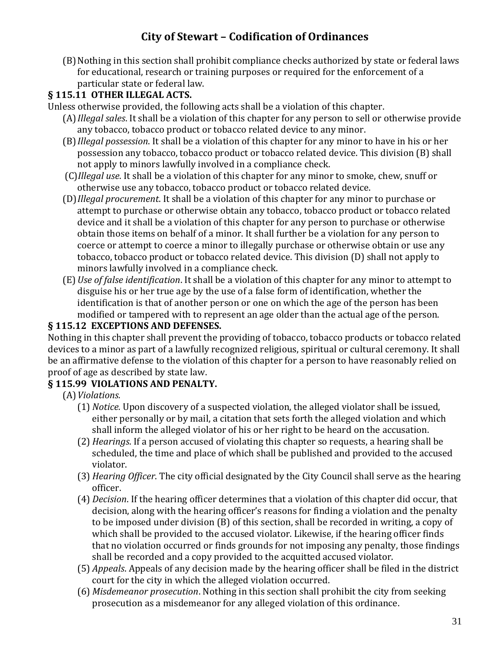(B)Nothing in this section shall prohibit compliance checks authorized by state or federal laws for educational, research or training purposes or required for the enforcement of a particular state or federal law.

### **§ 115.11 OTHER ILLEGAL ACTS.**

- Unless otherwise provided, the following acts shall be a violation of this chapter.
	- (A)*Illegal sales*. It shall be a violation of this chapter for any person to sell or otherwise provide any tobacco, tobacco product or tobacco related device to any minor.
	- (B)*Illegal possession*. It shall be a violation of this chapter for any minor to have in his or her possession any tobacco, tobacco product or tobacco related device. This division (B) shall not apply to minors lawfully involved in a compliance check.
	- (C)*Illegal use*. It shall be a violation of this chapter for any minor to smoke, chew, snuff or otherwise use any tobacco, tobacco product or tobacco related device.
	- (D)*Illegal procurement*. It shall be a violation of this chapter for any minor to purchase or attempt to purchase or otherwise obtain any tobacco, tobacco product or tobacco related device and it shall be a violation of this chapter for any person to purchase or otherwise obtain those items on behalf of a minor. It shall further be a violation for any person to coerce or attempt to coerce a minor to illegally purchase or otherwise obtain or use any tobacco, tobacco product or tobacco related device. This division (D) shall not apply to minors lawfully involved in a compliance check.
	- (E) *Use of false identification*. It shall be a violation of this chapter for any minor to attempt to disguise his or her true age by the use of a false form of identification, whether the identification is that of another person or one on which the age of the person has been modified or tampered with to represent an age older than the actual age of the person.

### **§ 115.12 EXCEPTIONS AND DEFENSES.**

Nothing in this chapter shall prevent the providing of tobacco, tobacco products or tobacco related devices to a minor as part of a lawfully recognized religious, spiritual or cultural ceremony. It shall be an affirmative defense to the violation of this chapter for a person to have reasonably relied on proof of age as described by state law.

### **§ 115.99 VIOLATIONS AND PENALTY.**

- (A)*Violations.*
	- (1) *Notice.* Upon discovery of a suspected violation, the alleged violator shall be issued, either personally or by mail, a citation that sets forth the alleged violation and which shall inform the alleged violator of his or her right to be heard on the accusation.
	- (2) *Hearings*. If a person accused of violating this chapter so requests, a hearing shall be scheduled, the time and place of which shall be published and provided to the accused violator.
	- (3) *Hearing Officer*. The city official designated by the City Council shall serve as the hearing officer.
	- (4) *Decision*. If the hearing officer determines that a violation of this chapter did occur, that decision, along with the hearing officer's reasons for finding a violation and the penalty to be imposed under division (B) of this section, shall be recorded in writing, a copy of which shall be provided to the accused violator. Likewise, if the hearing officer finds that no violation occurred or finds grounds for not imposing any penalty, those findings shall be recorded and a copy provided to the acquitted accused violator.
	- (5) *Appeals*. Appeals of any decision made by the hearing officer shall be filed in the district court for the city in which the alleged violation occurred.
	- (6) *Misdemeanor prosecution*. Nothing in this section shall prohibit the city from seeking prosecution as a misdemeanor for any alleged violation of this ordinance.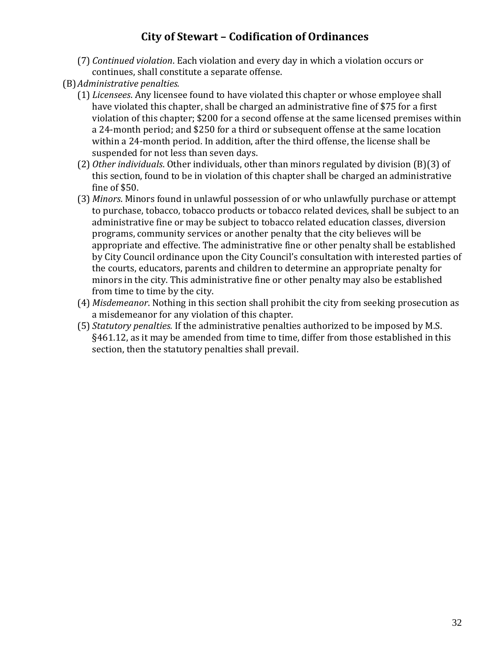- (7) *Continued violation*. Each violation and every day in which a violation occurs or continues, shall constitute a separate offense.
- (B)*Administrative penalties.*
	- (1) *Licensees*. Any licensee found to have violated this chapter or whose employee shall have violated this chapter, shall be charged an administrative fine of \$75 for a first violation of this chapter; \$200 for a second offense at the same licensed premises within a 24-month period; and \$250 for a third or subsequent offense at the same location within a 24-month period. In addition, after the third offense, the license shall be suspended for not less than seven days.
	- (2) *Other individuals*. Other individuals, other than minors regulated by division (B)(3) of this section, found to be in violation of this chapter shall be charged an administrative fine of \$50.
	- (3) *Minors*. Minors found in unlawful possession of or who unlawfully purchase or attempt to purchase, tobacco, tobacco products or tobacco related devices, shall be subject to an administrative fine or may be subject to tobacco related education classes, diversion programs, community services or another penalty that the city believes will be appropriate and effective. The administrative fine or other penalty shall be established by City Council ordinance upon the City Council's consultation with interested parties of the courts, educators, parents and children to determine an appropriate penalty for minors in the city. This administrative fine or other penalty may also be established from time to time by the city.
	- (4) *Misdemeanor*. Nothing in this section shall prohibit the city from seeking prosecution as a misdemeanor for any violation of this chapter.
	- (5) *Statutory penalties.* If the administrative penalties authorized to be imposed by M.S. §461.12, as it may be amended from time to time, differ from those established in this section, then the statutory penalties shall prevail.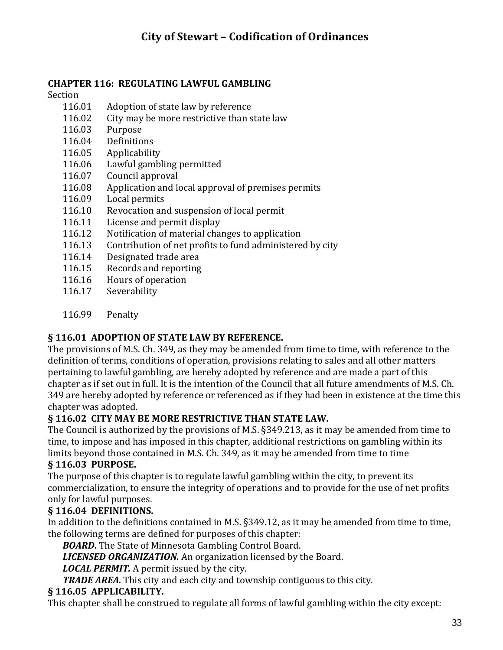#### **CHAPTER 116: REGULATING LAWFUL GAMBLING**

#### Section

- 116.01 Adoption of state law by reference
- 116.02 City may be more restrictive than state law
- 116.03 Purpose
- 116.04 Definitions
- 116.05 Applicability
- 116.06 Lawful gambling permitted
- 116.07 Council approval
- 116.08 Application and local approval of premises permits
- 116.09 Local permits
- 116.10 Revocation and suspension of local permit
- 116.11 License and permit display
- 116.12 Notification of material changes to application
- 116.13 Contribution of net profits to fund administered by city
- 116.14 Designated trade area
- 116.15 Records and reporting
- 116.16 Hours of operation
- 116.17 Severability
- 116.99 Penalty

### **§ 116.01 ADOPTION OF STATE LAW BY REFERENCE.**

The provisions of M.S. Ch. 349, as they may be amended from time to time, with reference to the definition of terms, conditions of operation, provisions relating to sales and all other matters pertaining to lawful gambling, are hereby adopted by reference and are made a part of this chapter as if set out in full. It is the intention of the Council that all future amendments of M.S. Ch. 349 are hereby adopted by reference or referenced as if they had been in existence at the time this chapter was adopted.

### **§ 116.02 CITY MAY BE MORE RESTRICTIVE THAN STATE LAW.**

The Council is authorized by the provisions of M.S. §349.213, as it may be amended from time to time, to impose and has imposed in this chapter, additional restrictions on gambling within its limits beyond those contained in M.S. Ch. 349, as it may be amended from time to time

### **§ 116.03 PURPOSE.**

The purpose of this chapter is to regulate lawful gambling within the city, to prevent its commercialization, to ensure the integrity of operations and to provide for the use of net profits only for lawful purposes.

### **§ 116.04 DEFINITIONS.**

In addition to the definitions contained in M.S. §349.12, as it may be amended from time to time, the following terms are defined for purposes of this chapter:

*BOARD***.** The State of Minnesota Gambling Control Board.

*LICENSED ORGANIZATION.* An organization licensed by the Board.

*LOCAL PERMIT.* A permit issued by the city.

*TRADE AREA.* This city and each city and township contiguous to this city.

### **§ 116.05 APPLICABILITY.**

This chapter shall be construed to regulate all forms of lawful gambling within the city except: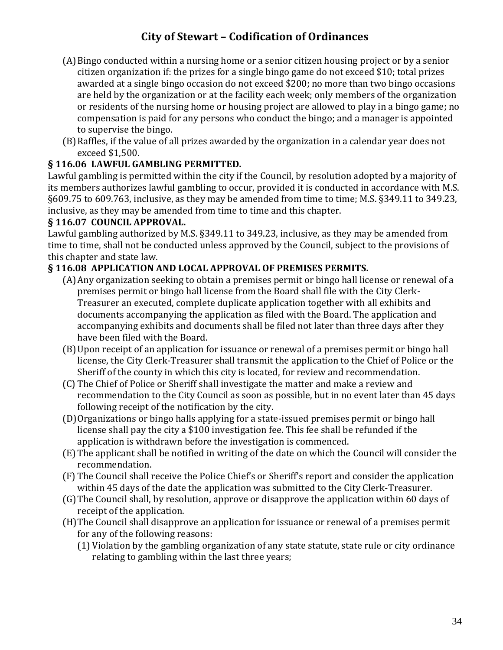- (A)Bingo conducted within a nursing home or a senior citizen housing project or by a senior citizen organization if: the prizes for a single bingo game do not exceed \$10; total prizes awarded at a single bingo occasion do not exceed \$200; no more than two bingo occasions are held by the organization or at the facility each week; only members of the organization or residents of the nursing home or housing project are allowed to play in a bingo game; no compensation is paid for any persons who conduct the bingo; and a manager is appointed to supervise the bingo.
- (B)Raffles, if the value of all prizes awarded by the organization in a calendar year does not exceed \$1,500.

### **§ 116.06 LAWFUL GAMBLING PERMITTED.**

Lawful gambling is permitted within the city if the Council, by resolution adopted by a majority of its members authorizes lawful gambling to occur, provided it is conducted in accordance with M.S. §609.75 to 609.763, inclusive, as they may be amended from time to time; M.S. §349.11 to 349.23, inclusive, as they may be amended from time to time and this chapter.

#### **§ 116.07 COUNCIL APPROVAL.**

Lawful gambling authorized by M.S. §349.11 to 349.23, inclusive, as they may be amended from time to time, shall not be conducted unless approved by the Council, subject to the provisions of this chapter and state law.

### **§ 116.08 APPLICATION AND LOCAL APPROVAL OF PREMISES PERMITS.**

- (A)Any organization seeking to obtain a premises permit or bingo hall license or renewal of a premises permit or bingo hall license from the Board shall file with the City Clerk-Treasurer an executed, complete duplicate application together with all exhibits and documents accompanying the application as filed with the Board. The application and accompanying exhibits and documents shall be filed not later than three days after they have been filed with the Board.
- (B)Upon receipt of an application for issuance or renewal of a premises permit or bingo hall license, the City Clerk-Treasurer shall transmit the application to the Chief of Police or the Sheriff of the county in which this city is located, for review and recommendation.
- (C) The Chief of Police or Sheriff shall investigate the matter and make a review and recommendation to the City Council as soon as possible, but in no event later than 45 days following receipt of the notification by the city.
- (D)Organizations or bingo halls applying for a state-issued premises permit or bingo hall license shall pay the city a \$100 investigation fee. This fee shall be refunded if the application is withdrawn before the investigation is commenced.
- (E) The applicant shall be notified in writing of the date on which the Council will consider the recommendation.
- (F) The Council shall receive the Police Chief's or Sheriff's report and consider the application within 45 days of the date the application was submitted to the City Clerk-Treasurer.
- (G)The Council shall, by resolution, approve or disapprove the application within 60 days of receipt of the application.
- (H)The Council shall disapprove an application for issuance or renewal of a premises permit for any of the following reasons:
	- (1) Violation by the gambling organization of any state statute, state rule or city ordinance relating to gambling within the last three years;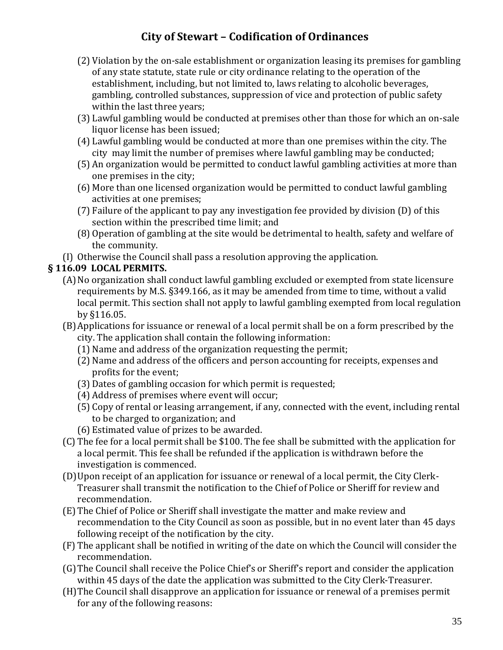- (2) Violation by the on-sale establishment or organization leasing its premises for gambling of any state statute, state rule or city ordinance relating to the operation of the establishment, including, but not limited to, laws relating to alcoholic beverages, gambling, controlled substances, suppression of vice and protection of public safety within the last three years;
- (3) Lawful gambling would be conducted at premises other than those for which an on-sale liquor license has been issued;
- (4) Lawful gambling would be conducted at more than one premises within the city. The city may limit the number of premises where lawful gambling may be conducted;
- (5) An organization would be permitted to conduct lawful gambling activities at more than one premises in the city;
- (6) More than one licensed organization would be permitted to conduct lawful gambling activities at one premises;
- (7) Failure of the applicant to pay any investigation fee provided by division (D) of this section within the prescribed time limit; and
- (8) Operation of gambling at the site would be detrimental to health, safety and welfare of the community.
- (I) Otherwise the Council shall pass a resolution approving the application.

### **§ 116.09 LOCAL PERMITS.**

- (A)No organization shall conduct lawful gambling excluded or exempted from state licensure requirements by M.S. §349.166, as it may be amended from time to time, without a valid local permit. This section shall not apply to lawful gambling exempted from local regulation by §116.05.
- (B)Applications for issuance or renewal of a local permit shall be on a form prescribed by the city. The application shall contain the following information:
	- (1) Name and address of the organization requesting the permit;
	- (2) Name and address of the officers and person accounting for receipts, expenses and profits for the event;
	- (3) Dates of gambling occasion for which permit is requested;
	- (4) Address of premises where event will occur;
	- (5) Copy of rental or leasing arrangement, if any, connected with the event, including rental to be charged to organization; and
	- (6) Estimated value of prizes to be awarded.
- (C) The fee for a local permit shall be \$100. The fee shall be submitted with the application for a local permit. This fee shall be refunded if the application is withdrawn before the investigation is commenced.
- (D)Upon receipt of an application for issuance or renewal of a local permit, the City Clerk-Treasurer shall transmit the notification to the Chief of Police or Sheriff for review and recommendation.
- (E) The Chief of Police or Sheriff shall investigate the matter and make review and recommendation to the City Council as soon as possible, but in no event later than 45 days following receipt of the notification by the city.
- (F) The applicant shall be notified in writing of the date on which the Council will consider the recommendation.
- (G)The Council shall receive the Police Chief's or Sheriff's report and consider the application within 45 days of the date the application was submitted to the City Clerk-Treasurer.
- (H)The Council shall disapprove an application for issuance or renewal of a premises permit for any of the following reasons: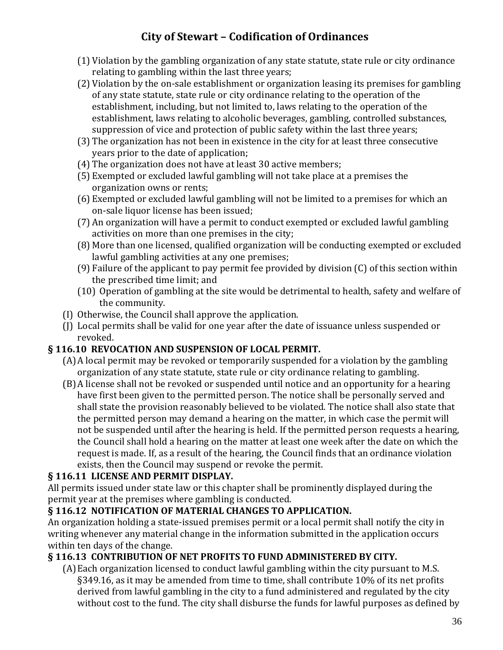- (1) Violation by the gambling organization of any state statute, state rule or city ordinance relating to gambling within the last three years;
- (2) Violation by the on-sale establishment or organization leasing its premises for gambling of any state statute, state rule or city ordinance relating to the operation of the establishment, including, but not limited to, laws relating to the operation of the establishment, laws relating to alcoholic beverages, gambling, controlled substances, suppression of vice and protection of public safety within the last three years;
- (3) The organization has not been in existence in the city for at least three consecutive years prior to the date of application;
- (4) The organization does not have at least 30 active members;
- (5) Exempted or excluded lawful gambling will not take place at a premises the organization owns or rents;
- (6) Exempted or excluded lawful gambling will not be limited to a premises for which an on-sale liquor license has been issued;
- (7) An organization will have a permit to conduct exempted or excluded lawful gambling activities on more than one premises in the city;
- (8) More than one licensed, qualified organization will be conducting exempted or excluded lawful gambling activities at any one premises;
- (9) Failure of the applicant to pay permit fee provided by division (C) of this section within the prescribed time limit; and
- (10) Operation of gambling at the site would be detrimental to health, safety and welfare of the community.
- (I) Otherwise, the Council shall approve the application.
- (J) Local permits shall be valid for one year after the date of issuance unless suspended or revoked.

### **§ 116.10 REVOCATION AND SUSPENSION OF LOCAL PERMIT.**

- (A)A local permit may be revoked or temporarily suspended for a violation by the gambling organization of any state statute, state rule or city ordinance relating to gambling.
- (B)A license shall not be revoked or suspended until notice and an opportunity for a hearing have first been given to the permitted person. The notice shall be personally served and shall state the provision reasonably believed to be violated. The notice shall also state that the permitted person may demand a hearing on the matter, in which case the permit will not be suspended until after the hearing is held. If the permitted person requests a hearing, the Council shall hold a hearing on the matter at least one week after the date on which the request is made. If, as a result of the hearing, the Council finds that an ordinance violation exists, then the Council may suspend or revoke the permit.

### **§ 116.11 LICENSE AND PERMIT DISPLAY.**

All permits issued under state law or this chapter shall be prominently displayed during the permit year at the premises where gambling is conducted.

### **§ 116.12 NOTIFICATION OF MATERIAL CHANGES TO APPLICATION.**

An organization holding a state-issued premises permit or a local permit shall notify the city in writing whenever any material change in the information submitted in the application occurs within ten days of the change.

### **§ 116.13 CONTRIBUTION OF NET PROFITS TO FUND ADMINISTERED BY CITY.**

(A)Each organization licensed to conduct lawful gambling within the city pursuant to M.S. §349.16, as it may be amended from time to time, shall contribute 10% of its net profits derived from lawful gambling in the city to a fund administered and regulated by the city without cost to the fund. The city shall disburse the funds for lawful purposes as defined by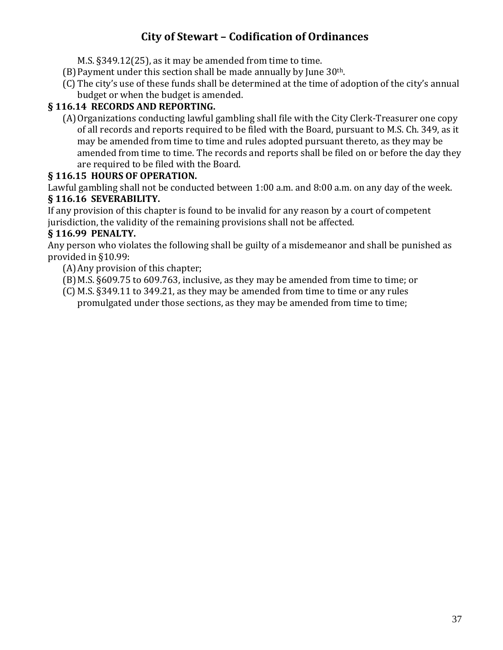M.S. §349.12(25), as it may be amended from time to time.

- (B) Payment under this section shall be made annually by June  $30<sup>th</sup>$ .
- (C) The city's use of these funds shall be determined at the time of adoption of the city's annual budget or when the budget is amended.

### **§ 116.14 RECORDS AND REPORTING.**

(A)Organizations conducting lawful gambling shall file with the City Clerk-Treasurer one copy of all records and reports required to be filed with the Board, pursuant to M.S. Ch. 349, as it may be amended from time to time and rules adopted pursuant thereto, as they may be amended from time to time. The records and reports shall be filed on or before the day they are required to be filed with the Board.

### **§ 116.15 HOURS OF OPERATION.**

Lawful gambling shall not be conducted between 1:00 a.m. and 8:00 a.m. on any day of the week. **§ 116.16 SEVERABILITY.**

If any provision of this chapter is found to be invalid for any reason by a court of competent jurisdiction, the validity of the remaining provisions shall not be affected.

### **§ 116.99 PENALTY.**

Any person who violates the following shall be guilty of a misdemeanor and shall be punished as provided in §10.99:

- (A)Any provision of this chapter;
- (B)M.S. §609.75 to 609.763, inclusive, as they may be amended from time to time; or
- (C) M.S. §349.11 to 349.21, as they may be amended from time to time or any rules promulgated under those sections, as they may be amended from time to time;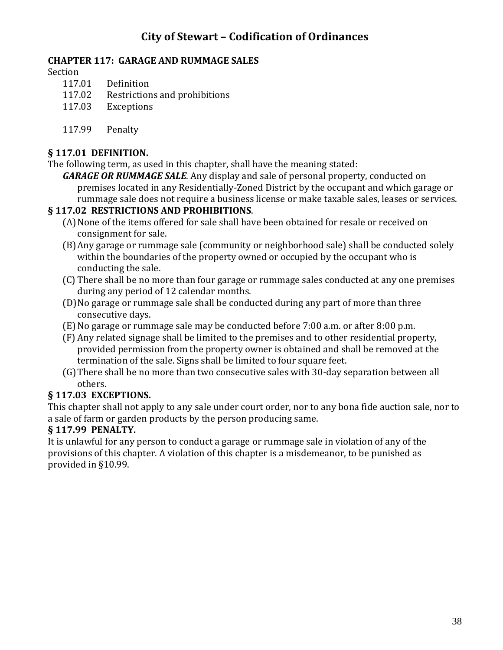#### **CHAPTER 117: GARAGE AND RUMMAGE SALES**

Section

- 117.01 Definition
- 117.02 Restrictions and prohibitions
- 117.03 Exceptions
- 117.99 Penalty

#### **§ 117.01 DEFINITION.**

The following term, as used in this chapter, shall have the meaning stated:

*GARAGE OR RUMMAGE SALE*. Any display and sale of personal property, conducted on premises located in any Residentially-Zoned District by the occupant and which garage or rummage sale does not require a business license or make taxable sales, leases or services.

#### **§ 117.02 RESTRICTIONS AND PROHIBITIONS**.

- (A) None of the items offered for sale shall have been obtained for resale or received on consignment for sale.
- (B)Any garage or rummage sale (community or neighborhood sale) shall be conducted solely within the boundaries of the property owned or occupied by the occupant who is conducting the sale.
- (C) There shall be no more than four garage or rummage sales conducted at any one premises during any period of 12 calendar months.
- (D)No garage or rummage sale shall be conducted during any part of more than three consecutive days.
- (E)No garage or rummage sale may be conducted before 7:00 a.m. or after 8:00 p.m.
- (F) Any related signage shall be limited to the premises and to other residential property, provided permission from the property owner is obtained and shall be removed at the termination of the sale. Signs shall be limited to four square feet.
- (G)There shall be no more than two consecutive sales with 30-day separation between all others.

### **§ 117.03 EXCEPTIONS.**

This chapter shall not apply to any sale under court order, nor to any bona fide auction sale, nor to a sale of farm or garden products by the person producing same.

#### **§ 117.99 PENALTY.**

It is unlawful for any person to conduct a garage or rummage sale in violation of any of the provisions of this chapter. A violation of this chapter is a misdemeanor, to be punished as provided in §10.99.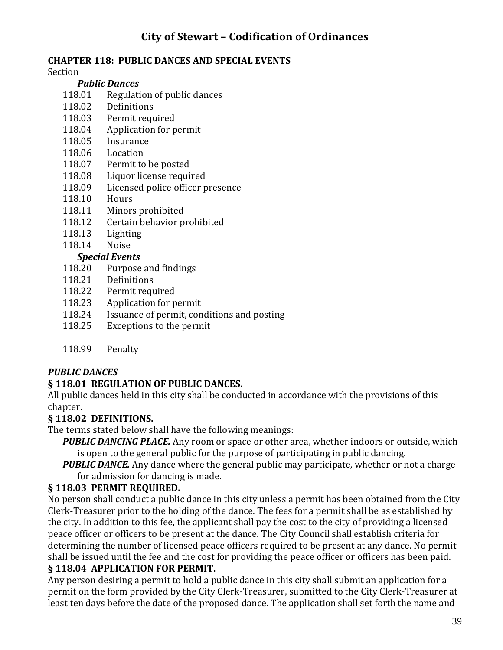#### **CHAPTER 118: PUBLIC DANCES AND SPECIAL EVENTS**

Section

#### *Public Dances*

- 118.01 Regulation of public dances
- 118.02 Definitions
- 118.03 Permit required
- 118.04 Application for permit
- 118.05 Insurance
- 118.06 Location
- 118.07 Permit to be posted
- 118.08 Liquor license required
- 118.09 Licensed police officer presence
- 118.10 Hours
- 118.11 Minors prohibited
- 118.12 Certain behavior prohibited
- 118.13 Lighting
- 118.14 Noise

#### *Special Events*

- 118.20 Purpose and findings
- 118.21 Definitions
- 118.22 Permit required
- 118.23 Application for permit
- 118.24 Issuance of permit, conditions and posting
- 118.25 Exceptions to the permit
- 118.99 Penalty

### *PUBLIC DANCES*

### **§ 118.01 REGULATION OF PUBLIC DANCES.**

All public dances held in this city shall be conducted in accordance with the provisions of this chapter.

#### **§ 118.02 DEFINITIONS.**

The terms stated below shall have the following meanings:

- *PUBLIC DANCING PLACE.* Any room or space or other area, whether indoors or outside, which is open to the general public for the purpose of participating in public dancing.
- **PUBLIC DANCE.** Any dance where the general public may participate, whether or not a charge for admission for dancing is made.

### **§ 118.03 PERMIT REQUIRED.**

No person shall conduct a public dance in this city unless a permit has been obtained from the City Clerk-Treasurer prior to the holding of the dance. The fees for a permit shall be as established by the city. In addition to this fee, the applicant shall pay the cost to the city of providing a licensed peace officer or officers to be present at the dance. The City Council shall establish criteria for determining the number of licensed peace officers required to be present at any dance. No permit shall be issued until the fee and the cost for providing the peace officer or officers has been paid.

## **§ 118.04 APPLICATION FOR PERMIT.**

Any person desiring a permit to hold a public dance in this city shall submit an application for a permit on the form provided by the City Clerk-Treasurer, submitted to the City Clerk-Treasurer at least ten days before the date of the proposed dance. The application shall set forth the name and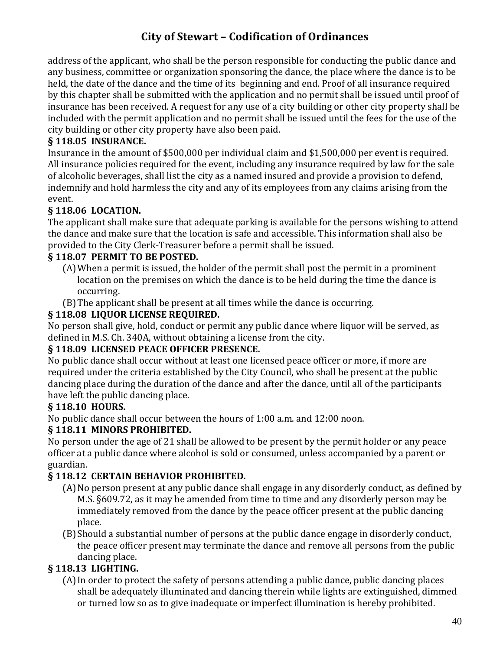address of the applicant, who shall be the person responsible for conducting the public dance and any business, committee or organization sponsoring the dance, the place where the dance is to be held, the date of the dance and the time of its beginning and end. Proof of all insurance required by this chapter shall be submitted with the application and no permit shall be issued until proof of insurance has been received. A request for any use of a city building or other city property shall be included with the permit application and no permit shall be issued until the fees for the use of the city building or other city property have also been paid.

#### **§ 118.05 INSURANCE.**

Insurance in the amount of \$500,000 per individual claim and \$1,500,000 per event is required. All insurance policies required for the event, including any insurance required by law for the sale of alcoholic beverages, shall list the city as a named insured and provide a provision to defend, indemnify and hold harmless the city and any of its employees from any claims arising from the event.

### **§ 118.06 LOCATION.**

The applicant shall make sure that adequate parking is available for the persons wishing to attend the dance and make sure that the location is safe and accessible. This information shall also be provided to the City Clerk-Treasurer before a permit shall be issued.

### **§ 118.07 PERMIT TO BE POSTED.**

- (A)When a permit is issued, the holder of the permit shall post the permit in a prominent location on the premises on which the dance is to be held during the time the dance is occurring.
- (B)The applicant shall be present at all times while the dance is occurring.

#### **§ 118.08 LIQUOR LICENSE REQUIRED.**

No person shall give, hold, conduct or permit any public dance where liquor will be served, as defined in M.S. Ch. 340A, without obtaining a license from the city.

#### **§ 118.09 LICENSED PEACE OFFICER PRESENCE.**

No public dance shall occur without at least one licensed peace officer or more, if more are required under the criteria established by the City Council, who shall be present at the public dancing place during the duration of the dance and after the dance, until all of the participants have left the public dancing place.

### **§ 118.10 HOURS.**

No public dance shall occur between the hours of 1:00 a.m. and 12:00 noon.

#### **§ 118.11 MINORS PROHIBITED.**

No person under the age of 21 shall be allowed to be present by the permit holder or any peace officer at a public dance where alcohol is sold or consumed, unless accompanied by a parent or guardian.

#### **§ 118.12 CERTAIN BEHAVIOR PROHIBITED.**

- (A)No person present at any public dance shall engage in any disorderly conduct, as defined by M.S. §609.72, as it may be amended from time to time and any disorderly person may be immediately removed from the dance by the peace officer present at the public dancing place.
- (B)Should a substantial number of persons at the public dance engage in disorderly conduct, the peace officer present may terminate the dance and remove all persons from the public dancing place.

### **§ 118.13 LIGHTING.**

(A)In order to protect the safety of persons attending a public dance, public dancing places shall be adequately illuminated and dancing therein while lights are extinguished, dimmed or turned low so as to give inadequate or imperfect illumination is hereby prohibited.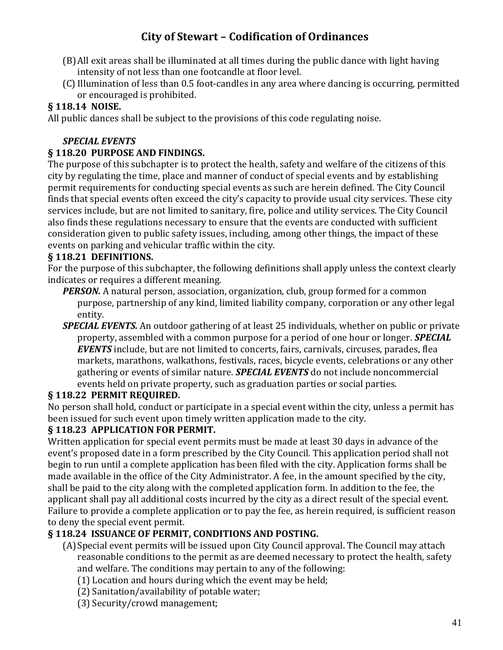- (B)All exit areas shall be illuminated at all times during the public dance with light having intensity of not less than one footcandle at floor level.
- (C) Illumination of less than 0.5 foot-candles in any area where dancing is occurring, permitted or encouraged is prohibited.

### **§ 118.14 NOISE.**

All public dances shall be subject to the provisions of this code regulating noise.

### *SPECIAL EVENTS*

#### **§ 118.20 PURPOSE AND FINDINGS.**

The purpose of this subchapter is to protect the health, safety and welfare of the citizens of this city by regulating the time, place and manner of conduct of special events and by establishing permit requirements for conducting special events as such are herein defined. The City Council finds that special events often exceed the city's capacity to provide usual city services. These city services include, but are not limited to sanitary, fire, police and utility services. The City Council also finds these regulations necessary to ensure that the events are conducted with sufficient consideration given to public safety issues, including, among other things, the impact of these events on parking and vehicular traffic within the city.

### **§ 118.21 DEFINITIONS.**

For the purpose of this subchapter, the following definitions shall apply unless the context clearly indicates or requires a different meaning.

*PERSON.* A natural person, association, organization, club, group formed for a common purpose, partnership of any kind, limited liability company, corporation or any other legal entity.

*SPECIAL EVENTS.* An outdoor gathering of at least 25 individuals, whether on public or private property, assembled with a common purpose for a period of one hour or longer. *SPECIAL EVENTS* include, but are not limited to concerts, fairs, carnivals, circuses, parades, flea markets, marathons, walkathons, festivals, races, bicycle events, celebrations or any other gathering or events of similar nature. *SPECIAL EVENTS* do not include noncommercial events held on private property, such as graduation parties or social parties.

### **§ 118.22 PERMIT REQUIRED.**

No person shall hold, conduct or participate in a special event within the city, unless a permit has been issued for such event upon timely written application made to the city.

### **§ 118.23 APPLICATION FOR PERMIT.**

Written application for special event permits must be made at least 30 days in advance of the event's proposed date in a form prescribed by the City Council. This application period shall not begin to run until a complete application has been filed with the city. Application forms shall be made available in the office of the City Administrator. A fee, in the amount specified by the city, shall be paid to the city along with the completed application form. In addition to the fee, the applicant shall pay all additional costs incurred by the city as a direct result of the special event. Failure to provide a complete application or to pay the fee, as herein required, is sufficient reason to deny the special event permit.

### **§ 118.24 ISSUANCE OF PERMIT, CONDITIONS AND POSTING.**

- (A)Special event permits will be issued upon City Council approval. The Council may attach reasonable conditions to the permit as are deemed necessary to protect the health, safety and welfare. The conditions may pertain to any of the following:
	- (1) Location and hours during which the event may be held;
	- (2) Sanitation/availability of potable water;
	- (3) Security/crowd management;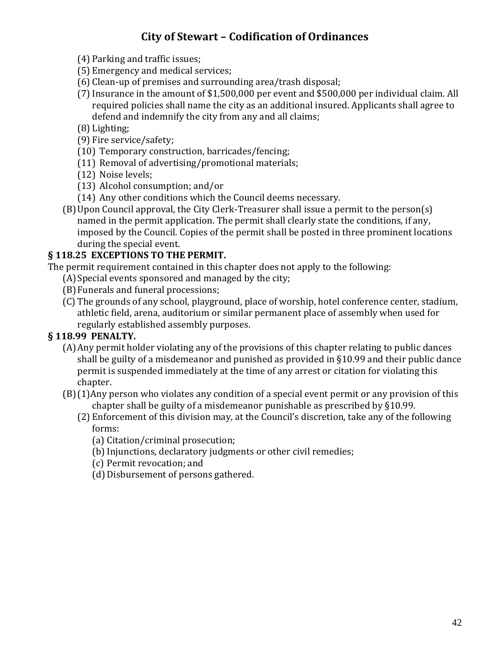- (4) Parking and traffic issues;
- (5) Emergency and medical services;
- (6) Clean-up of premises and surrounding area/trash disposal;
- (7)Insurance in the amount of \$1,500,000 per event and \$500,000 per individual claim. All required policies shall name the city as an additional insured. Applicants shall agree to defend and indemnify the city from any and all claims;
- (8) Lighting;
- (9) Fire service/safety;
- (10) Temporary construction, barricades/fencing;
- (11) Removal of advertising/promotional materials;
- (12) Noise levels;
- (13) Alcohol consumption; and/or
- (14) Any other conditions which the Council deems necessary.
- (B)Upon Council approval, the City Clerk-Treasurer shall issue a permit to the person(s) named in the permit application. The permit shall clearly state the conditions, if any, imposed by the Council. Copies of the permit shall be posted in three prominent locations during the special event.

#### **§ 118.25 EXCEPTIONS TO THE PERMIT.**

The permit requirement contained in this chapter does not apply to the following:

- (A) Special events sponsored and managed by the city;
- (B)Funerals and funeral processions;
- (C) The grounds of any school, playground, place of worship, hotel conference center, stadium, athletic field, arena, auditorium or similar permanent place of assembly when used for regularly established assembly purposes.

#### **§ 118.99 PENALTY.**

- (A)Any permit holder violating any of the provisions of this chapter relating to public dances shall be guilty of a misdemeanor and punished as provided in §10.99 and their public dance permit is suspended immediately at the time of any arrest or citation for violating this chapter.
- (B)(1)Any person who violates any condition of a special event permit or any provision of this chapter shall be guilty of a misdemeanor punishable as prescribed by §10.99.
	- (2) Enforcement of this division may, at the Council's discretion, take any of the following forms:
		- (a) Citation/criminal prosecution;
		- (b) Injunctions, declaratory judgments or other civil remedies;
		- (c) Permit revocation; and
		- (d) Disbursement of persons gathered.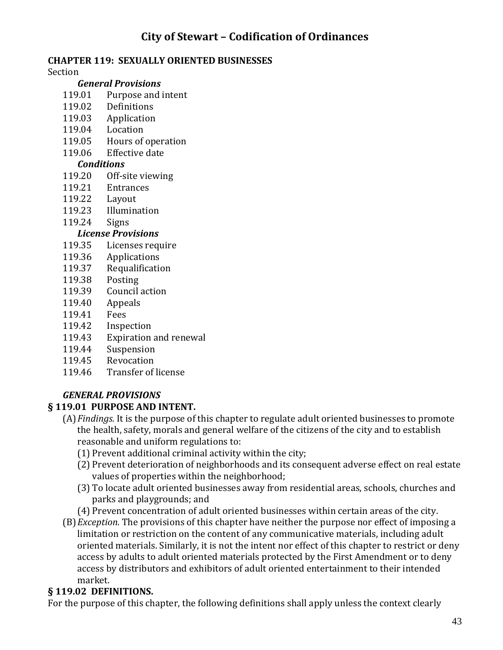#### **CHAPTER 119: SEXUALLY ORIENTED BUSINESSES**

#### Section

#### *General Provisions*

- 119.01 Purpose and intent
- 119.02 Definitions
- 119.03 Application
- 119.04 Location
- 119.05 Hours of operation
- 119.06 Effective date

#### *Conditions*

- 119.20 Off-site viewing
- 119.21 Entrances
- 119.22 Layout
- 119.23 Illumination
- 119.24 Signs

#### *License Provisions*

- 119.35 Licenses require
- 119.36 Applications
- 119.37 Requalification
- 119.38 Posting
- 119.39 Council action
- 119.40 Appeals
- 119.41 Fees
- 119.42 Inspection
- 119.43 Expiration and renewal
- 119.44 Suspension
- 119.45 Revocation
- 119.46 Transfer of license

### *GENERAL PROVISIONS*

### **§ 119.01 PURPOSE AND INTENT.**

- (A)*Findings.* It is the purpose of this chapter to regulate adult oriented businesses to promote the health, safety, morals and general welfare of the citizens of the city and to establish reasonable and uniform regulations to:
	- (1) Prevent additional criminal activity within the city;
	- (2) Prevent deterioration of neighborhoods and its consequent adverse effect on real estate values of properties within the neighborhood;
	- (3) To locate adult oriented businesses away from residential areas, schools, churches and parks and playgrounds; and
	- (4) Prevent concentration of adult oriented businesses within certain areas of the city.
- (B)*Exception.* The provisions of this chapter have neither the purpose nor effect of imposing a limitation or restriction on the content of any communicative materials, including adult oriented materials. Similarly, it is not the intent nor effect of this chapter to restrict or deny access by adults to adult oriented materials protected by the First Amendment or to deny access by distributors and exhibitors of adult oriented entertainment to their intended market.

### **§ 119.02 DEFINITIONS.**

For the purpose of this chapter, the following definitions shall apply unless the context clearly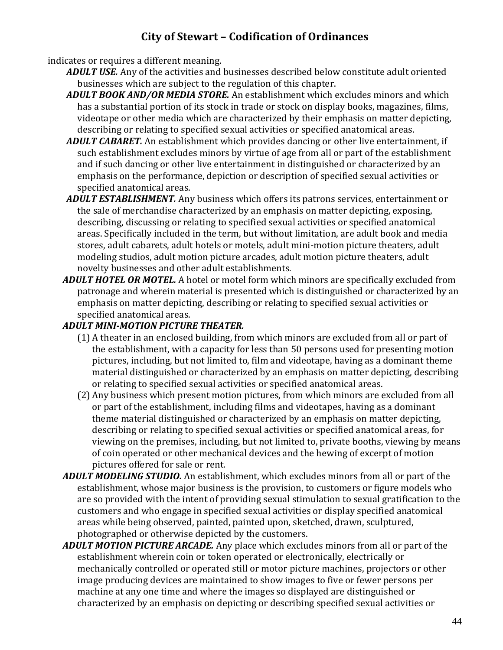indicates or requires a different meaning.

- *ADULT USE.* Any of the activities and businesses described below constitute adult oriented businesses which are subject to the regulation of this chapter.
- *ADULT BOOK AND/OR MEDIA STORE.* An establishment which excludes minors and which has a substantial portion of its stock in trade or stock on display books, magazines, films, videotape or other media which are characterized by their emphasis on matter depicting, describing or relating to specified sexual activities or specified anatomical areas.
- *ADULT CABARET.* An establishment which provides dancing or other live entertainment, if such establishment excludes minors by virtue of age from all or part of the establishment and if such dancing or other live entertainment in distinguished or characterized by an emphasis on the performance, depiction or description of specified sexual activities or specified anatomical areas.
- *ADULT ESTABLISHMENT.* Any business which offers its patrons services, entertainment or the sale of merchandise characterized by an emphasis on matter depicting, exposing, describing, discussing or relating to specified sexual activities or specified anatomical areas. Specifically included in the term, but without limitation, are adult book and media stores, adult cabarets, adult hotels or motels, adult mini-motion picture theaters, adult modeling studios, adult motion picture arcades, adult motion picture theaters, adult novelty businesses and other adult establishments.
- *ADULT HOTEL OR MOTEL.* A hotel or motel form which minors are specifically excluded from patronage and wherein material is presented which is distinguished or characterized by an emphasis on matter depicting, describing or relating to specified sexual activities or specified anatomical areas.

#### *ADULT MINI-MOTION PICTURE THEATER.*

- (1) A theater in an enclosed building, from which minors are excluded from all or part of the establishment, with a capacity for less than 50 persons used for presenting motion pictures, including, but not limited to, film and videotape, having as a dominant theme material distinguished or characterized by an emphasis on matter depicting, describing or relating to specified sexual activities or specified anatomical areas.
- (2) Any business which present motion pictures, from which minors are excluded from all or part of the establishment, including films and videotapes, having as a dominant theme material distinguished or characterized by an emphasis on matter depicting, describing or relating to specified sexual activities or specified anatomical areas, for viewing on the premises, including, but not limited to, private booths, viewing by means of coin operated or other mechanical devices and the hewing of excerpt of motion pictures offered for sale or rent.
- *ADULT MODELING STUDIO.* An establishment, which excludes minors from all or part of the establishment, whose major business is the provision, to customers or figure models who are so provided with the intent of providing sexual stimulation to sexual gratification to the customers and who engage in specified sexual activities or display specified anatomical areas while being observed, painted, painted upon, sketched, drawn, sculptured, photographed or otherwise depicted by the customers.
- *ADULT MOTION PICTURE ARCADE.* Any place which excludes minors from all or part of the establishment wherein coin or token operated or electronically, electrically or mechanically controlled or operated still or motor picture machines, projectors or other image producing devices are maintained to show images to five or fewer persons per machine at any one time and where the images so displayed are distinguished or characterized by an emphasis on depicting or describing specified sexual activities or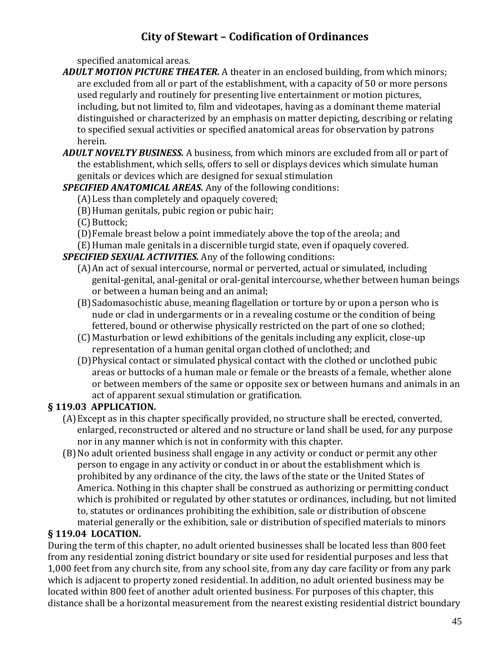specified anatomical areas.

- *ADULT MOTION PICTURE THEATER.* A theater in an enclosed building, from which minors; are excluded from all or part of the establishment, with a capacity of 50 or more persons used regularly and routinely for presenting live entertainment or motion pictures, including, but not limited to, film and videotapes, having as a dominant theme material distinguished or characterized by an emphasis on matter depicting, describing or relating to specified sexual activities or specified anatomical areas for observation by patrons herein.
- *ADULT NOVELTY BUSINESS.* A business, from which minors are excluded from all or part of the establishment, which sells, offers to sell or displays devices which simulate human genitals or devices which are designed for sexual stimulation

### *SPECIFIED ANATOMICAL AREAS.* Any of the following conditions:

- (A)Less than completely and opaquely covered;
- (B)Human genitals, pubic region or pubic hair;
- (C) Buttock;
- (D)Female breast below a point immediately above the top of the areola; and
- (E)Human male genitals in a discernible turgid state, even if opaquely covered.

*SPECIFIED SEXUAL ACTIVITIES.* Any of the following conditions:

- (A)An act of sexual intercourse, normal or perverted, actual or simulated, including genital-genital, anal-genital or oral-genital intercourse, whether between human beings or between a human being and an animal;
- (B)Sadomasochistic abuse, meaning flagellation or torture by or upon a person who is nude or clad in undergarments or in a revealing costume or the condition of being fettered, bound or otherwise physically restricted on the part of one so clothed;
- (C) Masturbation or lewd exhibitions of the genitals including any explicit, close-up representation of a human genital organ clothed of unclothed; and
- (D)Physical contact or simulated physical contact with the clothed or unclothed pubic areas or buttocks of a human male or female or the breasts of a female, whether alone or between members of the same or opposite sex or between humans and animals in an act of apparent sexual stimulation or gratification.

### **§ 119.03 APPLICATION.**

- (A)Except as in this chapter specifically provided, no structure shall be erected, converted, enlarged, reconstructed or altered and no structure or land shall be used, for any purpose nor in any manner which is not in conformity with this chapter.
- (B)No adult oriented business shall engage in any activity or conduct or permit any other person to engage in any activity or conduct in or about the establishment which is prohibited by any ordinance of the city, the laws of the state or the United States of America. Nothing in this chapter shall be construed as authorizing or permitting conduct which is prohibited or regulated by other statutes or ordinances, including, but not limited to, statutes or ordinances prohibiting the exhibition, sale or distribution of obscene material generally or the exhibition, sale or distribution of specified materials to minors

### **§ 119.04 LOCATION.**

During the term of this chapter, no adult oriented businesses shall be located less than 800 feet from any residential zoning district boundary or site used for residential purposes and less that 1,000 feet from any church site, from any school site, from any day care facility or from any park which is adjacent to property zoned residential. In addition, no adult oriented business may be located within 800 feet of another adult oriented business. For purposes of this chapter, this distance shall be a horizontal measurement from the nearest existing residential district boundary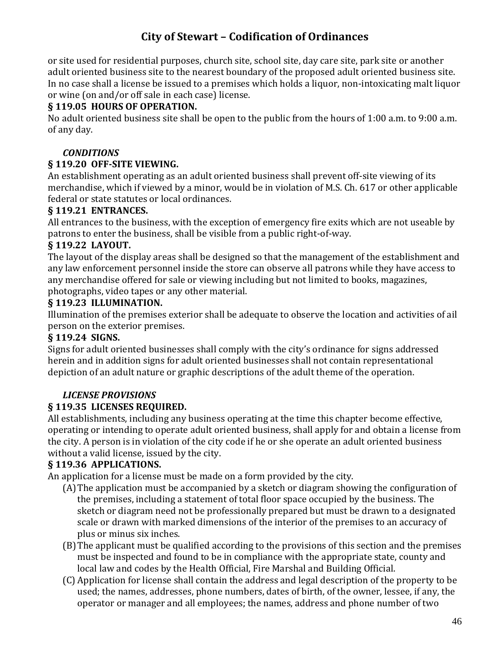or site used for residential purposes, church site, school site, day care site, park site or another adult oriented business site to the nearest boundary of the proposed adult oriented business site. In no case shall a license be issued to a premises which holds a liquor, non-intoxicating malt liquor or wine (on and/or off sale in each case) license.

#### **§ 119.05 HOURS OF OPERATION.**

No adult oriented business site shall be open to the public from the hours of 1:00 a.m. to 9:00 a.m. of any day.

#### *CONDITIONS*

#### **§ 119.20 OFF-SITE VIEWING.**

An establishment operating as an adult oriented business shall prevent off-site viewing of its merchandise, which if viewed by a minor, would be in violation of M.S. Ch. 617 or other applicable federal or state statutes or local ordinances.

#### **§ 119.21 ENTRANCES.**

All entrances to the business, with the exception of emergency fire exits which are not useable by patrons to enter the business, shall be visible from a public right-of-way.

#### **§ 119.22 LAYOUT.**

The layout of the display areas shall be designed so that the management of the establishment and any law enforcement personnel inside the store can observe all patrons while they have access to any merchandise offered for sale or viewing including but not limited to books, magazines, photographs, video tapes or any other material.

#### **§ 119.23 ILLUMINATION.**

Illumination of the premises exterior shall be adequate to observe the location and activities of ail person on the exterior premises.

#### **§ 119.24 SIGNS.**

Signs for adult oriented businesses shall comply with the city's ordinance for signs addressed herein and in addition signs for adult oriented businesses shall not contain representational depiction of an adult nature or graphic descriptions of the adult theme of the operation.

#### *LICENSE PROVISIONS*

#### **§ 119.35 LICENSES REQUIRED.**

All establishments, including any business operating at the time this chapter become effective, operating or intending to operate adult oriented business, shall apply for and obtain a license from the city. A person is in violation of the city code if he or she operate an adult oriented business without a valid license, issued by the city.

#### **§ 119.36 APPLICATIONS.**

An application for a license must be made on a form provided by the city.

- (A)The application must be accompanied by a sketch or diagram showing the configuration of the premises, including a statement of total floor space occupied by the business. The sketch or diagram need not be professionally prepared but must be drawn to a designated scale or drawn with marked dimensions of the interior of the premises to an accuracy of plus or minus six inches.
- (B)The applicant must be qualified according to the provisions of this section and the premises must be inspected and found to be in compliance with the appropriate state, county and local law and codes by the Health Official, Fire Marshal and Building Official.
- (C) Application for license shall contain the address and legal description of the property to be used; the names, addresses, phone numbers, dates of birth, of the owner, lessee, if any, the operator or manager and all employees; the names, address and phone number of two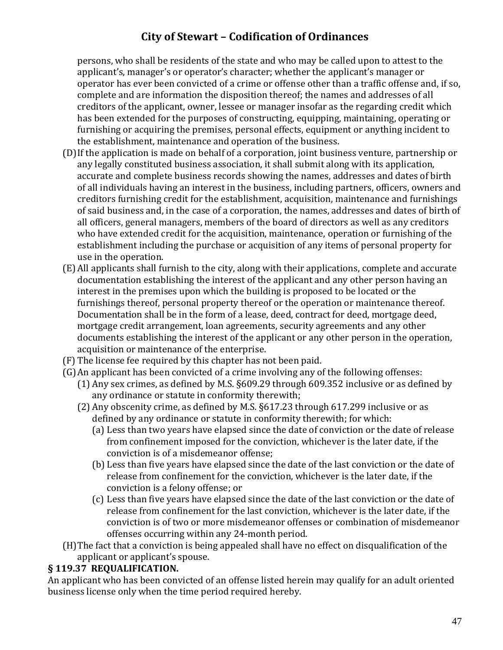persons, who shall be residents of the state and who may be called upon to attest to the applicant's, manager's or operator's character; whether the applicant's manager or operator has ever been convicted of a crime or offense other than a traffic offense and, if so, complete and are information the disposition thereof; the names and addresses of all creditors of the applicant, owner, lessee or manager insofar as the regarding credit which has been extended for the purposes of constructing, equipping, maintaining, operating or furnishing or acquiring the premises, personal effects, equipment or anything incident to the establishment, maintenance and operation of the business.

- (D)If the application is made on behalf of a corporation, joint business venture, partnership or any legally constituted business association, it shall submit along with its application, accurate and complete business records showing the names, addresses and dates of birth of all individuals having an interest in the business, including partners, officers, owners and creditors furnishing credit for the establishment, acquisition, maintenance and furnishings of said business and, in the case of a corporation, the names, addresses and dates of birth of all officers, general managers, members of the board of directors as well as any creditors who have extended credit for the acquisition, maintenance, operation or furnishing of the establishment including the purchase or acquisition of any items of personal property for use in the operation.
- (E) All applicants shall furnish to the city, along with their applications, complete and accurate documentation establishing the interest of the applicant and any other person having an interest in the premises upon which the building is proposed to be located or the furnishings thereof, personal property thereof or the operation or maintenance thereof. Documentation shall be in the form of a lease, deed, contract for deed, mortgage deed, mortgage credit arrangement, loan agreements, security agreements and any other documents establishing the interest of the applicant or any other person in the operation, acquisition or maintenance of the enterprise.
- (F) The license fee required by this chapter has not been paid.
- (G)An applicant has been convicted of a crime involving any of the following offenses:
	- (1) Any sex crimes, as defined by M.S. §609.29 through 609.352 inclusive or as defined by any ordinance or statute in conformity therewith;
	- (2) Any obscenity crime, as defined by M.S. §617.23 through 617.299 inclusive or as defined by any ordinance or statute in conformity therewith; for which:
		- (a) Less than two years have elapsed since the date of conviction or the date of release from confinement imposed for the conviction, whichever is the later date, if the conviction is of a misdemeanor offense;
		- (b) Less than five years have elapsed since the date of the last conviction or the date of release from confinement for the conviction, whichever is the later date, if the conviction is a felony offense; or
		- (c) Less than five years have elapsed since the date of the last conviction or the date of release from confinement for the last conviction, whichever is the later date, if the conviction is of two or more misdemeanor offenses or combination of misdemeanor offenses occurring within any 24-month period.
- (H)The fact that a conviction is being appealed shall have no effect on disqualification of the applicant or applicant's spouse.

#### **§ 119.37 REQUALIFICATION.**

An applicant who has been convicted of an offense listed herein may qualify for an adult oriented business license only when the time period required hereby.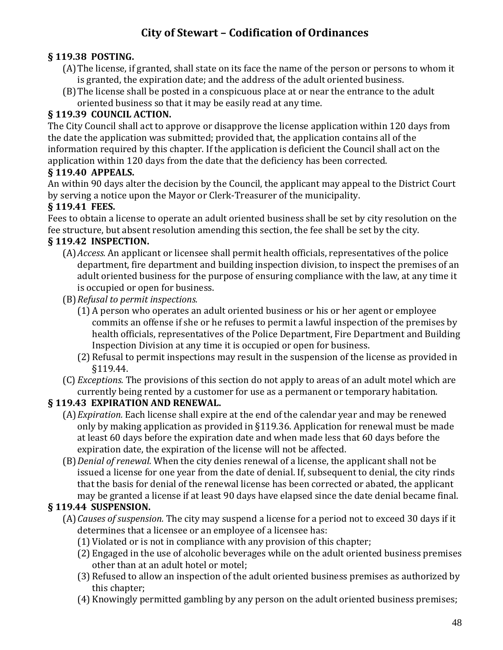### **§ 119.38 POSTING.**

- (A)The license, if granted, shall state on its face the name of the person or persons to whom it is granted, the expiration date; and the address of the adult oriented business.
- (B)The license shall be posted in a conspicuous place at or near the entrance to the adult oriented business so that it may be easily read at any time.

### **§ 119.39 COUNCIL ACTION.**

The City Council shall act to approve or disapprove the license application within 120 days from the date the application was submitted; provided that, the application contains all of the information required by this chapter. If the application is deficient the Council shall act on the application within 120 days from the date that the deficiency has been corrected.

#### **§ 119.40 APPEALS.**

An within 90 days alter the decision by the Council, the applicant may appeal to the District Court by serving a notice upon the Mayor or Clerk-Treasurer of the municipality.

#### **§ 119.41 FEES.**

Fees to obtain a license to operate an adult oriented business shall be set by city resolution on the fee structure, but absent resolution amending this section, the fee shall be set by the city.

#### **§ 119.42 INSPECTION.**

- (A)*Access.* An applicant or licensee shall permit health officials, representatives of the police department, fire department and building inspection division, to inspect the premises of an adult oriented business for the purpose of ensuring compliance with the law, at any time it is occupied or open for business.
- (B)*Refusal to permit inspections.*
	- (1) A person who operates an adult oriented business or his or her agent or employee commits an offense if she or he refuses to permit a lawful inspection of the premises by health officials, representatives of the Police Department, Fire Department and Building Inspection Division at any time it is occupied or open for business.
	- (2) Refusal to permit inspections may result in the suspension of the license as provided in §119.44.
- (C) *Exceptions.* The provisions of this section do not apply to areas of an adult motel which are currently being rented by a customer for use as a permanent or temporary habitation.

#### **§ 119.43 EXPIRATION AND RENEWAL.**

- (A)*Expiration.* Each license shall expire at the end of the calendar year and may be renewed only by making application as provided in §119.36. Application for renewal must be made at least 60 days before the expiration date and when made less that 60 days before the expiration date, the expiration of the license will not be affected.
- (B)*Denial of renewal.* When the city denies renewal of a license, the applicant shall not be issued a license for one year from the date of denial. If, subsequent to denial, the city rinds that the basis for denial of the renewal license has been corrected or abated, the applicant may be granted a license if at least 90 days have elapsed since the date denial became final.

### **§ 119.44 SUSPENSION.**

- (A)*Causes of suspension.* The city may suspend a license for a period not to exceed 30 days if it determines that a licensee or an employee of a licensee has:
	- (1) Violated or is not in compliance with any provision of this chapter;
	- (2) Engaged in the use of alcoholic beverages while on the adult oriented business premises other than at an adult hotel or motel;
	- (3) Refused to allow an inspection of the adult oriented business premises as authorized by this chapter;
	- (4) Knowingly permitted gambling by any person on the adult oriented business premises;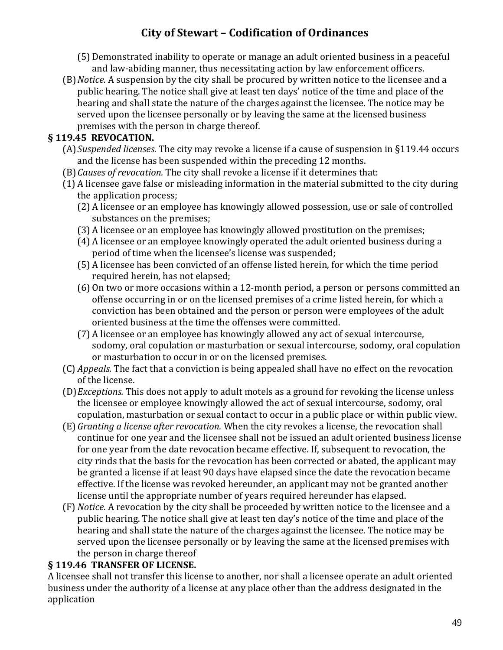- (5) Demonstrated inability to operate or manage an adult oriented business in a peaceful and law-abiding manner, thus necessitating action by law enforcement officers.
- (B)*Notice.* A suspension by the city shall be procured by written notice to the licensee and a public hearing. The notice shall give at least ten days' notice of the time and place of the hearing and shall state the nature of the charges against the licensee. The notice may be served upon the licensee personally or by leaving the same at the licensed business premises with the person in charge thereof.

### **§ 119.45 REVOCATION.**

- (A)*Suspended licenses.* The city may revoke a license if a cause of suspension in §119.44 occurs and the license has been suspended within the preceding 12 months.
- (B)*Causes of revocation.* The city shall revoke a license if it determines that:
- (1) A licensee gave false or misleading information in the material submitted to the city during the application process;
	- (2) A licensee or an employee has knowingly allowed possession, use or sale of controlled substances on the premises;
	- (3) A licensee or an employee has knowingly allowed prostitution on the premises;
	- (4) A licensee or an employee knowingly operated the adult oriented business during a period of time when the licensee's license was suspended;
	- (5) A licensee has been convicted of an offense listed herein, for which the time period required herein, has not elapsed;
	- (6) On two or more occasions within a 12-month period, a person or persons committed an offense occurring in or on the licensed premises of a crime listed herein, for which a conviction has been obtained and the person or person were employees of the adult oriented business at the time the offenses were committed.
	- (7) A licensee or an employee has knowingly allowed any act of sexual intercourse, sodomy, oral copulation or masturbation or sexual intercourse, sodomy, oral copulation or masturbation to occur in or on the licensed premises.
- (C) *Appeals.* The fact that a conviction is being appealed shall have no effect on the revocation of the license.
- (D)*Exceptions.* This does not apply to adult motels as a ground for revoking the license unless the licensee or employee knowingly allowed the act of sexual intercourse, sodomy, oral copulation, masturbation or sexual contact to occur in a public place or within public view.
- (E) *Granting a license after revocation.* When the city revokes a license, the revocation shall continue for one year and the licensee shall not be issued an adult oriented business license for one year from the date revocation became effective. If, subsequent to revocation, the city rinds that the basis for the revocation has been corrected or abated, the applicant may be granted a license if at least 90 days have elapsed since the date the revocation became effective. If the license was revoked hereunder, an applicant may not be granted another license until the appropriate number of years required hereunder has elapsed.
- (F) *Notice.* A revocation by the city shall be proceeded by written notice to the licensee and a public hearing. The notice shall give at least ten day's notice of the time and place of the hearing and shall state the nature of the charges against the licensee. The notice may be served upon the licensee personally or by leaving the same at the licensed premises with the person in charge thereof

### **§ 119.46 TRANSFER OF LICENSE.**

A licensee shall not transfer this license to another, nor shall a licensee operate an adult oriented business under the authority of a license at any place other than the address designated in the application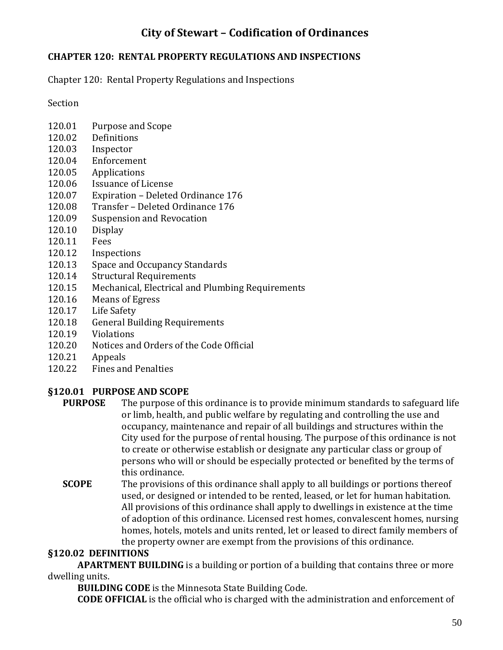#### **CHAPTER 120: RENTAL PROPERTY REGULATIONS AND INSPECTIONS**

Chapter 120: Rental Property Regulations and Inspections

Section

- 120.01 Purpose and Scope
- 120.02 Definitions
- 120.03 Inspector
- 120.04 Enforcement
- 120.05 Applications
- 120.06 Issuance of License
- 120.07 Expiration Deleted Ordinance 176
- 120.08 Transfer Deleted Ordinance 176
- 120.09 Suspension and Revocation
- 120.10 Display
- 120.11 Fees
- 120.12 Inspections
- 120.13 Space and Occupancy Standards
- 120.14 Structural Requirements
- 120.15 Mechanical, Electrical and Plumbing Requirements
- 120.16 Means of Egress
- 120.17 Life Safety
- 120.18 General Building Requirements
- 120.19 Violations
- 120.20 Notices and Orders of the Code Official
- 120.21 Appeals
- 120.22 Fines and Penalties

#### **§120.01 PURPOSE AND SCOPE**

- **PURPOSE** The purpose of this ordinance is to provide minimum standards to safeguard life or limb, health, and public welfare by regulating and controlling the use and occupancy, maintenance and repair of all buildings and structures within the City used for the purpose of rental housing. The purpose of this ordinance is not to create or otherwise establish or designate any particular class or group of persons who will or should be especially protected or benefited by the terms of this ordinance.
- **SCOPE** The provisions of this ordinance shall apply to all buildings or portions thereof used, or designed or intended to be rented, leased, or let for human habitation. All provisions of this ordinance shall apply to dwellings in existence at the time of adoption of this ordinance. Licensed rest homes, convalescent homes, nursing homes, hotels, motels and units rented, let or leased to direct family members of the property owner are exempt from the provisions of this ordinance.

#### **§120.02 DEFINITIONS**

**APARTMENT BUILDING** is a building or portion of a building that contains three or more dwelling units.

**BUILDING CODE** is the Minnesota State Building Code.

**CODE OFFICIAL** is the official who is charged with the administration and enforcement of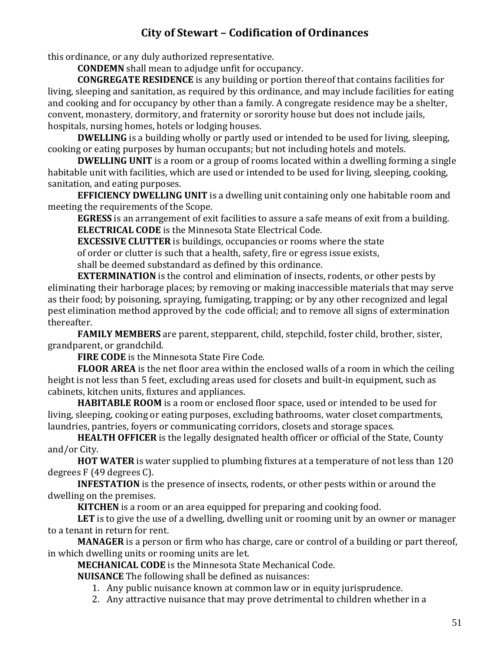this ordinance, or any duly authorized representative.

**CONDEMN** shall mean to adjudge unfit for occupancy.

**CONGREGATE RESIDENCE** is any building or portion thereof that contains facilities for living, sleeping and sanitation, as required by this ordinance, and may include facilities for eating and cooking and for occupancy by other than a family. A congregate residence may be a shelter, convent, monastery, dormitory, and fraternity or sorority house but does not include jails, hospitals, nursing homes, hotels or lodging houses.

**DWELLING** is a building wholly or partly used or intended to be used for living, sleeping, cooking or eating purposes by human occupants; but not including hotels and motels.

**DWELLING UNIT** is a room or a group of rooms located within a dwelling forming a single habitable unit with facilities, which are used or intended to be used for living, sleeping, cooking, sanitation, and eating purposes.

**EFFICIENCY DWELLING UNIT** is a dwelling unit containing only one habitable room and meeting the requirements of the Scope.

**EGRESS** is an arrangement of exit facilities to assure a safe means of exit from a building. **ELECTRICAL CODE** is the Minnesota State Electrical Code.

**EXCESSIVE CLUTTER** is buildings, occupancies or rooms where the state of order or clutter is such that a health, safety, fire or egress issue exists, shall be deemed substandard as defined by this ordinance.

**EXTERMINATION** is the control and elimination of insects, rodents, or other pests by eliminating their harborage places; by removing or making inaccessible materials that may serve as their food; by poisoning, spraying, fumigating, trapping; or by any other recognized and legal pest elimination method approved by the code official; and to remove all signs of extermination thereafter.

**FAMILY MEMBERS** are parent, stepparent, child, stepchild, foster child, brother, sister, grandparent, or grandchild.

**FIRE CODE** is the Minnesota State Fire Code.

**FLOOR AREA** is the net floor area within the enclosed walls of a room in which the ceiling height is not less than 5 feet, excluding areas used for closets and built-in equipment, such as cabinets, kitchen units, fixtures and appliances.

**HABITABLE ROOM** is a room or enclosed floor space, used or intended to be used for living, sleeping, cooking or eating purposes, excluding bathrooms, water closet compartments, laundries, pantries, foyers or communicating corridors, closets and storage spaces.

**HEALTH OFFICER** is the legally designated health officer or official of the State, County and/or City.

**HOT WATER** is water supplied to plumbing fixtures at a temperature of not less than 120 degrees F (49 degrees C).

**INFESTATION** is the presence of insects, rodents, or other pests within or around the dwelling on the premises.

**KITCHEN** is a room or an area equipped for preparing and cooking food.

**LET** is to give the use of a dwelling, dwelling unit or rooming unit by an owner or manager to a tenant in return for rent.

**MANAGER** is a person or firm who has charge, care or control of a building or part thereof, in which dwelling units or rooming units are let.

**MECHANICAL CODE** is the Minnesota State Mechanical Code.

**NUISANCE** The following shall be defined as nuisances:

- 1. Any public nuisance known at common law or in equity jurisprudence.
- 2. Any attractive nuisance that may prove detrimental to children whether in a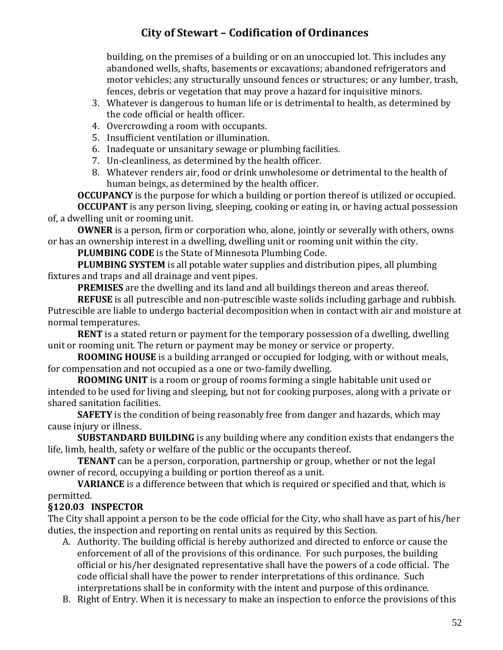building, on the premises of a building or on an unoccupied lot. This includes any abandoned wells, shafts, basements or excavations; abandoned refrigerators and motor vehicles; any structurally unsound fences or structures; or any lumber, trash, fences, debris or vegetation that may prove a hazard for inquisitive minors.

- 3. Whatever is dangerous to human life or is detrimental to health, as determined by the code official or health officer.
- 4. Overcrowding a room with occupants.
- 5. Insufficient ventilation or illumination.
- 6. Inadequate or unsanitary sewage or plumbing facilities.
- 7. Un-cleanliness, as determined by the health officer.
- 8. Whatever renders air, food or drink unwholesome or detrimental to the health of human beings, as determined by the health officer.

**OCCUPANCY** is the purpose for which a building or portion thereof is utilized or occupied.

**OCCUPANT** is any person living, sleeping, cooking or eating in, or having actual possession of, a dwelling unit or rooming unit.

**OWNER** is a person, firm or corporation who, alone, jointly or severally with others, owns or has an ownership interest in a dwelling, dwelling unit or rooming unit within the city.

**PLUMBING CODE** is the State of Minnesota Plumbing Code.

**PLUMBING SYSTEM** is all potable water supplies and distribution pipes, all plumbing fixtures and traps and all drainage and vent pipes.

**PREMISES** are the dwelling and its land and all buildings thereon and areas thereof.

**REFUSE** is all putrescible and non-putrescible waste solids including garbage and rubbish. Putrescible are liable to undergo bacterial decomposition when in contact with air and moisture at normal temperatures.

**RENT** is a stated return or payment for the temporary possession of a dwelling, dwelling unit or rooming unit. The return or payment may be money or service or property.

**ROOMING HOUSE** is a building arranged or occupied for lodging, with or without meals, for compensation and not occupied as a one or two-family dwelling.

**ROOMING UNIT** is a room or group of rooms forming a single habitable unit used or intended to be used for living and sleeping, but not for cooking purposes, along with a private or shared sanitation facilities.

**SAFETY** is the condition of being reasonably free from danger and hazards, which may cause injury or illness.

**SUBSTANDARD BUILDING** is any building where any condition exists that endangers the life, limb, health, safety or welfare of the public or the occupants thereof.

**TENANT** can be a person, corporation, partnership or group, whether or not the legal owner of record, occupying a building or portion thereof as a unit.

**VARIANCE** is a difference between that which is required or specified and that, which is permitted.

### **§120.03 INSPECTOR**

The City shall appoint a person to be the code official for the City, who shall have as part of his/her duties, the inspection and reporting on rental units as required by this Section.

- A. Authority. The building official is hereby authorized and directed to enforce or cause the enforcement of all of the provisions of this ordinance. For such purposes, the building official or his/her designated representative shall have the powers of a code official. The code official shall have the power to render interpretations of this ordinance. Such interpretations shall be in conformity with the intent and purpose of this ordinance.
- B. Right of Entry. When it is necessary to make an inspection to enforce the provisions of this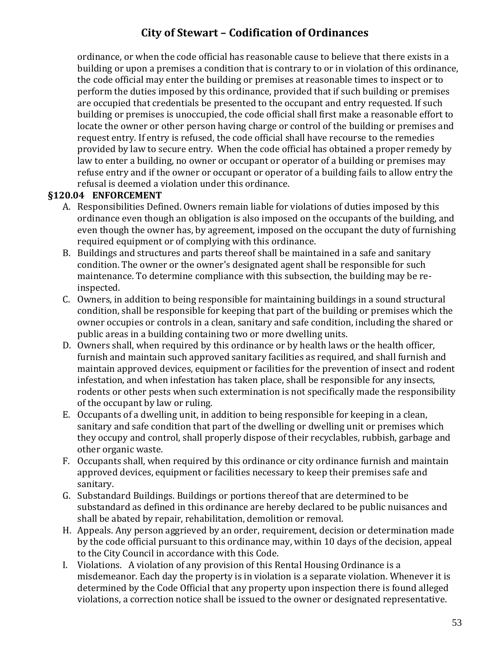ordinance, or when the code official has reasonable cause to believe that there exists in a building or upon a premises a condition that is contrary to or in violation of this ordinance, the code official may enter the building or premises at reasonable times to inspect or to perform the duties imposed by this ordinance, provided that if such building or premises are occupied that credentials be presented to the occupant and entry requested. If such building or premises is unoccupied, the code official shall first make a reasonable effort to locate the owner or other person having charge or control of the building or premises and request entry. If entry is refused, the code official shall have recourse to the remedies provided by law to secure entry. When the code official has obtained a proper remedy by law to enter a building, no owner or occupant or operator of a building or premises may refuse entry and if the owner or occupant or operator of a building fails to allow entry the refusal is deemed a violation under this ordinance.

#### **§120.04 ENFORCEMENT**

- A. Responsibilities Defined. Owners remain liable for violations of duties imposed by this ordinance even though an obligation is also imposed on the occupants of the building, and even though the owner has, by agreement, imposed on the occupant the duty of furnishing required equipment or of complying with this ordinance.
- B. Buildings and structures and parts thereof shall be maintained in a safe and sanitary condition. The owner or the owner's designated agent shall be responsible for such maintenance. To determine compliance with this subsection, the building may be reinspected.
- C. Owners, in addition to being responsible for maintaining buildings in a sound structural condition, shall be responsible for keeping that part of the building or premises which the owner occupies or controls in a clean, sanitary and safe condition, including the shared or public areas in a building containing two or more dwelling units.
- D. Owners shall, when required by this ordinance or by health laws or the health officer, furnish and maintain such approved sanitary facilities as required, and shall furnish and maintain approved devices, equipment or facilities for the prevention of insect and rodent infestation, and when infestation has taken place, shall be responsible for any insects, rodents or other pests when such extermination is not specifically made the responsibility of the occupant by law or ruling.
- E. Occupants of a dwelling unit, in addition to being responsible for keeping in a clean, sanitary and safe condition that part of the dwelling or dwelling unit or premises which they occupy and control, shall properly dispose of their recyclables, rubbish, garbage and other organic waste.
- F. Occupants shall, when required by this ordinance or city ordinance furnish and maintain approved devices, equipment or facilities necessary to keep their premises safe and sanitary.
- G. Substandard Buildings. Buildings or portions thereof that are determined to be substandard as defined in this ordinance are hereby declared to be public nuisances and shall be abated by repair, rehabilitation, demolition or removal.
- H. Appeals. Any person aggrieved by an order, requirement, decision or determination made by the code official pursuant to this ordinance may, within 10 days of the decision, appeal to the City Council in accordance with this Code.
- I. Violations. A violation of any provision of this Rental Housing Ordinance is a misdemeanor. Each day the property is in violation is a separate violation. Whenever it is determined by the Code Official that any property upon inspection there is found alleged violations, a correction notice shall be issued to the owner or designated representative.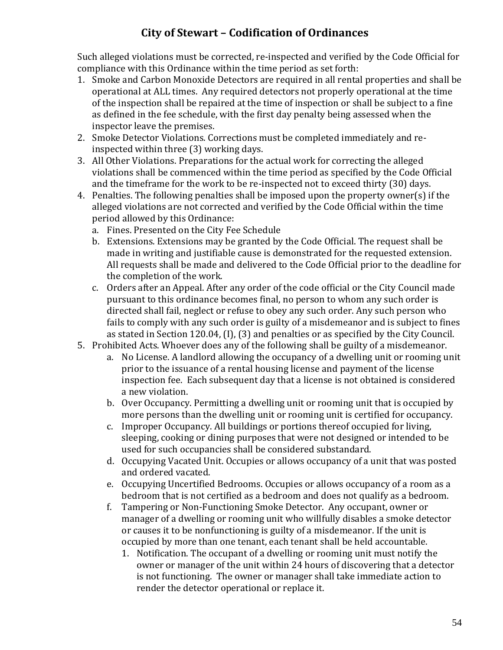Such alleged violations must be corrected, re-inspected and verified by the Code Official for compliance with this Ordinance within the time period as set forth:

- 1. Smoke and Carbon Monoxide Detectors are required in all rental properties and shall be operational at ALL times. Any required detectors not properly operational at the time of the inspection shall be repaired at the time of inspection or shall be subject to a fine as defined in the fee schedule, with the first day penalty being assessed when the inspector leave the premises.
- 2. Smoke Detector Violations. Corrections must be completed immediately and reinspected within three (3) working days.
- 3. All Other Violations. Preparations for the actual work for correcting the alleged violations shall be commenced within the time period as specified by the Code Official and the timeframe for the work to be re-inspected not to exceed thirty (30) days.
- 4. Penalties. The following penalties shall be imposed upon the property owner(s) if the alleged violations are not corrected and verified by the Code Official within the time period allowed by this Ordinance:
	- a. Fines. Presented on the City Fee Schedule
	- b. Extensions. Extensions may be granted by the Code Official. The request shall be made in writing and justifiable cause is demonstrated for the requested extension. All requests shall be made and delivered to the Code Official prior to the deadline for the completion of the work.
	- c. Orders after an Appeal. After any order of the code official or the City Council made pursuant to this ordinance becomes final, no person to whom any such order is directed shall fail, neglect or refuse to obey any such order. Any such person who fails to comply with any such order is guilty of a misdemeanor and is subject to fines as stated in Section 120.04, (I), (3) and penalties or as specified by the City Council.
- 5. Prohibited Acts. Whoever does any of the following shall be guilty of a misdemeanor.
	- a. No License. A landlord allowing the occupancy of a dwelling unit or rooming unit prior to the issuance of a rental housing license and payment of the license inspection fee. Each subsequent day that a license is not obtained is considered a new violation.
	- b. Over Occupancy. Permitting a dwelling unit or rooming unit that is occupied by more persons than the dwelling unit or rooming unit is certified for occupancy.
	- c. Improper Occupancy. All buildings or portions thereof occupied for living, sleeping, cooking or dining purposes that were not designed or intended to be used for such occupancies shall be considered substandard.
	- d. Occupying Vacated Unit. Occupies or allows occupancy of a unit that was posted and ordered vacated.
	- e. Occupying Uncertified Bedrooms. Occupies or allows occupancy of a room as a bedroom that is not certified as a bedroom and does not qualify as a bedroom.
	- f. Tampering or Non-Functioning Smoke Detector. Any occupant, owner or manager of a dwelling or rooming unit who willfully disables a smoke detector or causes it to be nonfunctioning is guilty of a misdemeanor. If the unit is occupied by more than one tenant, each tenant shall be held accountable.
		- 1. Notification. The occupant of a dwelling or rooming unit must notify the owner or manager of the unit within 24 hours of discovering that a detector is not functioning. The owner or manager shall take immediate action to render the detector operational or replace it.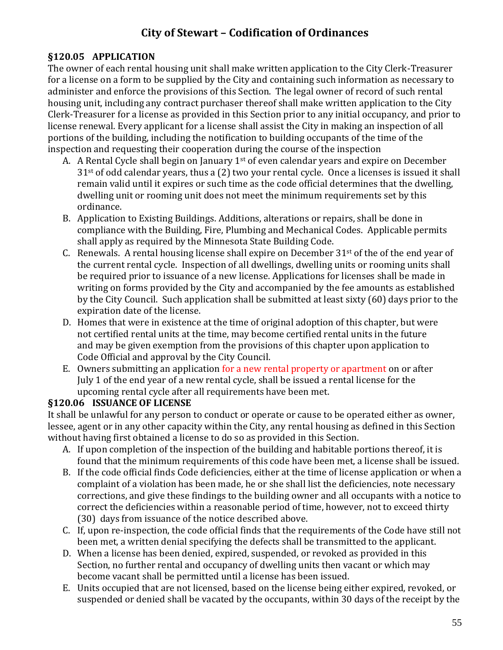#### **§120.05 APPLICATION**

The owner of each rental housing unit shall make written application to the City Clerk-Treasurer for a license on a form to be supplied by the City and containing such information as necessary to administer and enforce the provisions of this Section. The legal owner of record of such rental housing unit, including any contract purchaser thereof shall make written application to the City Clerk-Treasurer for a license as provided in this Section prior to any initial occupancy, and prior to license renewal. Every applicant for a license shall assist the City in making an inspection of all portions of the building, including the notification to building occupants of the time of the inspection and requesting their cooperation during the course of the inspection

- A. A Rental Cycle shall begin on January 1<sup>st</sup> of even calendar years and expire on December 31st of odd calendar years, thus a (2) two your rental cycle. Once a licenses is issued it shall remain valid until it expires or such time as the code official determines that the dwelling, dwelling unit or rooming unit does not meet the minimum requirements set by this ordinance.
- B. Application to Existing Buildings. Additions, alterations or repairs, shall be done in compliance with the Building, Fire, Plumbing and Mechanical Codes. Applicable permits shall apply as required by the Minnesota State Building Code.
- C. Renewals. A rental housing license shall expire on December  $31<sup>st</sup>$  of the of the end vear of the current rental cycle. Inspection of all dwellings, dwelling units or rooming units shall be required prior to issuance of a new license. Applications for licenses shall be made in writing on forms provided by the City and accompanied by the fee amounts as established by the City Council. Such application shall be submitted at least sixty (60) days prior to the expiration date of the license.
- D. Homes that were in existence at the time of original adoption of this chapter, but were not certified rental units at the time, may become certified rental units in the future and may be given exemption from the provisions of this chapter upon application to Code Official and approval by the City Council.
- E. Owners submitting an application for a new rental property or apartment on or after July 1 of the end year of a new rental cycle, shall be issued a rental license for the upcoming rental cycle after all requirements have been met.

#### **§120.06 ISSUANCE OF LICENSE**

It shall be unlawful for any person to conduct or operate or cause to be operated either as owner, lessee, agent or in any other capacity within the City, any rental housing as defined in this Section without having first obtained a license to do so as provided in this Section.

- A. If upon completion of the inspection of the building and habitable portions thereof, it is found that the minimum requirements of this code have been met, a license shall be issued.
- B. If the code official finds Code deficiencies, either at the time of license application or when a complaint of a violation has been made, he or she shall list the deficiencies, note necessary corrections, and give these findings to the building owner and all occupants with a notice to correct the deficiencies within a reasonable period of time, however, not to exceed thirty (30) days from issuance of the notice described above.
- C. If, upon re-inspection, the code official finds that the requirements of the Code have still not been met, a written denial specifying the defects shall be transmitted to the applicant.
- D. When a license has been denied, expired, suspended, or revoked as provided in this Section, no further rental and occupancy of dwelling units then vacant or which may become vacant shall be permitted until a license has been issued.
- E. Units occupied that are not licensed, based on the license being either expired, revoked, or suspended or denied shall be vacated by the occupants, within 30 days of the receipt by the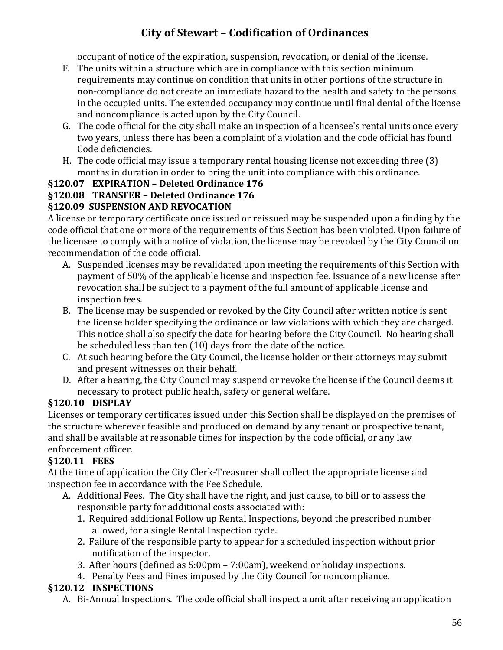occupant of notice of the expiration, suspension, revocation, or denial of the license.

- F. The units within a structure which are in compliance with this section minimum requirements may continue on condition that units in other portions of the structure in non-compliance do not create an immediate hazard to the health and safety to the persons in the occupied units. The extended occupancy may continue until final denial of the license and noncompliance is acted upon by the City Council.
- G. The code official for the city shall make an inspection of a licensee's rental units once every two years, unless there has been a complaint of a violation and the code official has found Code deficiencies.
- H. The code official may issue a temporary rental housing license not exceeding three (3) months in duration in order to bring the unit into compliance with this ordinance.

### **§120.07 EXPIRATION – Deleted Ordinance 176**

### **§120.08 TRANSFER – Deleted Ordinance 176**

### **§120.09 SUSPENSION AND REVOCATION**

A license or temporary certificate once issued or reissued may be suspended upon a finding by the code official that one or more of the requirements of this Section has been violated. Upon failure of the licensee to comply with a notice of violation, the license may be revoked by the City Council on recommendation of the code official.

- A. Suspended licenses may be revalidated upon meeting the requirements of this Section with payment of 50% of the applicable license and inspection fee. Issuance of a new license after revocation shall be subject to a payment of the full amount of applicable license and inspection fees.
- B. The license may be suspended or revoked by the City Council after written notice is sent the license holder specifying the ordinance or law violations with which they are charged. This notice shall also specify the date for hearing before the City Council. No hearing shall be scheduled less than ten (10) days from the date of the notice.
- C. At such hearing before the City Council, the license holder or their attorneys may submit and present witnesses on their behalf.
- D. After a hearing, the City Council may suspend or revoke the license if the Council deems it necessary to protect public health, safety or general welfare.

### **§120.10 DISPLAY**

Licenses or temporary certificates issued under this Section shall be displayed on the premises of the structure wherever feasible and produced on demand by any tenant or prospective tenant, and shall be available at reasonable times for inspection by the code official, or any law enforcement officer.

### **§120.11 FEES**

At the time of application the City Clerk-Treasurer shall collect the appropriate license and inspection fee in accordance with the Fee Schedule.

- A. Additional Fees. The City shall have the right, and just cause, to bill or to assess the responsible party for additional costs associated with:
	- 1. Required additional Follow up Rental Inspections, beyond the prescribed number allowed, for a single Rental Inspection cycle.
	- 2. Failure of the responsible party to appear for a scheduled inspection without prior notification of the inspector.
	- 3. After hours (defined as 5:00pm 7:00am), weekend or holiday inspections.
	- 4. Penalty Fees and Fines imposed by the City Council for noncompliance.

### **§120.12 INSPECTIONS**

A. Bi-Annual Inspections. The code official shall inspect a unit after receiving an application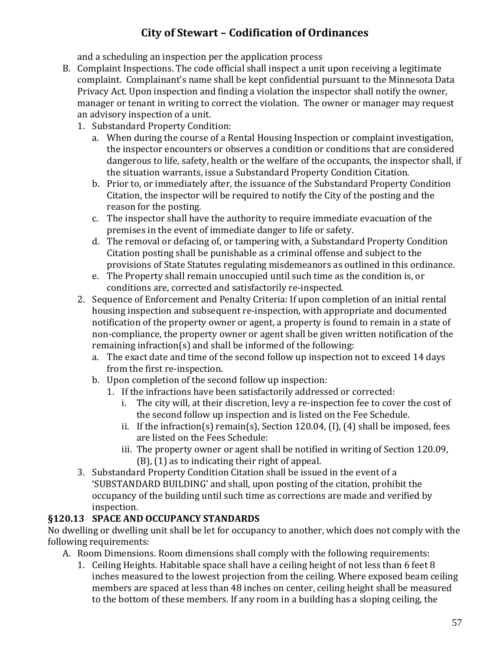and a scheduling an inspection per the application process

- B. Complaint Inspections. The code official shall inspect a unit upon receiving a legitimate complaint. Complainant's name shall be kept confidential pursuant to the Minnesota Data Privacy Act. Upon inspection and finding a violation the inspector shall notify the owner, manager or tenant in writing to correct the violation. The owner or manager may request an advisory inspection of a unit.
	- 1. Substandard Property Condition:
		- a. When during the course of a Rental Housing Inspection or complaint investigation, the inspector encounters or observes a condition or conditions that are considered dangerous to life, safety, health or the welfare of the occupants, the inspector shall, if the situation warrants, issue a Substandard Property Condition Citation.
		- b. Prior to, or immediately after, the issuance of the Substandard Property Condition Citation, the inspector will be required to notify the City of the posting and the reason for the posting.
		- c. The inspector shall have the authority to require immediate evacuation of the premises in the event of immediate danger to life or safety.
		- d. The removal or defacing of, or tampering with, a Substandard Property Condition Citation posting shall be punishable as a criminal offense and subject to the provisions of State Statutes regulating misdemeanors as outlined in this ordinance.
		- e. The Property shall remain unoccupied until such time as the condition is, or conditions are, corrected and satisfactorily re-inspected.
	- 2. Sequence of Enforcement and Penalty Criteria: If upon completion of an initial rental housing inspection and subsequent re-inspection, with appropriate and documented notification of the property owner or agent, a property is found to remain in a state of non-compliance, the property owner or agent shall be given written notification of the remaining infraction(s) and shall be informed of the following:
		- a. The exact date and time of the second follow up inspection not to exceed 14 days from the first re-inspection.
		- b. Upon completion of the second follow up inspection:
			- 1. If the infractions have been satisfactorily addressed or corrected:
				- i. The city will, at their discretion, levy a re-inspection fee to cover the cost of the second follow up inspection and is listed on the Fee Schedule.
				- ii. If the infraction(s) remain(s), Section 120.04, (I), (4) shall be imposed, fees are listed on the Fees Schedule:
				- iii. The property owner or agent shall be notified in writing of Section 120.09, (B), (1) as to indicating their right of appeal.
	- 3. Substandard Property Condition Citation shall be issued in the event of a 'SUBSTANDARD BUILDING' and shall, upon posting of the citation, prohibit the occupancy of the building until such time as corrections are made and verified by inspection.

### **§120.13 SPACE AND OCCUPANCY STANDARDS**

No dwelling or dwelling unit shall be let for occupancy to another, which does not comply with the following requirements:

- A. Room Dimensions. Room dimensions shall comply with the following requirements:
	- 1. Ceiling Heights. Habitable space shall have a ceiling height of not less than 6 feet 8 inches measured to the lowest projection from the ceiling. Where exposed beam ceiling members are spaced at less than 48 inches on center, ceiling height shall be measured to the bottom of these members. If any room in a building has a sloping ceiling, the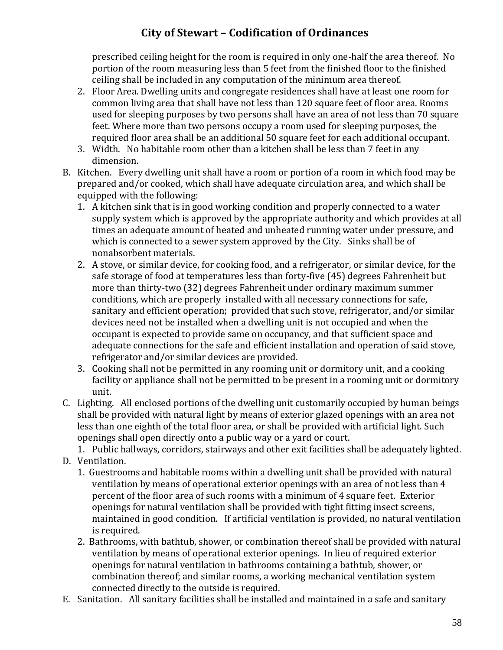prescribed ceiling height for the room is required in only one-half the area thereof. No portion of the room measuring less than 5 feet from the finished floor to the finished ceiling shall be included in any computation of the minimum area thereof.

- 2. Floor Area. Dwelling units and congregate residences shall have at least one room for common living area that shall have not less than 120 square feet of floor area. Rooms used for sleeping purposes by two persons shall have an area of not less than 70 square feet. Where more than two persons occupy a room used for sleeping purposes, the required floor area shall be an additional 50 square feet for each additional occupant.
- 3. Width. No habitable room other than a kitchen shall be less than 7 feet in any dimension.
- B. Kitchen. Every dwelling unit shall have a room or portion of a room in which food may be prepared and/or cooked, which shall have adequate circulation area, and which shall be equipped with the following:
	- 1. A kitchen sink that is in good working condition and properly connected to a water supply system which is approved by the appropriate authority and which provides at all times an adequate amount of heated and unheated running water under pressure, and which is connected to a sewer system approved by the City. Sinks shall be of nonabsorbent materials.
	- 2. A stove, or similar device, for cooking food, and a refrigerator, or similar device, for the safe storage of food at temperatures less than forty-five (45) degrees Fahrenheit but more than thirty-two (32) degrees Fahrenheit under ordinary maximum summer conditions, which are properly installed with all necessary connections for safe, sanitary and efficient operation; provided that such stove, refrigerator, and/or similar devices need not be installed when a dwelling unit is not occupied and when the occupant is expected to provide same on occupancy, and that sufficient space and adequate connections for the safe and efficient installation and operation of said stove, refrigerator and/or similar devices are provided.
	- 3. Cooking shall not be permitted in any rooming unit or dormitory unit, and a cooking facility or appliance shall not be permitted to be present in a rooming unit or dormitory unit.
- C. Lighting. All enclosed portions of the dwelling unit customarily occupied by human beings shall be provided with natural light by means of exterior glazed openings with an area not less than one eighth of the total floor area, or shall be provided with artificial light. Such openings shall open directly onto a public way or a yard or court.

1. Public hallways, corridors, stairways and other exit facilities shall be adequately lighted. D. Ventilation.

1. Guestrooms and habitable rooms within a dwelling unit shall be provided with natural ventilation by means of operational exterior openings with an area of not less than 4 percent of the floor area of such rooms with a minimum of 4 square feet. Exterior openings for natural ventilation shall be provided with tight fitting insect screens, maintained in good condition. If artificial ventilation is provided, no natural ventilation

is required.

- 2. Bathrooms, with bathtub, shower, or combination thereof shall be provided with natural ventilation by means of operational exterior openings. In lieu of required exterior openings for natural ventilation in bathrooms containing a bathtub, shower, or combination thereof; and similar rooms, a working mechanical ventilation system connected directly to the outside is required.
- E. Sanitation. All sanitary facilities shall be installed and maintained in a safe and sanitary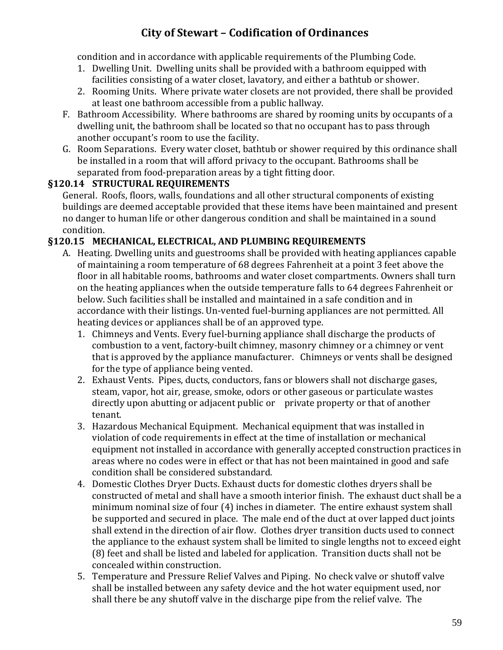condition and in accordance with applicable requirements of the Plumbing Code.

- 1. Dwelling Unit. Dwelling units shall be provided with a bathroom equipped with facilities consisting of a water closet, lavatory, and either a bathtub or shower.
- 2. Rooming Units. Where private water closets are not provided, there shall be provided at least one bathroom accessible from a public hallway.
- F. Bathroom Accessibility. Where bathrooms are shared by rooming units by occupants of a dwelling unit, the bathroom shall be located so that no occupant has to pass through another occupant's room to use the facility.
- G. Room Separations. Every water closet, bathtub or shower required by this ordinance shall be installed in a room that will afford privacy to the occupant. Bathrooms shall be separated from food-preparation areas by a tight fitting door.

#### **§120.14 STRUCTURAL REQUIREMENTS**

General. Roofs, floors, walls, foundations and all other structural components of existing buildings are deemed acceptable provided that these items have been maintained and present no danger to human life or other dangerous condition and shall be maintained in a sound condition.

#### **§120.15 MECHANICAL, ELECTRICAL, AND PLUMBING REQUIREMENTS**

- A. Heating. Dwelling units and guestrooms shall be provided with heating appliances capable of maintaining a room temperature of 68 degrees Fahrenheit at a point 3 feet above the floor in all habitable rooms, bathrooms and water closet compartments. Owners shall turn on the heating appliances when the outside temperature falls to 64 degrees Fahrenheit or below. Such facilities shall be installed and maintained in a safe condition and in accordance with their listings. Un-vented fuel-burning appliances are not permitted. All heating devices or appliances shall be of an approved type.
	- 1. Chimneys and Vents. Every fuel-burning appliance shall discharge the products of combustion to a vent, factory-built chimney, masonry chimney or a chimney or vent that is approved by the appliance manufacturer. Chimneys or vents shall be designed for the type of appliance being vented.
	- 2. Exhaust Vents. Pipes, ducts, conductors, fans or blowers shall not discharge gases, steam, vapor, hot air, grease, smoke, odors or other gaseous or particulate wastes directly upon abutting or adjacent public or private property or that of another tenant.
	- 3. Hazardous Mechanical Equipment. Mechanical equipment that was installed in violation of code requirements in effect at the time of installation or mechanical equipment not installed in accordance with generally accepted construction practices in areas where no codes were in effect or that has not been maintained in good and safe condition shall be considered substandard.
	- 4. Domestic Clothes Dryer Ducts. Exhaust ducts for domestic clothes dryers shall be constructed of metal and shall have a smooth interior finish. The exhaust duct shall be a minimum nominal size of four (4) inches in diameter. The entire exhaust system shall be supported and secured in place. The male end of the duct at over lapped duct joints shall extend in the direction of air flow. Clothes dryer transition ducts used to connect the appliance to the exhaust system shall be limited to single lengths not to exceed eight (8) feet and shall be listed and labeled for application. Transition ducts shall not be concealed within construction.
	- 5. Temperature and Pressure Relief Valves and Piping. No check valve or shutoff valve shall be installed between any safety device and the hot water equipment used, nor shall there be any shutoff valve in the discharge pipe from the relief valve. The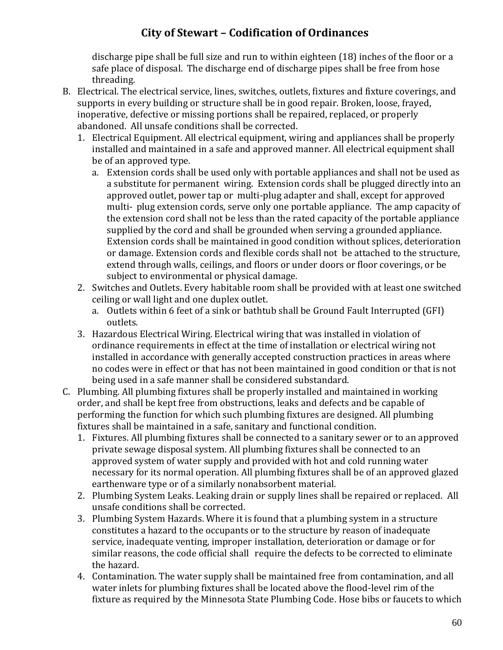discharge pipe shall be full size and run to within eighteen (18) inches of the floor or a safe place of disposal. The discharge end of discharge pipes shall be free from hose threading.

- B. Electrical. The electrical service, lines, switches, outlets, fixtures and fixture coverings, and supports in every building or structure shall be in good repair. Broken, loose, frayed, inoperative, defective or missing portions shall be repaired, replaced, or properly abandoned. All unsafe conditions shall be corrected.
	- 1. Electrical Equipment. All electrical equipment, wiring and appliances shall be properly installed and maintained in a safe and approved manner. All electrical equipment shall be of an approved type.
		- a. Extension cords shall be used only with portable appliances and shall not be used as a substitute for permanent wiring. Extension cords shall be plugged directly into an approved outlet, power tap or multi-plug adapter and shall, except for approved multi- plug extension cords, serve only one portable appliance. The amp capacity of the extension cord shall not be less than the rated capacity of the portable appliance supplied by the cord and shall be grounded when serving a grounded appliance. Extension cords shall be maintained in good condition without splices, deterioration or damage. Extension cords and flexible cords shall not be attached to the structure, extend through walls, ceilings, and floors or under doors or floor coverings, or be subject to environmental or physical damage.
	- 2. Switches and Outlets. Every habitable room shall be provided with at least one switched ceiling or wall light and one duplex outlet.
		- a. Outlets within 6 feet of a sink or bathtub shall be Ground Fault Interrupted (GFI) outlets.
	- 3. Hazardous Electrical Wiring. Electrical wiring that was installed in violation of ordinance requirements in effect at the time of installation or electrical wiring not installed in accordance with generally accepted construction practices in areas where no codes were in effect or that has not been maintained in good condition or that is not being used in a safe manner shall be considered substandard.
- C. Plumbing. All plumbing fixtures shall be properly installed and maintained in working order, and shall be kept free from obstructions, leaks and defects and be capable of performing the function for which such plumbing fixtures are designed. All plumbing fixtures shall be maintained in a safe, sanitary and functional condition.
	- 1. Fixtures. All plumbing fixtures shall be connected to a sanitary sewer or to an approved private sewage disposal system. All plumbing fixtures shall be connected to an approved system of water supply and provided with hot and cold running water necessary for its normal operation. All plumbing fixtures shall be of an approved glazed earthenware type or of a similarly nonabsorbent material.
	- 2. Plumbing System Leaks. Leaking drain or supply lines shall be repaired or replaced. All unsafe conditions shall be corrected.
	- 3. Plumbing System Hazards. Where it is found that a plumbing system in a structure constitutes a hazard to the occupants or to the structure by reason of inadequate service, inadequate venting, improper installation, deterioration or damage or for similar reasons, the code official shall require the defects to be corrected to eliminate the hazard.
	- 4. Contamination. The water supply shall be maintained free from contamination, and all water inlets for plumbing fixtures shall be located above the flood-level rim of the fixture as required by the Minnesota State Plumbing Code. Hose bibs or faucets to which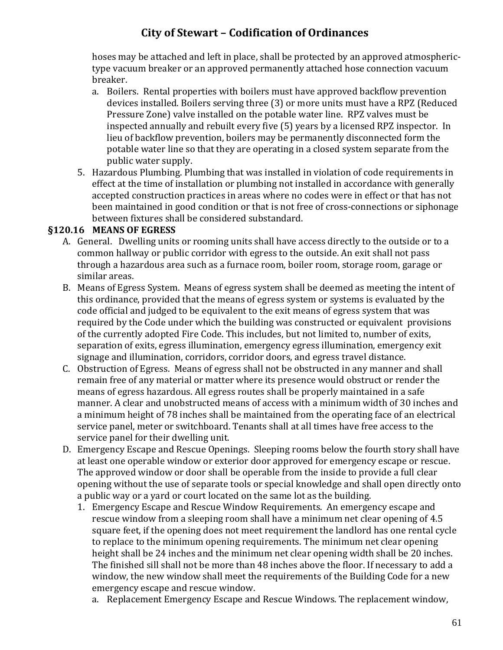hoses may be attached and left in place, shall be protected by an approved atmospherictype vacuum breaker or an approved permanently attached hose connection vacuum breaker.

- a. Boilers. Rental properties with boilers must have approved backflow prevention devices installed. Boilers serving three (3) or more units must have a RPZ (Reduced Pressure Zone) valve installed on the potable water line. RPZ valves must be inspected annually and rebuilt every five (5) years by a licensed RPZ inspector. In lieu of backflow prevention, boilers may be permanently disconnected form the potable water line so that they are operating in a closed system separate from the public water supply.
- 5. Hazardous Plumbing. Plumbing that was installed in violation of code requirements in effect at the time of installation or plumbing not installed in accordance with generally accepted construction practices in areas where no codes were in effect or that has not been maintained in good condition or that is not free of cross-connections or siphonage between fixtures shall be considered substandard.

#### **§120.16 MEANS OF EGRESS**

- A. General. Dwelling units or rooming units shall have access directly to the outside or to a common hallway or public corridor with egress to the outside. An exit shall not pass through a hazardous area such as a furnace room, boiler room, storage room, garage or similar areas.
- B. Means of Egress System. Means of egress system shall be deemed as meeting the intent of this ordinance, provided that the means of egress system or systems is evaluated by the code official and judged to be equivalent to the exit means of egress system that was required by the Code under which the building was constructed or equivalent provisions of the currently adopted Fire Code. This includes, but not limited to, number of exits, separation of exits, egress illumination, emergency egress illumination, emergency exit signage and illumination, corridors, corridor doors, and egress travel distance.
- C. Obstruction of Egress. Means of egress shall not be obstructed in any manner and shall remain free of any material or matter where its presence would obstruct or render the means of egress hazardous. All egress routes shall be properly maintained in a safe manner. A clear and unobstructed means of access with a minimum width of 30 inches and a minimum height of 78 inches shall be maintained from the operating face of an electrical service panel, meter or switchboard. Tenants shall at all times have free access to the service panel for their dwelling unit.
- D. Emergency Escape and Rescue Openings. Sleeping rooms below the fourth story shall have at least one operable window or exterior door approved for emergency escape or rescue. The approved window or door shall be operable from the inside to provide a full clear opening without the use of separate tools or special knowledge and shall open directly onto a public way or a yard or court located on the same lot as the building.
	- 1. Emergency Escape and Rescue Window Requirements. An emergency escape and rescue window from a sleeping room shall have a minimum net clear opening of 4.5 square feet, if the opening does not meet requirement the landlord has one rental cycle to replace to the minimum opening requirements. The minimum net clear opening height shall be 24 inches and the minimum net clear opening width shall be 20 inches. The finished sill shall not be more than 48 inches above the floor. If necessary to add a window, the new window shall meet the requirements of the Building Code for a new emergency escape and rescue window.
		- a. Replacement Emergency Escape and Rescue Windows. The replacement window,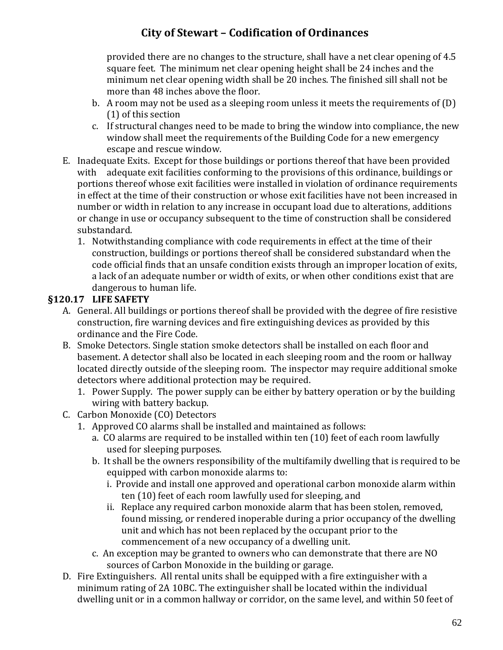provided there are no changes to the structure, shall have a net clear opening of 4.5 square feet. The minimum net clear opening height shall be 24 inches and the minimum net clear opening width shall be 20 inches. The finished sill shall not be more than 48 inches above the floor.

- b. A room may not be used as a sleeping room unless it meets the requirements of (D) (1) of this section
- c. If structural changes need to be made to bring the window into compliance, the new window shall meet the requirements of the Building Code for a new emergency escape and rescue window.
- E. Inadequate Exits. Except for those buildings or portions thereof that have been provided with adequate exit facilities conforming to the provisions of this ordinance, buildings or portions thereof whose exit facilities were installed in violation of ordinance requirements in effect at the time of their construction or whose exit facilities have not been increased in number or width in relation to any increase in occupant load due to alterations, additions or change in use or occupancy subsequent to the time of construction shall be considered substandard.
	- 1. Notwithstanding compliance with code requirements in effect at the time of their construction, buildings or portions thereof shall be considered substandard when the code official finds that an unsafe condition exists through an improper location of exits, a lack of an adequate number or width of exits, or when other conditions exist that are dangerous to human life.

### **§120.17 LIFE SAFETY**

- A. General. All buildings or portions thereof shall be provided with the degree of fire resistive construction, fire warning devices and fire extinguishing devices as provided by this ordinance and the Fire Code.
- B. Smoke Detectors. Single station smoke detectors shall be installed on each floor and basement. A detector shall also be located in each sleeping room and the room or hallway located directly outside of the sleeping room. The inspector may require additional smoke detectors where additional protection may be required.
	- 1. Power Supply. The power supply can be either by battery operation or by the building wiring with battery backup.
- C. Carbon Monoxide (CO) Detectors
	- 1. Approved CO alarms shall be installed and maintained as follows:
		- a. CO alarms are required to be installed within ten (10) feet of each room lawfully used for sleeping purposes.
		- b. It shall be the owners responsibility of the multifamily dwelling that is required to be equipped with carbon monoxide alarms to:
			- i. Provide and install one approved and operational carbon monoxide alarm within ten (10) feet of each room lawfully used for sleeping, and
			- ii. Replace any required carbon monoxide alarm that has been stolen, removed, found missing, or rendered inoperable during a prior occupancy of the dwelling unit and which has not been replaced by the occupant prior to the commencement of a new occupancy of a dwelling unit.
		- c. An exception may be granted to owners who can demonstrate that there are NO sources of Carbon Monoxide in the building or garage.
- D. Fire Extinguishers. All rental units shall be equipped with a fire extinguisher with a minimum rating of 2A 10BC. The extinguisher shall be located within the individual dwelling unit or in a common hallway or corridor, on the same level, and within 50 feet of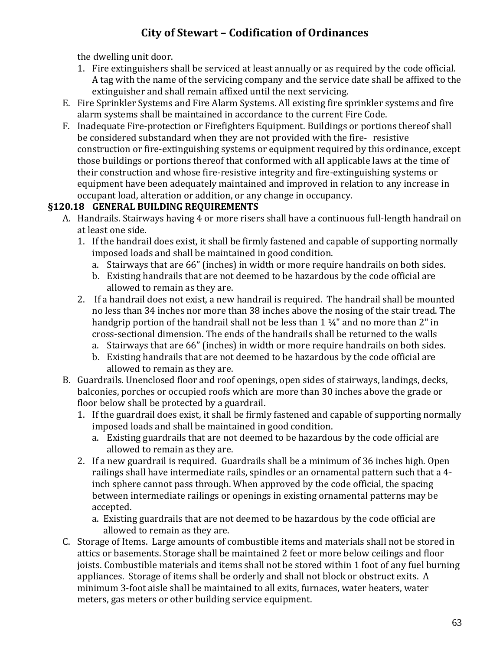the dwelling unit door.

- 1. Fire extinguishers shall be serviced at least annually or as required by the code official. A tag with the name of the servicing company and the service date shall be affixed to the extinguisher and shall remain affixed until the next servicing.
- E. Fire Sprinkler Systems and Fire Alarm Systems. All existing fire sprinkler systems and fire alarm systems shall be maintained in accordance to the current Fire Code.
- F. Inadequate Fire-protection or Firefighters Equipment. Buildings or portions thereof shall be considered substandard when they are not provided with the fire- resistive construction or fire-extinguishing systems or equipment required by this ordinance, except those buildings or portions thereof that conformed with all applicable laws at the time of their construction and whose fire-resistive integrity and fire-extinguishing systems or equipment have been adequately maintained and improved in relation to any increase in occupant load, alteration or addition, or any change in occupancy.

### **§120.18 GENERAL BUILDING REQUIREMENTS**

- A. Handrails. Stairways having 4 or more risers shall have a continuous full-length handrail on at least one side.
	- 1. If the handrail does exist, it shall be firmly fastened and capable of supporting normally imposed loads and shall be maintained in good condition.
		- a. Stairways that are 66" (inches) in width or more require handrails on both sides.
		- b. Existing handrails that are not deemed to be hazardous by the code official are allowed to remain as they are.
	- 2. If a handrail does not exist, a new handrail is required. The handrail shall be mounted no less than 34 inches nor more than 38 inches above the nosing of the stair tread. The handgrip portion of the handrail shall not be less than  $1\frac{1}{4}$ " and no more than  $2$ " in cross-sectional dimension. The ends of the handrails shall be returned to the walls
		- a. Stairways that are 66" (inches) in width or more require handrails on both sides.
		- b. Existing handrails that are not deemed to be hazardous by the code official are allowed to remain as they are.
- B. Guardrails. Unenclosed floor and roof openings, open sides of stairways, landings, decks, balconies, porches or occupied roofs which are more than 30 inches above the grade or floor below shall be protected by a guardrail.
	- 1. If the guardrail does exist, it shall be firmly fastened and capable of supporting normally imposed loads and shall be maintained in good condition.
		- a. Existing guardrails that are not deemed to be hazardous by the code official are allowed to remain as they are.
	- 2. If a new guardrail is required. Guardrails shall be a minimum of 36 inches high. Open railings shall have intermediate rails, spindles or an ornamental pattern such that a 4 inch sphere cannot pass through. When approved by the code official, the spacing between intermediate railings or openings in existing ornamental patterns may be accepted.
		- a. Existing guardrails that are not deemed to be hazardous by the code official are allowed to remain as they are.
- C. Storage of Items. Large amounts of combustible items and materials shall not be stored in attics or basements. Storage shall be maintained 2 feet or more below ceilings and floor joists. Combustible materials and items shall not be stored within 1 foot of any fuel burning appliances. Storage of items shall be orderly and shall not block or obstruct exits. A minimum 3-foot aisle shall be maintained to all exits, furnaces, water heaters, water meters, gas meters or other building service equipment.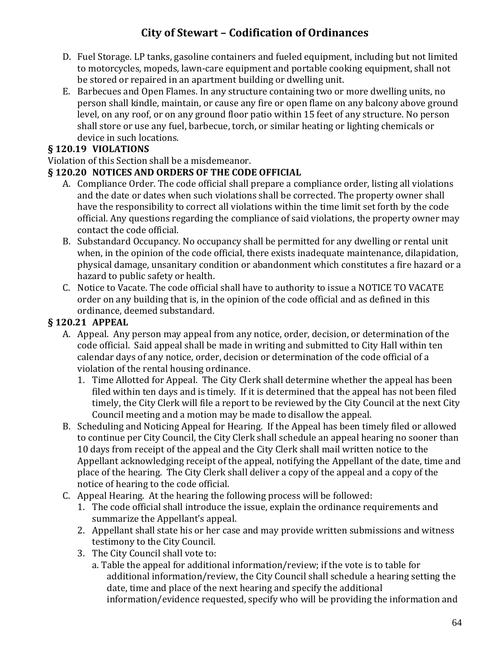- D. Fuel Storage. LP tanks, gasoline containers and fueled equipment, including but not limited to motorcycles, mopeds, lawn-care equipment and portable cooking equipment, shall not be stored or repaired in an apartment building or dwelling unit.
- E. Barbecues and Open Flames. In any structure containing two or more dwelling units, no person shall kindle, maintain, or cause any fire or open flame on any balcony above ground level, on any roof, or on any ground floor patio within 15 feet of any structure. No person shall store or use any fuel, barbecue, torch, or similar heating or lighting chemicals or device in such locations.

### **§ 120.19 VIOLATIONS**

Violation of this Section shall be a misdemeanor.

#### **§ 120.20 NOTICES AND ORDERS OF THE CODE OFFICIAL**

- A. Compliance Order. The code official shall prepare a compliance order, listing all violations and the date or dates when such violations shall be corrected. The property owner shall have the responsibility to correct all violations within the time limit set forth by the code official. Any questions regarding the compliance of said violations, the property owner may contact the code official.
- B. Substandard Occupancy. No occupancy shall be permitted for any dwelling or rental unit when, in the opinion of the code official, there exists inadequate maintenance, dilapidation, physical damage, unsanitary condition or abandonment which constitutes a fire hazard or a hazard to public safety or health.
- C. Notice to Vacate. The code official shall have to authority to issue a NOTICE TO VACATE order on any building that is, in the opinion of the code official and as defined in this ordinance, deemed substandard.

#### **§ 120.21 APPEAL**

- A. Appeal. Any person may appeal from any notice, order, decision, or determination of the code official. Said appeal shall be made in writing and submitted to City Hall within ten calendar days of any notice, order, decision or determination of the code official of a violation of the rental housing ordinance.
	- 1. Time Allotted for Appeal. The City Clerk shall determine whether the appeal has been filed within ten days and is timely. If it is determined that the appeal has not been filed timely, the City Clerk will file a report to be reviewed by the City Council at the next City Council meeting and a motion may be made to disallow the appeal.
- B. Scheduling and Noticing Appeal for Hearing. If the Appeal has been timely filed or allowed to continue per City Council, the City Clerk shall schedule an appeal hearing no sooner than 10 days from receipt of the appeal and the City Clerk shall mail written notice to the Appellant acknowledging receipt of the appeal, notifying the Appellant of the date, time and place of the hearing. The City Clerk shall deliver a copy of the appeal and a copy of the notice of hearing to the code official.
- C. Appeal Hearing. At the hearing the following process will be followed:
	- 1. The code official shall introduce the issue, explain the ordinance requirements and summarize the Appellant's appeal.
	- 2. Appellant shall state his or her case and may provide written submissions and witness testimony to the City Council.
	- 3. The City Council shall vote to:
		- a. Table the appeal for additional information/review; if the vote is to table for additional information/review, the City Council shall schedule a hearing setting the date, time and place of the next hearing and specify the additional information/evidence requested, specify who will be providing the information and